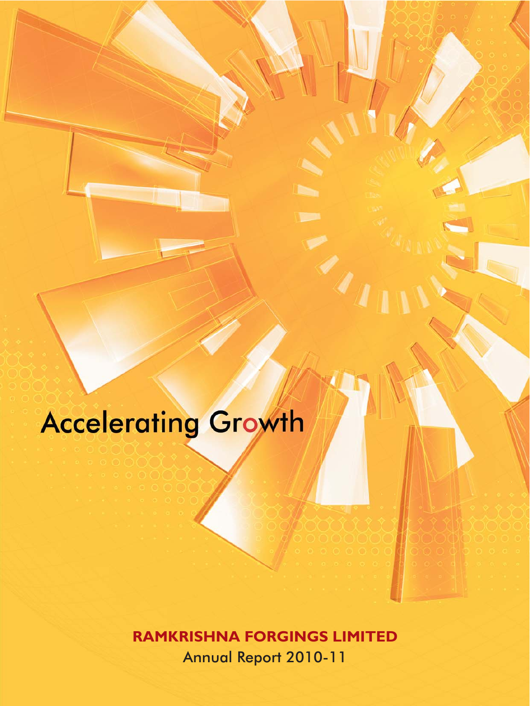## **Accelerating Growth**

**RAMKRISHNA FORGINGS LIMITED** Annual Report 2010-11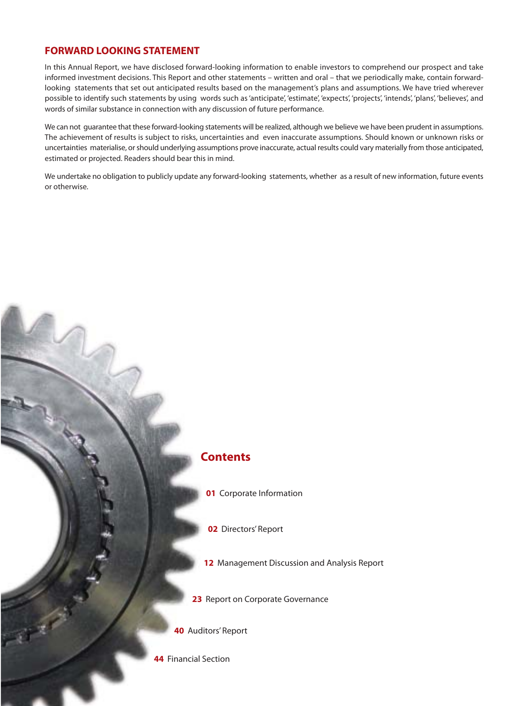#### **FORWARD LOOKING STATFMENT**

In this Annual Report, we have disclosed forward-looking information to enable investors to comprehend our prospect and take informed investment decisions. This Report and other statements – written and oral – that we periodically make, contain forwardlooking statements that set out anticipated results based on the management's plans and assumptions. We have tried wherever possible to identify such statements by using words such as 'anticipate', 'estimate', 'expects', 'projects', 'intends', 'plans', 'believes', and words of similar substance in connection with any discussion of future performance.

We can not quarantee that these forward-looking statements will be realized, although we believe we have been prudent in assumptions. The achievement of results is subject to risks, uncertainties and even inaccurate assumptions. Should known or unknown risks or uncertainties materialise, or should underlying assumptions prove inaccurate, actual results could vary materially from those anticipated, estimated or projected. Readers should bear this in mind.

We undertake no obligation to publicly update any forward-looking statements, whether as a result of new information, future events or otherwise.



- 01 Corporate Information
- **02** Directors' Report
- 12 Management Discussion and Analysis Report
- 23 Report on Corporate Governance
- 40 Auditors' Report
- 44 Financial Section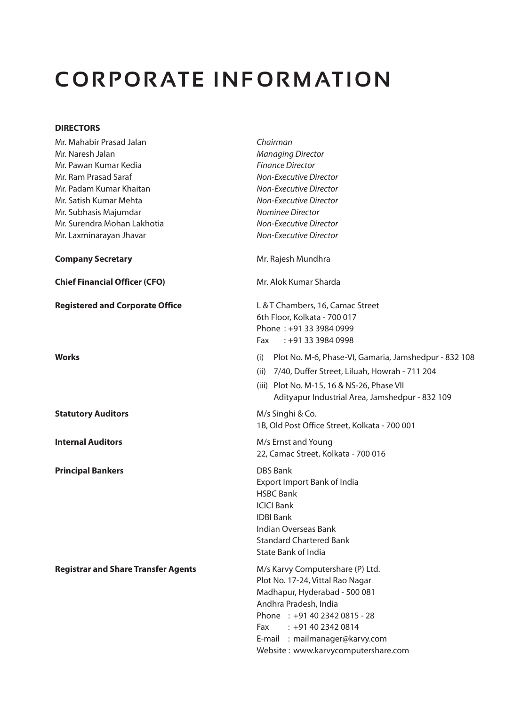## **CORPORATE INFORMATION**

#### **DIRECTORS**

| Mr. Mahabir Prasad Jalan                   | Chairman                                                                                                                                                                                                                                                            |  |  |  |
|--------------------------------------------|---------------------------------------------------------------------------------------------------------------------------------------------------------------------------------------------------------------------------------------------------------------------|--|--|--|
| Mr. Naresh Jalan                           | <b>Managing Director</b>                                                                                                                                                                                                                                            |  |  |  |
| Mr. Pawan Kumar Kedia                      | <b>Finance Director</b>                                                                                                                                                                                                                                             |  |  |  |
| Mr. Ram Prasad Saraf                       | <b>Non-Executive Director</b>                                                                                                                                                                                                                                       |  |  |  |
| Mr. Padam Kumar Khaitan                    | <b>Non-Executive Director</b>                                                                                                                                                                                                                                       |  |  |  |
| Mr. Satish Kumar Mehta                     | Non-Executive Director                                                                                                                                                                                                                                              |  |  |  |
| Mr. Subhasis Majumdar                      | Nominee Director                                                                                                                                                                                                                                                    |  |  |  |
| Mr. Surendra Mohan Lakhotia                | Non-Executive Director                                                                                                                                                                                                                                              |  |  |  |
| Mr. Laxminarayan Jhavar                    | Non-Executive Director                                                                                                                                                                                                                                              |  |  |  |
| <b>Company Secretary</b>                   | Mr. Rajesh Mundhra                                                                                                                                                                                                                                                  |  |  |  |
| <b>Chief Financial Officer (CFO)</b>       | Mr. Alok Kumar Sharda                                                                                                                                                                                                                                               |  |  |  |
| <b>Registered and Corporate Office</b>     | L & T Chambers, 16, Camac Street<br>6th Floor, Kolkata - 700 017<br>Phone: +91 33 3984 0999<br>$: +913339840998$<br>Fax                                                                                                                                             |  |  |  |
| <b>Works</b>                               | Plot No. M-6, Phase-VI, Gamaria, Jamshedpur - 832 108<br>(i)<br>(ii) 7/40, Duffer Street, Liluah, Howrah - 711 204<br>(iii) Plot No. M-15, 16 & NS-26, Phase VII<br>Adityapur Industrial Area, Jamshedpur - 832 109                                                 |  |  |  |
| <b>Statutory Auditors</b>                  | M/s Singhi & Co.<br>1B, Old Post Office Street, Kolkata - 700 001                                                                                                                                                                                                   |  |  |  |
| <b>Internal Auditors</b>                   | M/s Ernst and Young<br>22, Camac Street, Kolkata - 700 016                                                                                                                                                                                                          |  |  |  |
| <b>Principal Bankers</b>                   | <b>DBS Bank</b><br>Export Import Bank of India<br><b>HSBC Bank</b><br><b>ICICI Bank</b><br><b>IDBI Bank</b><br>Indian Overseas Bank<br><b>Standard Chartered Bank</b><br>State Bank of India                                                                        |  |  |  |
| <b>Registrar and Share Transfer Agents</b> | M/s Karvy Computershare (P) Ltd.<br>Plot No. 17-24, Vittal Rao Nagar<br>Madhapur, Hyderabad - 500 081<br>Andhra Pradesh, India<br>Phone: +91 40 2342 0815 - 28<br>$: +914023420814$<br>Fax<br>E-mail : mailmanager@karvy.com<br>Website: www.karvycomputershare.com |  |  |  |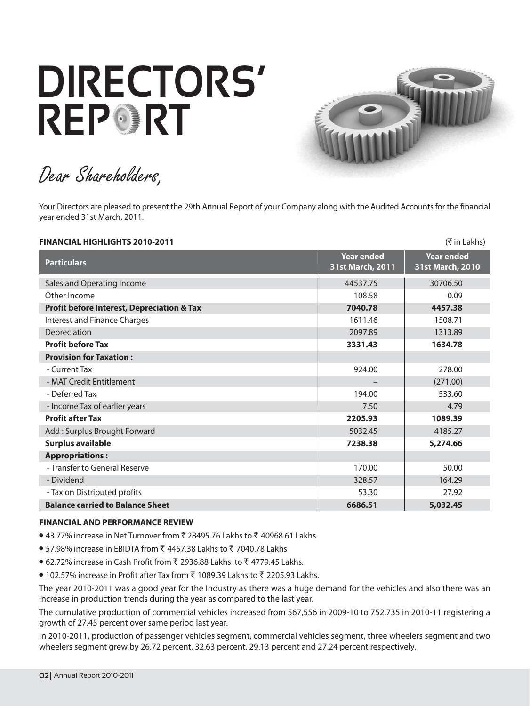# **DIRECTORS' REPORT**



Dear Shareholders,

Your Directors are pleased to present the 29th Annual Report of your Company along with the Audited Accounts for the financial year ended 31st March, 2011.

| FINANCIAL HIGHLIGHTS 2010-2011                        |                                       | (₹ in Lakhs)                   |
|-------------------------------------------------------|---------------------------------------|--------------------------------|
| <b>Particulars</b>                                    | <b>Year ended</b><br>31st March, 2011 | Year ended<br>31st March, 2010 |
| Sales and Operating Income                            | 44537.75                              | 30706.50                       |
| Other Income                                          | 108.58                                | 0.09                           |
| <b>Profit before Interest, Depreciation &amp; Tax</b> | 7040.78                               | 4457.38                        |
| <b>Interest and Finance Charges</b>                   | 1611.46                               | 1508.71                        |
| Depreciation                                          | 2097.89                               | 1313.89                        |
| <b>Profit before Tax</b>                              | 3331.43                               | 1634.78                        |
| <b>Provision for Taxation:</b>                        |                                       |                                |
| - Current Tax                                         | 924.00                                | 278.00                         |
| - MAT Credit Entitlement                              |                                       | (271.00)                       |
| - Deferred Tax                                        | 194.00                                | 533.60                         |
| - Income Tax of earlier years                         | 7.50                                  | 4.79                           |
| <b>Profit after Tax</b>                               | 2205.93                               | 1089.39                        |
| Add: Surplus Brought Forward                          | 5032.45                               | 4185.27                        |
| <b>Surplus available</b>                              | 7238.38                               | 5,274.66                       |
| <b>Appropriations:</b>                                |                                       |                                |
| - Transfer to General Reserve                         | 170.00                                | 50.00                          |
| - Dividend                                            | 328.57                                | 164.29                         |
| - Tax on Distributed profits                          | 53.30                                 | 27.92                          |
| <b>Balance carried to Balance Sheet</b>               | 6686.51                               | 5.032.45                       |

#### **FINANCIAL AND PERFORMANCE REVIEW**

- 43.77% increase in Net Turnover from ₹ 28495.76 Lakhs to ₹ 40968.61 Lakhs.
- 57.98% increase in EBIDTA from ₹ 4457.38 Lakhs to ₹ 7040.78 Lakhs
- 62.72% increase in Cash Profit from ₹ 2936.88 Lakhs to ₹ 4779.45 Lakhs.
- 102.57% increase in Profit after Tax from ₹ 1089.39 Lakhs to ₹ 2205.93 Lakhs.

The year 2010-2011 was a good year for the Industry as there was a huge demand for the vehicles and also there was an increase in production trends during the year as compared to the last year.

The cumulative production of commercial vehicles increased from 567,556 in 2009-10 to 752,735 in 2010-11 registering a growth of 27.45 percent over same period last year.

In 2010-2011, production of passenger vehicles segment, commercial vehicles segment, three wheelers segment and two wheelers segment grew by 26.72 percent, 32.63 percent, 29.13 percent and 27.24 percent respectively.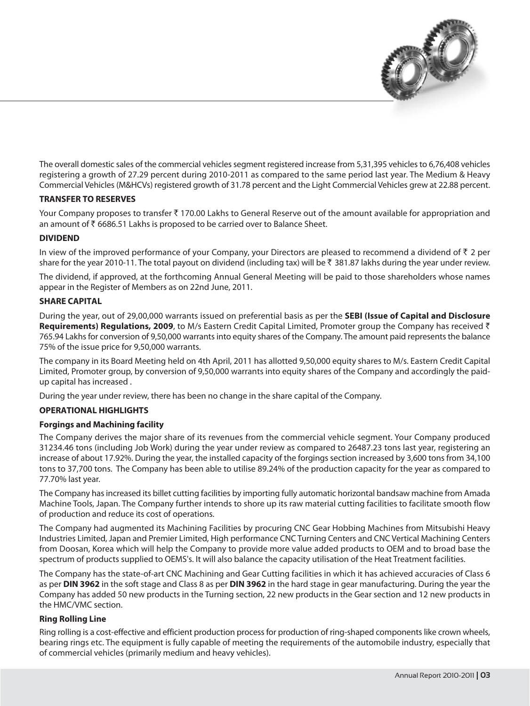

The overall domestic sales of the commercial vehicles segment registered increase from 5,31,395 vehicles to 6,76,408 vehicles registering a growth of 27.29 percent during 2010-2011 as compared to the same period last year. The Medium & Heavy Commercial Vehicles (M&HCVs) registered growth of 31.78 percent and the Light Commercial Vehicles grew at 22.88 percent.

#### **TRANSFER TO RESERVES**

Your Company proposes to transfer  $\bar{\tau}$  170.00 Lakhs to General Reserve out of the amount available for appropriation and an amount of ₹6686.51 Lakhs is proposed to be carried over to Balance Sheet.

#### **DIVIDEND**

In view of the improved performance of your Company, your Directors are pleased to recommend a dividend of  $\bar{\tau}$  2 per share for the year 2010-11. The total payout on dividend (including tax) will be ₹ 381.87 lakhs during the year under review.

The dividend, if approved, at the forthcoming Annual General Meeting will be paid to those shareholders whose names appear in the Register of Members as on 22nd June, 2011.

#### **SHARE CAPITAL**

During the year, out of 29,00,000 warrants issued on preferential basis as per the **SEBI (Issue of Capital and Disclosure** Requirements) Regulations, 2009, to M/s Eastern Credit Capital Limited, Promoter group the Company has received ₹ 765.94 Lakhs for conversion of 9,50,000 warrants into equity shares of the Company. The amount paid represents the balance 75% of the issue price for 9,50,000 warrants.

The company in its Board Meeting held on 4th April, 2011 has allotted 9,50,000 equity shares to M/s. Eastern Credit Capital Limited, Promoter group, by conversion of 9,50,000 warrants into equity shares of the Company and accordingly the paidup capital has increased.

During the year under review, there has been no change in the share capital of the Company.

#### **OPERATIONAL HIGHLIGHTS**

#### **Forgings and Machining facility**

The Company derives the major share of its revenues from the commercial vehicle segment. Your Company produced 31234.46 tons (including Job Work) during the year under review as compared to 26487.23 tons last year, registering an increase of about 17.92%. During the year, the installed capacity of the forgings section increased by 3,600 tons from 34,100 tons to 37,700 tons. The Company has been able to utilise 89.24% of the production capacity for the year as compared to 77.70% last year.

The Company has increased its billet cutting facilities by importing fully automatic horizontal bandsaw machine from Amada Machine Tools, Japan. The Company further intends to shore up its raw material cutting facilities to facilitate smooth flow of production and reduce its cost of operations.

The Company had augmented its Machining Facilities by procuring CNC Gear Hobbing Machines from Mitsubishi Heavy Industries Limited, Japan and Premier Limited, High performance CNC Turning Centers and CNC Vertical Machining Centers from Doosan, Korea which will help the Company to provide more value added products to OEM and to broad base the spectrum of products supplied to OEMS's. It will also balance the capacity utilisation of the Heat Treatment facilities.

The Company has the state-of-art CNC Machining and Gear Cutting facilities in which it has achieved accuracies of Class 6 as per DIN 3962 in the soft stage and Class 8 as per DIN 3962 in the hard stage in gear manufacturing. During the year the Company has added 50 new products in the Turning section, 22 new products in the Gear section and 12 new products in the HMC/VMC section.

#### **Ring Rolling Line**

Ring rolling is a cost-effective and efficient production process for production of ring-shaped components like crown wheels, bearing rings etc. The equipment is fully capable of meeting the requirements of the automobile industry, especially that of commercial vehicles (primarily medium and heavy vehicles).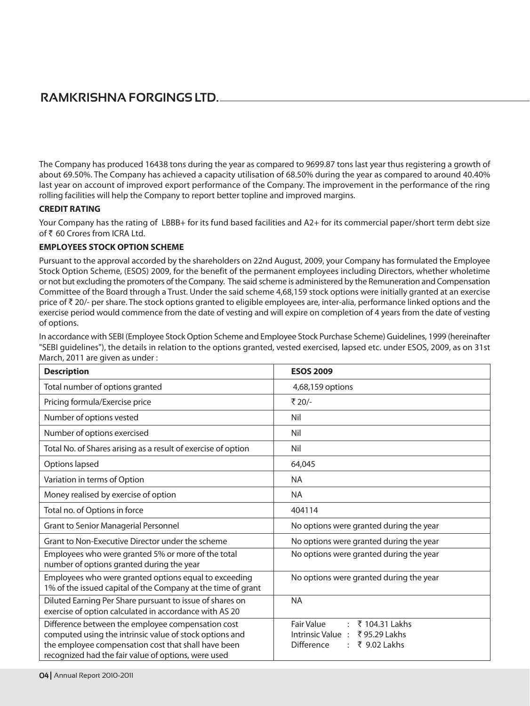The Company has produced 16438 tons during the year as compared to 9699.87 tons last year thus registering a growth of about 69.50%. The Company has achieved a capacity utilisation of 68.50% during the year as compared to around 40.40% last year on account of improved export performance of the Company. The improvement in the performance of the ring rolling facilities will help the Company to report better topline and improved margins.

#### **CREDIT RATING**

Your Company has the rating of LBBB+ for its fund based facilities and A2+ for its commercial paper/short term debt size of₹60 Crores from ICRA Ltd.

#### **EMPLOYEES STOCK OPTION SCHEME**

Pursuant to the approval accorded by the shareholders on 22nd August, 2009, your Company has formulated the Employee Stock Option Scheme, (ESOS) 2009, for the benefit of the permanent employees including Directors, whether wholetime or not but excluding the promoters of the Company. The said scheme is administered by the Remuneration and Compensation Committee of the Board through a Trust. Under the said scheme 4,68,159 stock options were initially granted at an exercise price of ₹20/- per share. The stock options granted to eligible employees are, inter-alia, performance linked options and the exercise period would commence from the date of vesting and will expire on completion of 4 years from the date of vesting of options.

In accordance with SEBI (Employee Stock Option Scheme and Employee Stock Purchase Scheme) Guidelines, 1999 (hereinafter "SEBI quidelines"), the details in relation to the options granted, vested exercised, lapsed etc. under ESOS, 2009, as on 31st March, 2011 are given as under:

| <b>Description</b>                                                                                                                                                                                                         | <b>ESOS 2009</b>                                                                                                                               |
|----------------------------------------------------------------------------------------------------------------------------------------------------------------------------------------------------------------------------|------------------------------------------------------------------------------------------------------------------------------------------------|
| Total number of options granted                                                                                                                                                                                            | 4,68,159 options                                                                                                                               |
| Pricing formula/Exercise price                                                                                                                                                                                             | ₹ 20/-                                                                                                                                         |
| Number of options vested                                                                                                                                                                                                   | Nil                                                                                                                                            |
| Number of options exercised                                                                                                                                                                                                | Nil                                                                                                                                            |
| Total No. of Shares arising as a result of exercise of option                                                                                                                                                              | Nil                                                                                                                                            |
| Options lapsed                                                                                                                                                                                                             | 64,045                                                                                                                                         |
| Variation in terms of Option                                                                                                                                                                                               | <b>NA</b>                                                                                                                                      |
| Money realised by exercise of option                                                                                                                                                                                       | <b>NA</b>                                                                                                                                      |
| Total no. of Options in force                                                                                                                                                                                              | 404114                                                                                                                                         |
| <b>Grant to Senior Managerial Personnel</b>                                                                                                                                                                                | No options were granted during the year                                                                                                        |
| Grant to Non-Executive Director under the scheme                                                                                                                                                                           | No options were granted during the year                                                                                                        |
| Employees who were granted 5% or more of the total<br>number of options granted during the year                                                                                                                            | No options were granted during the year                                                                                                        |
| Employees who were granted options equal to exceeding<br>1% of the issued capital of the Company at the time of grant                                                                                                      | No options were granted during the year                                                                                                        |
| Diluted Earning Per Share pursuant to issue of shares on<br>exercise of option calculated in accordance with AS 20                                                                                                         | <b>NA</b>                                                                                                                                      |
| Difference between the employee compensation cost<br>computed using the intrinsic value of stock options and<br>the employee compensation cost that shall have been<br>recognized had the fair value of options, were used | <b>Fair Value</b><br>₹ 104.31 Lakhs<br>$\mathcal{L}$<br>₹95.29 Lakhs<br>Intrinsic Value:<br>₹ 9.02 Lakhs<br><b>Difference</b><br>$\mathcal{L}$ |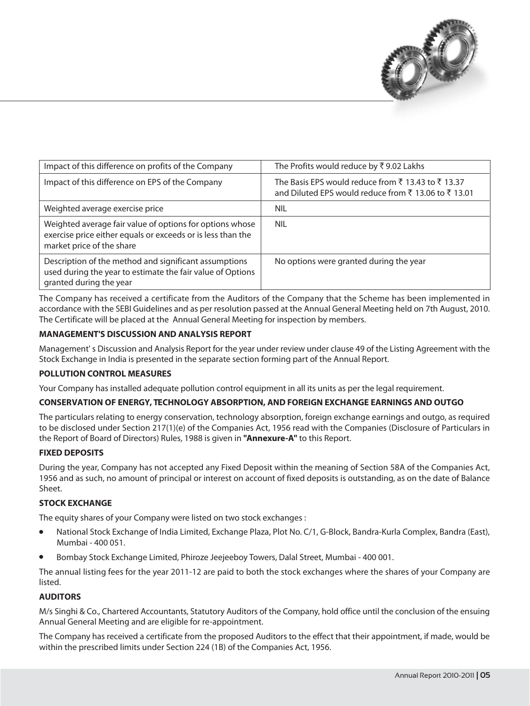

| Impact of this difference on profits of the Company                                                                                                  | The Profits would reduce by ₹9.02 Lakhs                                                                |
|------------------------------------------------------------------------------------------------------------------------------------------------------|--------------------------------------------------------------------------------------------------------|
| Impact of this difference on EPS of the Company                                                                                                      | The Basis EPS would reduce from ₹13.43 to ₹13.37<br>and Diluted EPS would reduce from ₹13.06 to ₹13.01 |
| Weighted average exercise price                                                                                                                      | <b>NIL</b>                                                                                             |
| Weighted average fair value of options for options whose<br>exercise price either equals or exceeds or is less than the<br>market price of the share | <b>NIL</b>                                                                                             |
| Description of the method and significant assumptions<br>used during the year to estimate the fair value of Options<br>granted during the year       | No options were granted during the year                                                                |

The Company has received a certificate from the Auditors of the Company that the Scheme has been implemented in accordance with the SEBI Guidelines and as per resolution passed at the Annual General Meeting held on 7th August, 2010. The Certificate will be placed at the Annual General Meeting for inspection by members.

#### **MANAGEMENT'S DISCUSSION AND ANALYSIS REPORT**

Management's Discussion and Analysis Report for the year under review under clause 49 of the Listing Agreement with the Stock Exchange in India is presented in the separate section forming part of the Annual Report.

#### **POLLUTION CONTROL MEASURES**

Your Company has installed adequate pollution control equipment in all its units as per the legal requirement.

#### CONSERVATION OF ENERGY, TECHNOLOGY ABSORPTION, AND FOREIGN EXCHANGE EARNINGS AND OUTGO

The particulars relating to energy conservation, technology absorption, foreign exchange earnings and outgo, as required to be disclosed under Section 217(1)(e) of the Companies Act, 1956 read with the Companies (Disclosure of Particulars in the Report of Board of Directors) Rules, 1988 is given in "Annexure-A" to this Report.

#### **FIXED DEPOSITS**

During the year, Company has not accepted any Fixed Deposit within the meaning of Section 58A of the Companies Act, 1956 and as such, no amount of principal or interest on account of fixed deposits is outstanding, as on the date of Balance Sheet.

#### **STOCK EXCHANGE**

The equity shares of your Company were listed on two stock exchanges:

- National Stock Exchange of India Limited, Exchange Plaza, Plot No. C/1, G-Block, Bandra-Kurla Complex, Bandra (East), Mumbai - 400 051.
- Bombay Stock Exchange Limited, Phiroze Jeejeeboy Towers, Dalal Street, Mumbai 400 001.

The annual listing fees for the year 2011-12 are paid to both the stock exchanges where the shares of your Company are listed.

#### **AUDITORS**

M/s Singhi & Co., Chartered Accountants, Statutory Auditors of the Company, hold office until the conclusion of the ensuing Annual General Meeting and are eligible for re-appointment.

The Company has received a certificate from the proposed Auditors to the effect that their appointment, if made, would be within the prescribed limits under Section 224 (1B) of the Companies Act, 1956.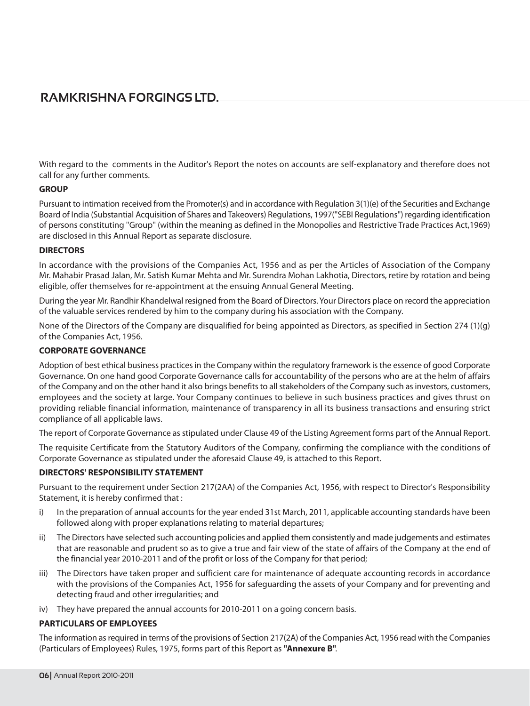With regard to the comments in the Auditor's Report the notes on accounts are self-explanatory and therefore does not call for any further comments.

#### **GROUP**

Pursuant to intimation received from the Promoter(s) and in accordance with Regulation 3(1)(e) of the Securities and Exchange Board of India (Substantial Acquisition of Shares and Takeovers) Regulations, 1997 ("SEBI Regulations") regarding identification of persons constituting "Group" (within the meaning as defined in the Monopolies and Restrictive Trade Practices Act, 1969) are disclosed in this Annual Report as separate disclosure.

#### **DIRECTORS**

In accordance with the provisions of the Companies Act, 1956 and as per the Articles of Association of the Company Mr. Mahabir Prasad Jalan, Mr. Satish Kumar Mehta and Mr. Surendra Mohan Lakhotia, Directors, retire by rotation and being eligible, offer themselves for re-appointment at the ensuing Annual General Meeting.

During the year Mr. Randhir Khandelwal resigned from the Board of Directors. Your Directors place on record the appreciation of the valuable services rendered by him to the company during his association with the Company.

None of the Directors of the Company are disqualified for being appointed as Directors, as specified in Section 274 (1)(g) of the Companies Act, 1956.

#### **CORPORATE GOVERNANCE**

Adoption of best ethical business practices in the Company within the regulatory framework is the essence of good Corporate Governance. On one hand good Corporate Governance calls for accountability of the persons who are at the helm of affairs of the Company and on the other hand it also brings benefits to all stakeholders of the Company such as investors, customers, employees and the society at large. Your Company continues to believe in such business practices and gives thrust on providing reliable financial information, maintenance of transparency in all its business transactions and ensuring strict compliance of all applicable laws.

The report of Corporate Governance as stipulated under Clause 49 of the Listing Agreement forms part of the Annual Report.

The requisite Certificate from the Statutory Auditors of the Company, confirming the compliance with the conditions of Corporate Governance as stipulated under the aforesaid Clause 49, is attached to this Report.

#### **DIRECTORS' RESPONSIBILITY STATEMENT**

Pursuant to the requirement under Section 217(2AA) of the Companies Act, 1956, with respect to Director's Responsibility Statement, it is hereby confirmed that:

- i) In the preparation of annual accounts for the year ended 31st March, 2011, applicable accounting standards have been followed along with proper explanations relating to material departures;
- The Directors have selected such accounting policies and applied them consistently and made judgements and estimates ii) that are reasonable and prudent so as to give a true and fair view of the state of affairs of the Company at the end of the financial year 2010-2011 and of the profit or loss of the Company for that period;
- The Directors have taken proper and sufficient care for maintenance of adequate accounting records in accordance iii) with the provisions of the Companies Act, 1956 for safeguarding the assets of your Company and for preventing and detecting fraud and other irregularities; and
- iv) They have prepared the annual accounts for 2010-2011 on a going concern basis.

#### **PARTICULARS OF EMPLOYEES**

The information as required in terms of the provisions of Section 217(2A) of the Companies Act, 1956 read with the Companies (Particulars of Employees) Rules, 1975, forms part of this Report as "Annexure B".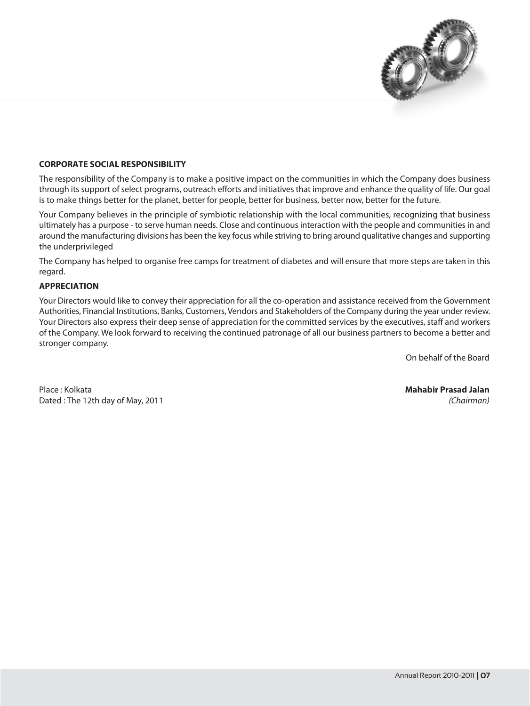

#### **CORPORATE SOCIAL RESPONSIBILITY**

The responsibility of the Company is to make a positive impact on the communities in which the Company does business through its support of select programs, outreach efforts and initiatives that improve and enhance the quality of life. Our goal is to make things better for the planet, better for people, better for business, better now, better for the future.

Your Company believes in the principle of symbiotic relationship with the local communities, recognizing that business ultimately has a purpose - to serve human needs. Close and continuous interaction with the people and communities in and around the manufacturing divisions has been the key focus while striving to bring around qualitative changes and supporting the underprivileged

The Company has helped to organise free camps for treatment of diabetes and will ensure that more steps are taken in this regard.

#### **APPRECIATION**

Your Directors would like to convey their appreciation for all the co-operation and assistance received from the Government Authorities, Financial Institutions, Banks, Customers, Vendors and Stakeholders of the Company during the year under review. Your Directors also express their deep sense of appreciation for the committed services by the executives, staff and workers of the Company. We look forward to receiving the continued patronage of all our business partners to become a better and stronger company.

On behalf of the Board

Place: Kolkata Dated: The 12th day of May, 2011 **Mahabir Prasad Jalan** (Chairman)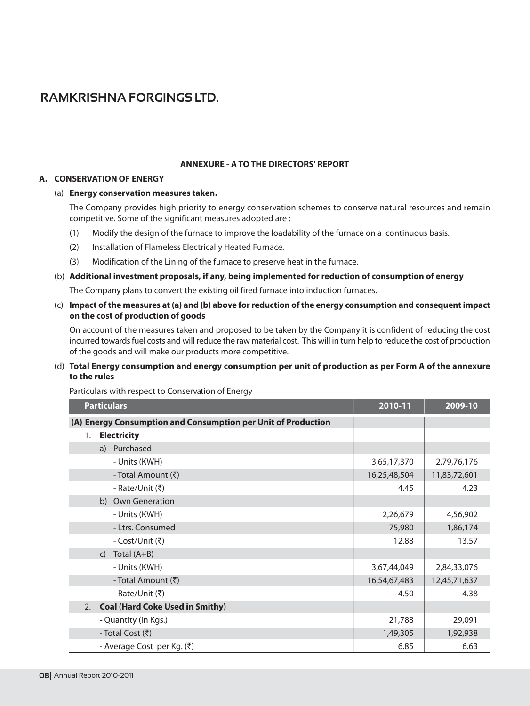#### **ANNEXURE - A TO THE DIRECTORS' REPORT**

#### A. CONSERVATION OF ENERGY

#### (a) Energy conservation measures taken.

The Company provides high priority to energy conservation schemes to conserve natural resources and remain competitive. Some of the significant measures adopted are:

- $(1)$ Modify the design of the furnace to improve the loadability of the furnace on a continuous basis.
- $(2)$ Installation of Flameless Electrically Heated Furnace.
- Modification of the Lining of the furnace to preserve heat in the furnace.  $(3)$

#### (b) Additional investment proposals, if any, being implemented for reduction of consumption of energy

The Company plans to convert the existing oil fired furnace into induction furnaces.

(c) Impact of the measures at (a) and (b) above for reduction of the energy consumption and consequent impact on the cost of production of goods

On account of the measures taken and proposed to be taken by the Company it is confident of reducing the cost incurred towards fuel costs and will reduce the raw material cost. This will in turn help to reduce the cost of production of the goods and will make our products more competitive.

#### (d) Total Energy consumption and energy consumption per unit of production as per Form A of the annexure to the rules

Particulars with respect to Conservation of Energy

|    | <b>Particulars</b>                                            | 2010-11      | 2009-10      |
|----|---------------------------------------------------------------|--------------|--------------|
|    | (A) Energy Consumption and Consumption per Unit of Production |              |              |
| 1. | <b>Electricity</b>                                            |              |              |
|    | a) Purchased                                                  |              |              |
|    | - Units (KWH)                                                 | 3,65,17,370  | 2,79,76,176  |
|    | - Total Amount (₹)                                            | 16,25,48,504 | 11,83,72,601 |
|    | - Rate/Unit (₹)                                               | 4.45         | 4.23         |
|    | b) Own Generation                                             |              |              |
|    | - Units (KWH)                                                 | 2,26,679     | 4,56,902     |
|    | - Ltrs. Consumed                                              | 75,980       | 1,86,174     |
|    | - Cost/Unit (₹)                                               | 12.88        | 13.57        |
|    | Total $(A+B)$<br>$\mathsf{C}$                                 |              |              |
|    | - Units (KWH)                                                 | 3,67,44,049  | 2,84,33,076  |
|    | - Total Amount (₹)                                            | 16,54,67,483 | 12,45,71,637 |
|    | - Rate/Unit (₹)                                               | 4.50         | 4.38         |
| 2. | <b>Coal (Hard Coke Used in Smithy)</b>                        |              |              |
|    | - Quantity (in Kgs.)                                          | 21,788       | 29,091       |
|    | - Total Cost (₹)                                              | 1,49,305     | 1,92,938     |
|    | - Average Cost per Kg. (₹)                                    | 6.85         | 6.63         |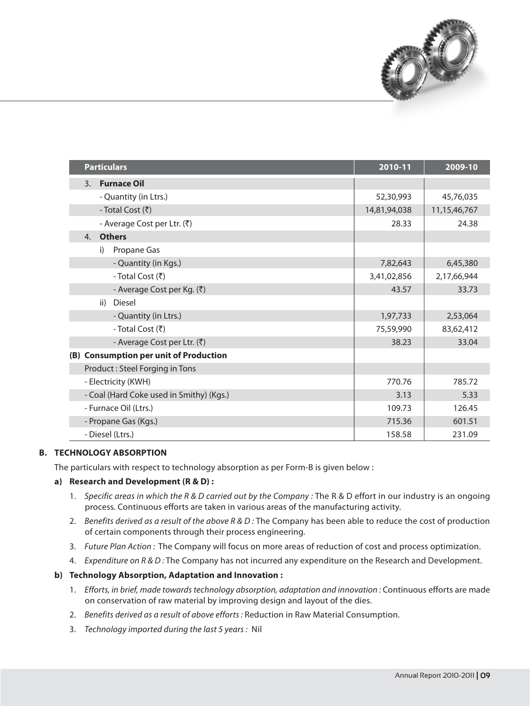

| <b>Particulars</b>                       | 2010-11      | 2009-10      |
|------------------------------------------|--------------|--------------|
| <b>Furnace Oil</b><br>$\overline{3}$ .   |              |              |
| - Quantity (in Ltrs.)                    | 52,30,993    | 45,76,035    |
| - Total Cost (₹)                         | 14,81,94,038 | 11,15,46,767 |
| - Average Cost per Ltr. (₹)              | 28.33        | 24.38        |
| <b>Others</b><br>4.                      |              |              |
| Propane Gas<br>i)                        |              |              |
| - Quantity (in Kgs.)                     | 7,82,643     | 6,45,380     |
| - Total Cost (₹)                         | 3,41,02,856  | 2,17,66,944  |
| - Average Cost per Kg. (₹)               | 43.57        | 33.73        |
| <b>Diesel</b><br>ii)                     |              |              |
| - Quantity (in Ltrs.)                    | 1,97,733     | 2,53,064     |
| - Total Cost (₹)                         | 75,59,990    | 83,62,412    |
| - Average Cost per Ltr. (₹)              | 38.23        | 33.04        |
| (B) Consumption per unit of Production   |              |              |
| Product: Steel Forging in Tons           |              |              |
| - Electricity (KWH)                      | 770.76       | 785.72       |
| - Coal (Hard Coke used in Smithy) (Kgs.) | 3.13         | 5.33         |
| - Furnace Oil (Ltrs.)                    | 109.73       | 126.45       |
| - Propane Gas (Kgs.)                     | 715.36       | 601.51       |
| - Diesel (Ltrs.)                         | 158.58       | 231.09       |

#### **B. TECHNOLOGY ABSORPTION**

The particulars with respect to technology absorption as per Form-B is given below :

#### a) Research and Development (R & D) :

- 1. Specific areas in which the R & D carried out by the Company : The R & D effort in our industry is an ongoing process. Continuous efforts are taken in various areas of the manufacturing activity.
- 2. Benefits derived as a result of the above  $R \& D$ : The Company has been able to reduce the cost of production of certain components through their process engineering.
- 3. Future Plan Action: The Company will focus on more areas of reduction of cost and process optimization.
- 4. Expenditure on R & D: The Company has not incurred any expenditure on the Research and Development.

#### b) Technology Absorption, Adaptation and Innovation:

- 1. Efforts, in brief, made towards technology absorption, adaptation and innovation : Continuous efforts are made on conservation of raw material by improving design and layout of the dies.
- 2. Benefits derived as a result of above efforts : Reduction in Raw Material Consumption.
- 3. Technology imported during the last 5 years: Nil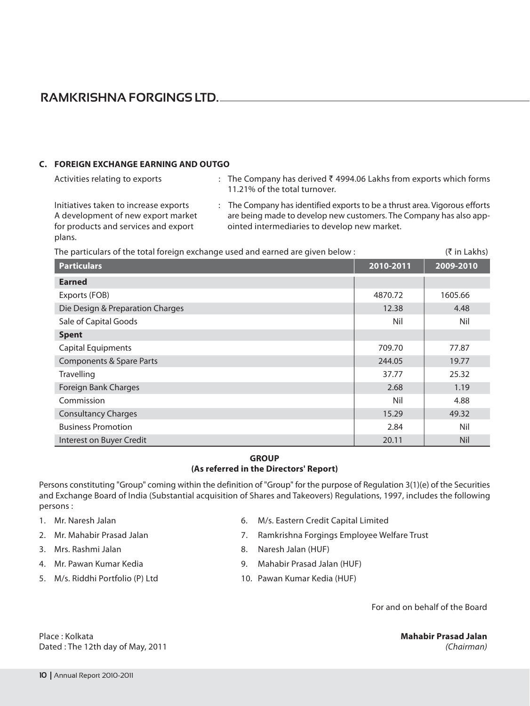#### C. FOREIGN EXCHANGE EARNING AND OUTGO

Activities relating to exports

 $\rightarrow$ 

: The Company has derived ₹ 4994.06 Lakhs from exports which forms 11.21% of the total turnover.

Initiatives taken to increase exports A development of new export market for products and services and export plans.

and the state

: The Company has identified exports to be a thrust area. Vigorous efforts are being made to develop new customers. The Company has also appointed intermediaries to develop new market.

 $\mathbf{r} = \mathbf{r}$ 

| The particulars of the total foreign exchange used and earned are given below : | (र in Lakhs) |            |
|---------------------------------------------------------------------------------|--------------|------------|
| <b>Particulars</b>                                                              | 2010-2011    | 2009-2010  |
| <b>Earned</b>                                                                   |              |            |
| Exports (FOB)                                                                   | 4870.72      | 1605.66    |
| Die Design & Preparation Charges                                                | 12.38        | 4.48       |
| Sale of Capital Goods                                                           | Nil          | Nil        |
| <b>Spent</b>                                                                    |              |            |
| Capital Equipments                                                              | 709.70       | 77.87      |
| Components & Spare Parts                                                        | 244.05       | 19.77      |
| Travelling                                                                      | 37.77        | 25.32      |
| <b>Foreign Bank Charges</b>                                                     | 2.68         | 1.19       |
| Commission                                                                      | Nil          | 4.88       |
| <b>Consultancy Charges</b>                                                      | 15.29        | 49.32      |
| <b>Business Promotion</b>                                                       | 2.84         | Nil        |
| Interest on Buyer Credit                                                        | 20.11        | <b>Nil</b> |

#### **GROUP** (As referred in the Directors' Report)

Persons constituting "Group" coming within the definition of "Group" for the purpose of Regulation 3(1)(e) of the Securities and Exchange Board of India (Substantial acquisition of Shares and Takeovers) Regulations, 1997, includes the following persons:

- 1. Mr. Naresh Jalan
- 2. Mr. Mahabir Prasad Jalan
- 3. Mrs. Rashmi Jalan
- 4. Mr. Pawan Kumar Kedia
- 5. M/s. Riddhi Portfolio (P) Ltd
- 6. M/s. Eastern Credit Capital Limited
- 7. Ramkrishna Forgings Employee Welfare Trust
- 8. Naresh Jalan (HUF)
- 9. Mahabir Prasad Jalan (HUF)
- 10. Pawan Kumar Kedia (HUF)

For and on behalf of the Board

**Mahabir Prasad Jalan** (Chairman)

 $\sqrt{2}$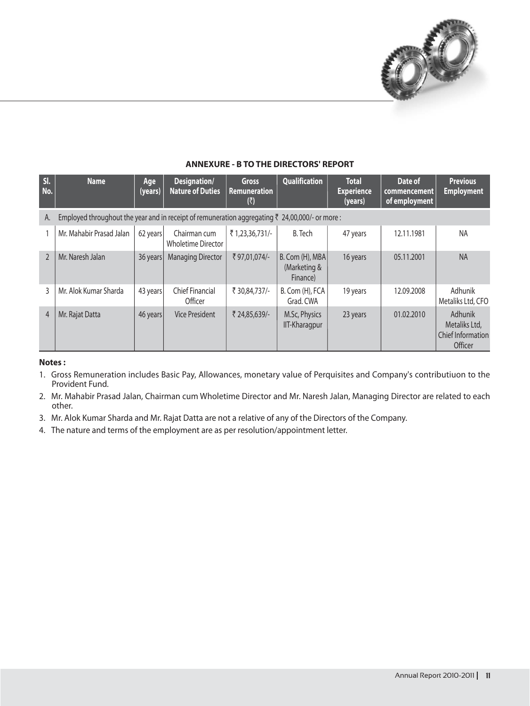

| SI.<br>No.     | <b>Name</b>                                                                                                | Age<br>(years) | Designation/<br><b>Nature of Duties</b>   | <b>Gross</b><br><b>Remuneration</b><br>(₹) | Qualification                                 | <b>Total</b><br><b>Experience</b><br>(years) | Date of<br>commencement<br>of employment | <b>Previous</b><br><b>Employment</b>                            |
|----------------|------------------------------------------------------------------------------------------------------------|----------------|-------------------------------------------|--------------------------------------------|-----------------------------------------------|----------------------------------------------|------------------------------------------|-----------------------------------------------------------------|
| А.             | Employed throughout the year and in receipt of remuneration aggregating $\bar{\tau}$ 24,00,000/- or more : |                |                                           |                                            |                                               |                                              |                                          |                                                                 |
|                | Mr. Mahabir Prasad Jalan                                                                                   | 62 years       | Chairman cum<br><b>Wholetime Director</b> | ₹1,23,36,731/-                             | <b>B.</b> Tech                                | 47 years                                     | 12.11.1981                               | <b>NA</b>                                                       |
| $\mathfrak{I}$ | Mr. Naresh Jalan                                                                                           | 36 years       | <b>Managing Director</b>                  | ₹97,01,074/-                               | $B.$ Com (H), MBA<br>(Marketing &<br>Finance) | 16 years                                     | 05.11.2001                               | <b>NA</b>                                                       |
|                | Mr. Alok Kumar Sharda                                                                                      | 43 years       | <b>Chief Financial</b><br>Officer         | ₹ 30,84,737/-                              | B. Com (H), FCA<br>Grad. CWA                  | 19 years                                     | 12.09.2008                               | Adhunik<br>Metaliks Ltd, CFO                                    |
| $\overline{4}$ | Mr. Rajat Datta                                                                                            | 46 years       | <b>Vice President</b>                     | ₹ 24,85,639/-                              | M.Sc, Physics<br><b>IIT-Kharagpur</b>         | 23 years                                     | 01.02.2010                               | Adhunik<br>Metaliks Ltd,<br><b>Chief Information</b><br>Officer |

#### **ANNEXURE - B TO THE DIRECTORS' REPORT**

#### Notes:

- 1. Gross Remuneration includes Basic Pay, Allowances, monetary value of Perquisites and Company's contributiuon to the Provident Fund.
- 2. Mr. Mahabir Prasad Jalan, Chairman cum Wholetime Director and Mr. Naresh Jalan, Managing Director are related to each other.
- 3. Mr. Alok Kumar Sharda and Mr. Rajat Datta are not a relative of any of the Directors of the Company.
- 4. The nature and terms of the employment are as per resolution/appointment letter.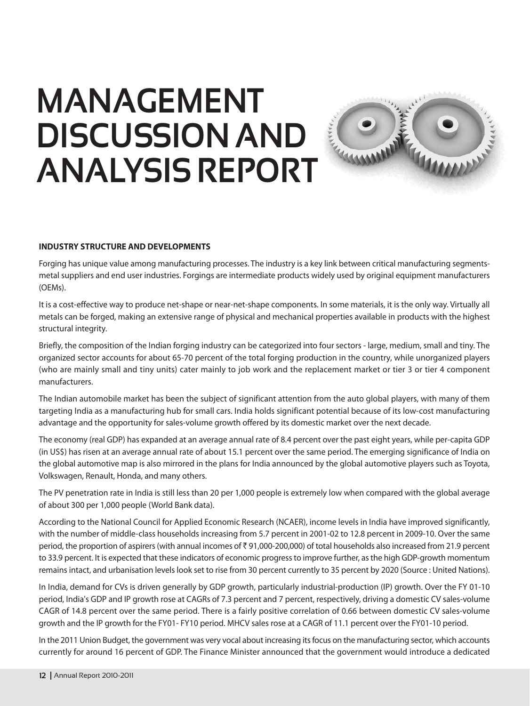## **MANAGEMENT DISCUSSION AND ANALYSIS REPORT**



#### **INDUSTRY STRUCTURE AND DEVELOPMENTS**

Forging has unique value among manufacturing processes. The industry is a key link between critical manufacturing segmentsmetal suppliers and end user industries. Forgings are intermediate products widely used by original equipment manufacturers (OEMs).

It is a cost-effective way to produce net-shape or near-net-shape components. In some materials, it is the only way. Virtually all metals can be forged, making an extensive range of physical and mechanical properties available in products with the highest structural integrity.

Briefly, the composition of the Indian forging industry can be categorized into four sectors - large, medium, small and tiny. The organized sector accounts for about 65-70 percent of the total forging production in the country, while unorganized players (who are mainly small and tiny units) cater mainly to job work and the replacement market or tier 3 or tier 4 component manufacturers.

The Indian automobile market has been the subject of significant attention from the auto global players, with many of them targeting India as a manufacturing hub for small cars. India holds significant potential because of its low-cost manufacturing advantage and the opportunity for sales-volume growth offered by its domestic market over the next decade.

The economy (real GDP) has expanded at an average annual rate of 8.4 percent over the past eight years, while per-capita GDP (in US\$) has risen at an average annual rate of about 15.1 percent over the same period. The emerging significance of India on the global automotive map is also mirrored in the plans for India announced by the global automotive players such as Toyota, Volkswagen, Renault, Honda, and many others.

The PV penetration rate in India is still less than 20 per 1,000 people is extremely low when compared with the global average of about 300 per 1,000 people (World Bank data).

According to the National Council for Applied Economic Research (NCAER), income levels in India have improved significantly, with the number of middle-class households increasing from 5.7 percent in 2001-02 to 12.8 percent in 2009-10. Over the same period, the proportion of aspirers (with annual incomes of ₹91,000-200,000) of total households also increased from 21.9 percent to 33.9 percent. It is expected that these indicators of economic progress to improve further, as the high GDP-growth momentum remains intact, and urbanisation levels look set to rise from 30 percent currently to 35 percent by 2020 (Source : United Nations).

In India, demand for CVs is driven generally by GDP growth, particularly industrial-production (IP) growth. Over the FY 01-10 period, India's GDP and IP growth rose at CAGRs of 7.3 percent and 7 percent, respectively, driving a domestic CV sales-volume CAGR of 14.8 percent over the same period. There is a fairly positive correlation of 0.66 between domestic CV sales-volume growth and the IP growth for the FY01-FY10 period. MHCV sales rose at a CAGR of 11.1 percent over the FY01-10 period.

In the 2011 Union Budget, the government was very vocal about increasing its focus on the manufacturing sector, which accounts currently for around 16 percent of GDP. The Finance Minister announced that the government would introduce a dedicated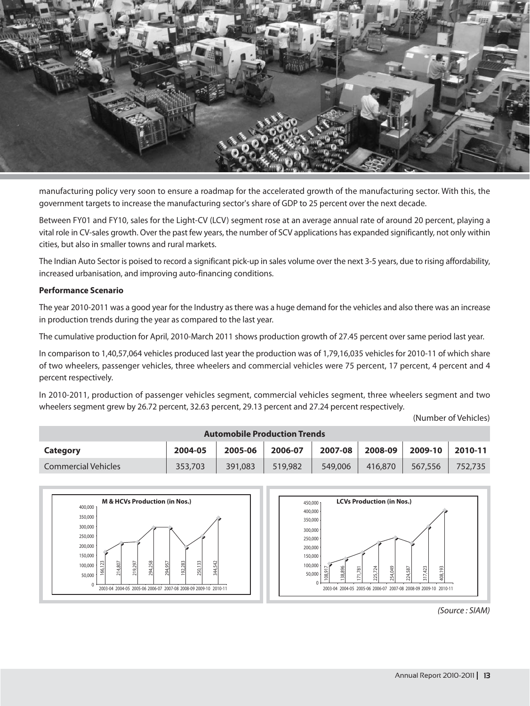

manufacturing policy very soon to ensure a roadmap for the accelerated growth of the manufacturing sector. With this, the government targets to increase the manufacturing sector's share of GDP to 25 percent over the next decade.

Between FY01 and FY10, sales for the Light-CV (LCV) segment rose at an average annual rate of around 20 percent, playing a vital role in CV-sales growth. Over the past few years, the number of SCV applications has expanded significantly, not only within cities, but also in smaller towns and rural markets.

The Indian Auto Sector is poised to record a significant pick-up in sales volume over the next 3-5 years, due to rising affordability, increased urbanisation, and improving auto-financing conditions.

#### **Performance Scenario**

The year 2010-2011 was a good year for the Industry as there was a huge demand for the vehicles and also there was an increase in production trends during the year as compared to the last year.

The cumulative production for April, 2010-March 2011 shows production growth of 27.45 percent over same period last year.

In comparison to 1,40,57,064 vehicles produced last year the production was of 1,79,16,035 vehicles for 2010-11 of which share of two wheelers, passenger vehicles, three wheelers and commercial vehicles were 75 percent, 17 percent, 4 percent and 4 percent respectively.

In 2010-2011, production of passenger vehicles segment, commercial vehicles segment, three wheelers segment and two wheelers segment grew by 26.72 percent, 32.63 percent, 29.13 percent and 27.24 percent respectively.

(Number of Vehicles)

| <b>Automobile Production Trends</b> |         |         |         |         |         |         |         |
|-------------------------------------|---------|---------|---------|---------|---------|---------|---------|
| Category                            | 2004-05 | 2005-06 | 2006-07 | 2007-08 | 2008-09 | 2009-10 | 2010-11 |
| Commercial Vehicles                 | 353,703 | 391,083 | 519,982 | 549,006 | 416,870 | 567,556 | 752,735 |





<sup>(</sup>Source: SIAM)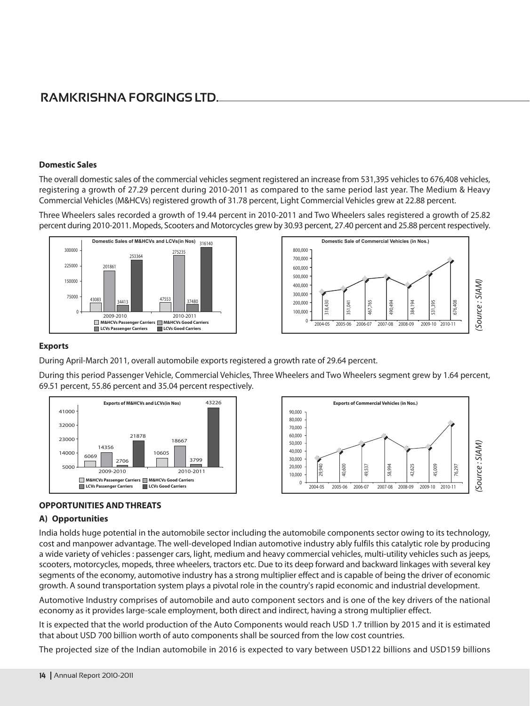#### **Domestic Sales**

The overall domestic sales of the commercial vehicles segment registered an increase from 531,395 vehicles to 676,408 vehicles, registering a growth of 27.29 percent during 2010-2011 as compared to the same period last year. The Medium & Heavy Commercial Vehicles (M&HCVs) registered growth of 31.78 percent, Light Commercial Vehicles grew at 22.88 percent.

Three Wheelers sales recorded a growth of 19.44 percent in 2010-2011 and Two Wheelers sales registered a growth of 25.82 percent during 2010-2011. Mopeds, Scooters and Motorcycles grew by 30.93 percent, 27.40 percent and 25.88 percent respectively.





#### **Exports**

During April-March 2011, overall automobile exports registered a growth rate of 29.64 percent.

During this period Passenger Vehicle, Commercial Vehicles, Three Wheelers and Two Wheelers segment grew by 1.64 percent, 69.51 percent, 55.86 percent and 35.04 percent respectively.





#### **OPPORTUNITIES AND THREATS**

#### A) Opportunities

India holds huge potential in the automobile sector including the automobile components sector owing to its technology, cost and manpower advantage. The well-developed Indian automotive industry ably fulfils this catalytic role by producing a wide variety of vehicles : passenger cars, light, medium and heavy commercial vehicles, multi-utility vehicles such as jeeps, scooters, motorcycles, mopeds, three wheelers, tractors etc. Due to its deep forward and backward linkages with several key segments of the economy, automotive industry has a strong multiplier effect and is capable of being the driver of economic growth. A sound transportation system plays a pivotal role in the country's rapid economic and industrial development.

Automotive Industry comprises of automobile and auto component sectors and is one of the key drivers of the national economy as it provides large-scale employment, both direct and indirect, having a strong multiplier effect.

It is expected that the world production of the Auto Components would reach USD 1.7 trillion by 2015 and it is estimated that about USD 700 billion worth of auto components shall be sourced from the low cost countries.

The projected size of the Indian automobile in 2016 is expected to vary between USD122 billions and USD159 billions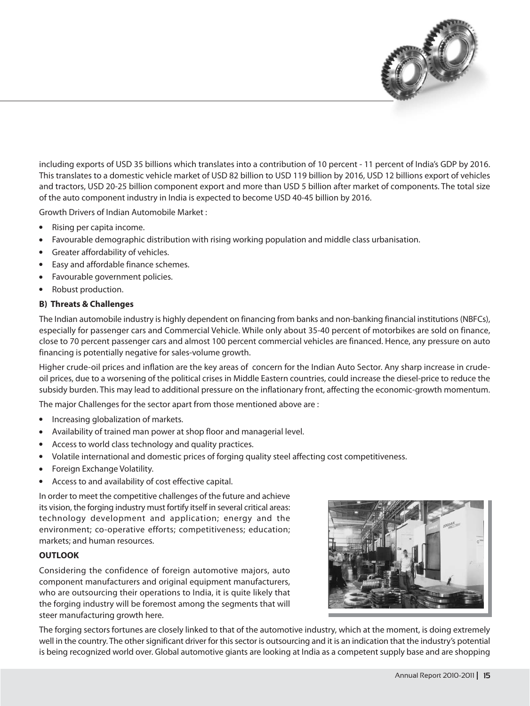

including exports of USD 35 billions which translates into a contribution of 10 percent - 11 percent of India's GDP by 2016. This translates to a domestic vehicle market of USD 82 billion to USD 119 billion by 2016, USD 12 billions export of vehicles and tractors, USD 20-25 billion component export and more than USD 5 billion after market of components. The total size of the auto component industry in India is expected to become USD 40-45 billion by 2016.

**Growth Drivers of Indian Automobile Market:** 

- Rising per capita income.  $\bullet$
- $\bullet$ Favourable demographic distribution with rising working population and middle class urbanisation.
- Greater affordability of vehicles.  $\bullet$
- Easy and affordable finance schemes.  $\bullet$
- Favourable government policies.  $\bullet$
- Robust production.

#### **B) Threats & Challenges**

The Indian automobile industry is highly dependent on financing from banks and non-banking financial institutions (NBFCs), especially for passenger cars and Commercial Vehicle. While only about 35-40 percent of motorbikes are sold on finance, close to 70 percent passenger cars and almost 100 percent commercial vehicles are financed. Hence, any pressure on auto financing is potentially negative for sales-volume growth.

Higher crude-oil prices and inflation are the key areas of concern for the Indian Auto Sector. Any sharp increase in crudeoil prices, due to a worsening of the political crises in Middle Eastern countries, could increase the diesel-price to reduce the subsidy burden. This may lead to additional pressure on the inflationary front, affecting the economic-growth momentum.

The major Challenges for the sector apart from those mentioned above are:

- $\bullet$ Increasing globalization of markets.
- Availability of trained man power at shop floor and managerial level.
- Access to world class technology and quality practices.  $\bullet$
- $\bullet$ Volatile international and domestic prices of forging quality steel affecting cost competitiveness.
- $\bullet$ Foreign Exchange Volatility.
- Access to and availability of cost effective capital.  $\bullet$

In order to meet the competitive challenges of the future and achieve its vision, the forging industry must fortify itself in several critical areas: technology development and application; energy and the environment; co-operative efforts; competitiveness; education; markets; and human resources.

#### **OUTLOOK**

Considering the confidence of foreign automotive majors, auto component manufacturers and original equipment manufacturers, who are outsourcing their operations to India, it is quite likely that the forging industry will be foremost among the segments that will steer manufacturing growth here.



The forging sectors fortunes are closely linked to that of the automotive industry, which at the moment, is doing extremely well in the country. The other significant driver for this sector is outsourcing and it is an indication that the industry's potential is being recognized world over. Global automotive giants are looking at India as a competent supply base and are shopping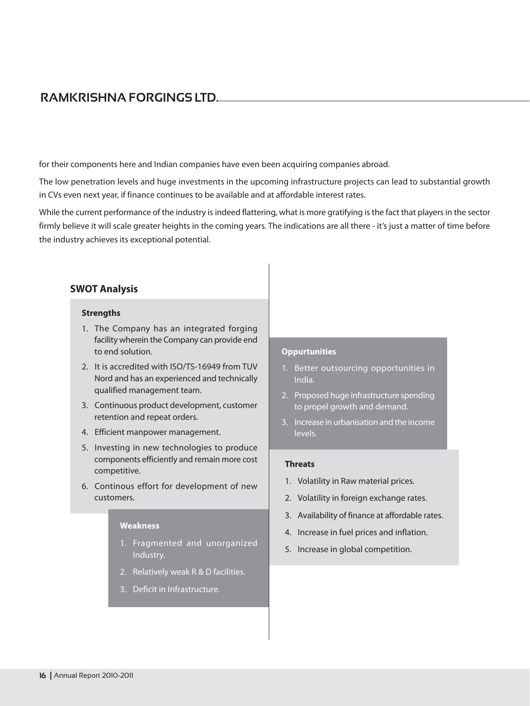for their components here and Indian companies have even been acquiring companies abroad.

The low penetration levels and huge investments in the upcoming infrastructure projects can lead to substantial growth in CVs even next year, if finance continues to be available and at affordable interest rates.

While the current performance of the industry is indeed flattering, what is more gratifying is the fact that players in the sector firmly believe it will scale greater heights in the coming years. The indications are all there - it's just a matter of time before the industry achieves its exceptional potential.

#### **SWOT Analysis**

#### **Strengths**

- 1. The Company has an integrated forging facility wherein the Company can provide end to end solution.
- 2. It is accredited with ISO/TS-16949 from TUV Nord and has an experienced and technically qualified management team.
- 3. Continuous product development, customer retention and repeat orders.
- 4. Efficient manpower management.
- 5. Investing in new technologies to produce components efficiently and remain more cost competitive.
- 6. Continous effort for development of new customers.

#### Weakness

- 1. Fragmented and unorganized Industry.
- 2. Relatively weak R & D facilities.
- 3. Deficit in Infrastructure.

#### **Oppurtunities**

- 1. Better outsourcing opportunities in India.
- 2. Proposed huge infrastructure spending to propel growth and demand.
- 3. Increase in urbanisation and the income levels.

#### **Threats**

- 1. Volatility in Raw material prices.
- 2. Volatility in foreign exchange rates.
- 3. Availability of finance at affordable rates.
- 4. Increase in fuel prices and inflation.
- 5. Increase in global competition.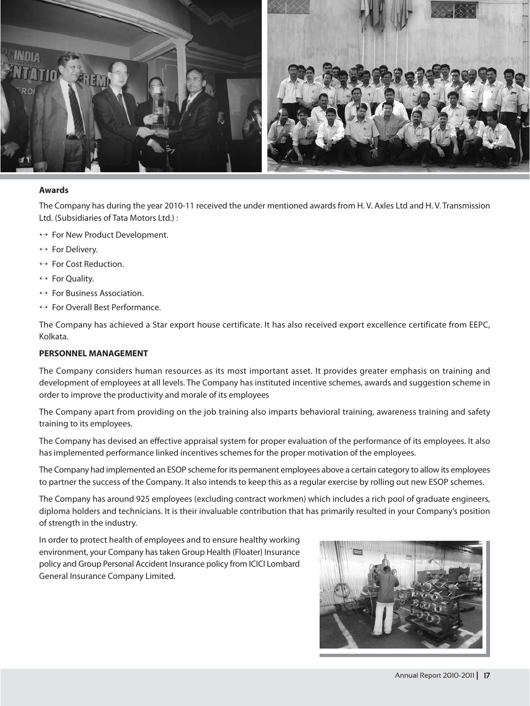

#### **Awards**

The Company has during the year 2010-11 received the under mentioned awards from H.V. Axles Ltd and H.V. Transmission Ltd. (Subsidiaries of Tata Motors Ltd.) :

- $\leftrightarrow$  For New Product Development.
- $\leftrightarrow$  For Delivery.
- $\leftrightarrow$  For Cost Reduction.
- $\leftrightarrow$  For Ouality.
- $\leftrightarrow$  For Business Association.
- $\leftrightarrow$  For Overall Best Performance.

The Company has achieved a Star export house certificate. It has also received export excellence certificate from EEPC, Kolkata.

#### PERSONNEL MANAGEMENT

The Company considers human resources as its most important asset. It provides greater emphasis on training and development of employees at all levels. The Company has instituted incentive schemes, awards and suggestion scheme in order to improve the productivity and morale of its employees

The Company apart from providing on the job training also imparts behavioral training, awareness training and safety training to its employees.

The Company has devised an effective appraisal system for proper evaluation of the performance of its employees. It also has implemented performance linked incentives schemes for the proper motivation of the employees.

The Company had implemented an ESOP scheme for its permanent employees above a certain category to allow its employees to partner the success of the Company. It also intends to keep this as a regular exercise by rolling out new ESOP schemes.

The Company has around 925 employees (excluding contract workmen) which includes a rich pool of graduate engineers, diploma holders and technicians. It is their invaluable contribution that has primarily resulted in your Company's position of strength in the industry.

In order to protect health of employees and to ensure healthy working environment, your Company has taken Group Health (Floater) Insurance policy and Group Personal Accident Insurance policy from ICICI Lombard General Insurance Company Limited.

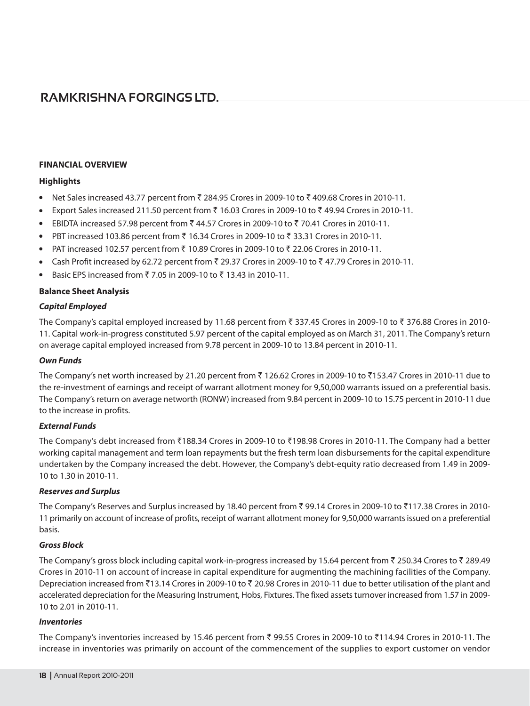#### **FINANCIAL OVERVIEW**

#### **Highlights**

- Net Sales increased 43.77 percent from ₹ 284.95 Crores in 2009-10 to ₹ 409.68 Crores in 2010-11.  $\bullet$
- Export Sales increased 211.50 percent from ₹ 16.03 Crores in 2009-10 to ₹ 49.94 Crores in 2010-11.  $\bullet$
- $\bullet$ EBIDTA increased 57.98 percent from ₹ 44.57 Crores in 2009-10 to ₹ 70.41 Crores in 2010-11.
- PBT increased 103.86 percent from  $\bar{\tau}$  16.34 Crores in 2009-10 to  $\bar{\tau}$  33.31 Crores in 2010-11.
- $\bullet$ PAT increased 102.57 percent from ₹ 10.89 Crores in 2009-10 to ₹ 22.06 Crores in 2010-11.
- Cash Profit increased by 62.72 percent from ₹ 29.37 Crores in 2009-10 to ₹ 47.79 Crores in 2010-11.  $\bullet$
- Basic EPS increased from ₹7.05 in 2009-10 to ₹13.43 in 2010-11.  $\bullet$

#### **Balance Sheet Analysis**

#### **Capital Employed**

The Company's capital employed increased by 11.68 percent from ₹ 337.45 Crores in 2009-10 to ₹ 376.88 Crores in 2010-11. Capital work-in-progress constituted 5.97 percent of the capital employed as on March 31, 2011. The Company's return on average capital employed increased from 9.78 percent in 2009-10 to 13.84 percent in 2010-11.

#### **Own Funds**

The Company's net worth increased by 21.20 percent from ₹126.62 Crores in 2009-10 to ₹153.47 Crores in 2010-11 due to the re-investment of earnings and receipt of warrant allotment money for 9,50,000 warrants issued on a preferential basis. The Company's return on average networth (RONW) increased from 9.84 percent in 2009-10 to 15.75 percent in 2010-11 due to the increase in profits.

#### **External Funds**

The Company's debt increased from ₹188.34 Crores in 2009-10 to ₹198.98 Crores in 2010-11. The Company had a better working capital management and term loan repayments but the fresh term loan disbursements for the capital expenditure undertaken by the Company increased the debt. However, the Company's debt-equity ratio decreased from 1.49 in 2009-10 to 1.30 in 2010-11.

#### **Reserves and Surplus**

The Company's Reserves and Surplus increased by 18.40 percent from ₹ 99.14 Crores in 2009-10 to ₹117.38 Crores in 2010-11 primarily on account of increase of profits, receipt of warrant allotment money for 9,50,000 warrants issued on a preferential basis.

#### **Gross Block**

The Company's gross block including capital work-in-progress increased by 15.64 percent from ₹ 250.34 Crores to ₹ 289.49 Crores in 2010-11 on account of increase in capital expenditure for augmenting the machining facilities of the Company. Depreciation increased from ₹13.14 Crores in 2009-10 to ₹ 20.98 Crores in 2010-11 due to better utilisation of the plant and accelerated depreciation for the Measuring Instrument, Hobs, Fixtures. The fixed assets turnover increased from 1.57 in 2009-10 to 2.01 in 2010-11.

#### **Inventories**

The Company's inventories increased by 15.46 percent from ₹ 99.55 Crores in 2009-10 to ₹114.94 Crores in 2010-11. The increase in inventories was primarily on account of the commencement of the supplies to export customer on vendor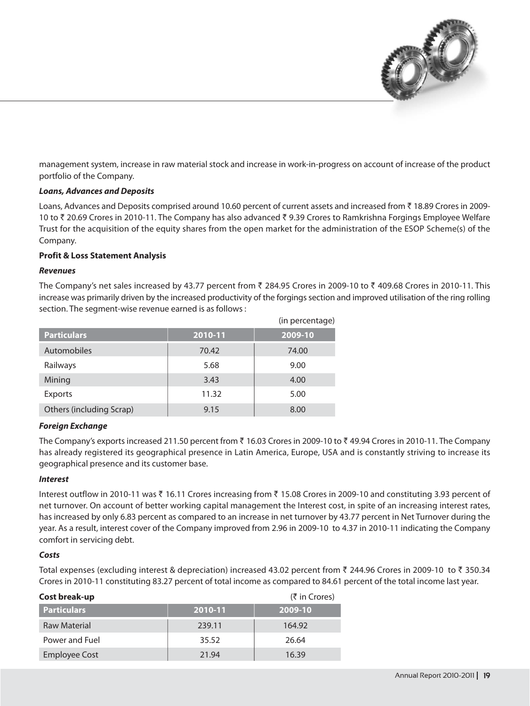

management system, increase in raw material stock and increase in work-in-progress on account of increase of the product portfolio of the Company.

#### **Loans, Advances and Deposits**

Loans, Advances and Deposits comprised around 10.60 percent of current assets and increased from ₹18.89 Crores in 2009-10 to ₹ 20.69 Crores in 2010-11. The Company has also advanced ₹ 9.39 Crores to Ramkrishna Forgings Employee Welfare Trust for the acquisition of the equity shares from the open market for the administration of the ESOP Scheme(s) of the Company.

#### **Profit & Loss Statement Analysis**

#### **Revenues**

The Company's net sales increased by 43.77 percent from ₹ 284.95 Crores in 2009-10 to ₹ 409.68 Crores in 2010-11. This increase was primarily driven by the increased productivity of the forgings section and improved utilisation of the ring rolling section. The segment-wise revenue earned is as follows :

|                          |         | (in percentage) |
|--------------------------|---------|-----------------|
| <b>Particulars</b>       | 2010-11 | 2009-10         |
| <b>Automobiles</b>       | 70.42   | 74.00           |
| Railways                 | 5.68    | 9.00            |
| Mining                   | 3.43    | 4.00            |
| <b>Exports</b>           | 11.32   | 5.00            |
| Others (including Scrap) | 9.15    | 8.00            |

#### **Foreign Exchange**

The Company's exports increased 211.50 percent from ₹ 16.03 Crores in 2009-10 to ₹ 49.94 Crores in 2010-11. The Company has already registered its geographical presence in Latin America, Europe, USA and is constantly striving to increase its geographical presence and its customer base.

#### **Interest**

Interest outflow in 2010-11 was ₹ 16.11 Crores increasing from ₹ 15.08 Crores in 2009-10 and constituting 3.93 percent of net turnover. On account of better working capital management the Interest cost, in spite of an increasing interest rates, has increased by only 6.83 percent as compared to an increase in net turnover by 43.77 percent in Net Turnover during the year. As a result, interest cover of the Company improved from 2.96 in 2009-10 to 4.37 in 2010-11 indicating the Company comfort in servicing debt.

#### Costs

Total expenses (excluding interest & depreciation) increased 43.02 percent from ₹ 244.96 Crores in 2009-10 to ₹ 350.34 Crores in 2010-11 constituting 83.27 percent of total income as compared to 84.61 percent of the total income last year.

| Cost break-up        |         | $(5 \in \mathsf{C} \cap \mathsf{C} \cap \mathsf{C} \cap \mathsf{C} \cap \mathsf{C} \cap \mathsf{C} \cap \mathsf{C} \cap \mathsf{C} \cap \mathsf{C} \cap \mathsf{C} \cap \mathsf{C} \cap \mathsf{C} \cap \mathsf{C} \cap \mathsf{C} \cap \mathsf{C} \cap \mathsf{C} \cap \mathsf{C} \cap \mathsf{C} \cap \mathsf{C} \cap \mathsf{C} \cap \mathsf{C} \cap \mathsf{C} \cap \mathsf{C} \cap \mathsf{C} \cap \mathsf{C} \cap \mathsf{C} \cap \mathsf{C} \cap$ |
|----------------------|---------|----------------------------------------------------------------------------------------------------------------------------------------------------------------------------------------------------------------------------------------------------------------------------------------------------------------------------------------------------------------------------------------------------------------------------------------------------------|
| <b>Particulars</b>   | 2010-11 | 2009-10                                                                                                                                                                                                                                                                                                                                                                                                                                                  |
| <b>Raw Material</b>  | 239.11  | 164.92                                                                                                                                                                                                                                                                                                                                                                                                                                                   |
| Power and Fuel       | 35.52   | 26.64                                                                                                                                                                                                                                                                                                                                                                                                                                                    |
| <b>Employee Cost</b> | 21.94   | 16.39                                                                                                                                                                                                                                                                                                                                                                                                                                                    |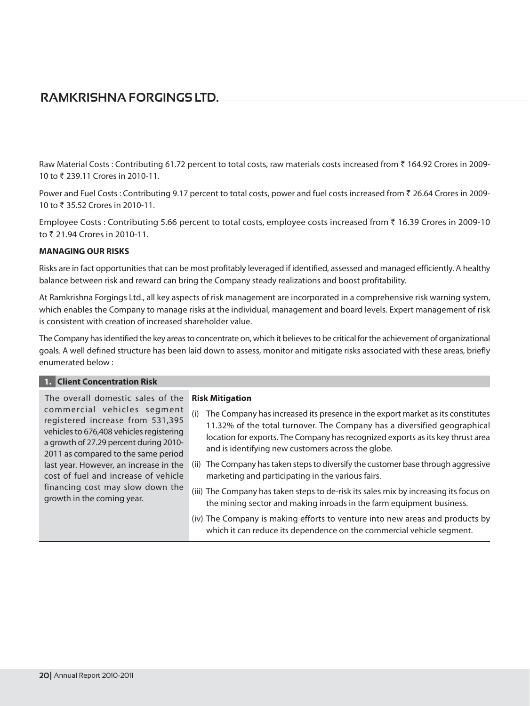Raw Material Costs : Contributing 61.72 percent to total costs, raw materials costs increased from ₹ 164.92 Crores in 2009-10 to ₹ 239.11 Crores in 2010-11.

Power and Fuel Costs : Contributing 9.17 percent to total costs, power and fuel costs increased from ₹ 26.64 Crores in 2009-10 to ₹ 35.52 Crores in 2010-11.

Employee Costs : Contributing 5.66 percent to total costs, employee costs increased from ₹16.39 Crores in 2009-10 to ₹ 21.94 Crores in 2010-11.

#### **MANAGING OUR RISKS**

Risks are in fact opportunities that can be most profitably leveraged if identified, assessed and managed efficiently. A healthy balance between risk and reward can bring the Company steady realizations and boost profitability.

At Ramkrishna Forgings Ltd., all key aspects of risk management are incorporated in a comprehensive risk warning system, which enables the Company to manage risks at the individual, management and board levels. Expert management of risk is consistent with creation of increased shareholder value.

The Company has identified the key areas to concentrate on, which it believes to be critical for the achievement of organizational goals. A well defined structure has been laid down to assess, monitor and mitigate risks associated with these areas, briefly enumerated below:

#### 1. Client Concentration Risk

The overall domestic sales of the commercial vehicles segment registered increase from 531,395 vehicles to 676,408 vehicles registering a growth of 27.29 percent during 2010-2011 as compared to the same period last year. However, an increase in the cost of fuel and increase of vehicle financing cost may slow down the growth in the coming year.

#### **Risk Mitigation**

- (i) The Company has increased its presence in the export market as its constitutes 11.32% of the total turnover. The Company has a diversified geographical location for exports. The Company has recognized exports as its key thrust area and is identifying new customers across the globe.
- (ii) The Company has taken steps to diversify the customer base through aggressive marketing and participating in the various fairs.
- (iii) The Company has taken steps to de-risk its sales mix by increasing its focus on the mining sector and making inroads in the farm equipment business.
- (iv) The Company is making efforts to venture into new areas and products by which it can reduce its dependence on the commercial vehicle segment.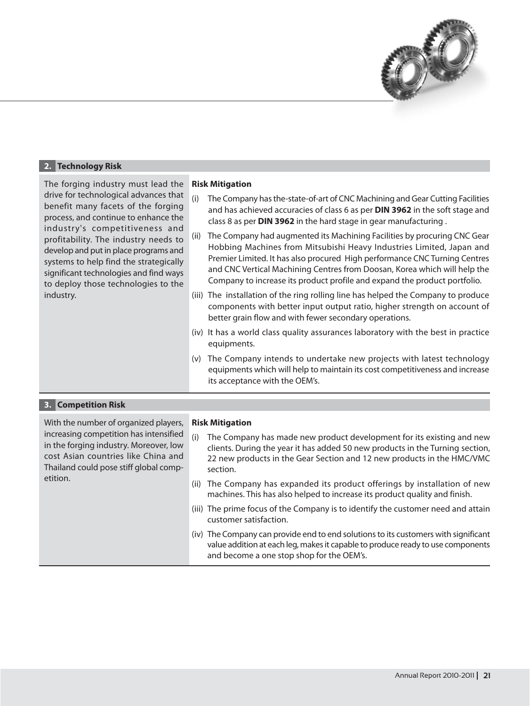

| 2. Technology Risk                                                                                                                                                                                                                                                                                                                                                                                                   |                                                                                                                                                                                                                                                                                                                                                                                                                                                                                                                                                                                                                                                                                                                                                                                                                                                                                                                                                                                                                                                                                                                                                                                                        |  |  |
|----------------------------------------------------------------------------------------------------------------------------------------------------------------------------------------------------------------------------------------------------------------------------------------------------------------------------------------------------------------------------------------------------------------------|--------------------------------------------------------------------------------------------------------------------------------------------------------------------------------------------------------------------------------------------------------------------------------------------------------------------------------------------------------------------------------------------------------------------------------------------------------------------------------------------------------------------------------------------------------------------------------------------------------------------------------------------------------------------------------------------------------------------------------------------------------------------------------------------------------------------------------------------------------------------------------------------------------------------------------------------------------------------------------------------------------------------------------------------------------------------------------------------------------------------------------------------------------------------------------------------------------|--|--|
| The forging industry must lead the<br>drive for technological advances that<br>benefit many facets of the forging<br>process, and continue to enhance the<br>industry's competitiveness and<br>profitability. The industry needs to<br>develop and put in place programs and<br>systems to help find the strategically<br>significant technologies and find ways<br>to deploy those technologies to the<br>industry. | <b>Risk Mitigation</b><br>(i)<br>The Company has the-state-of-art of CNC Machining and Gear Cutting Facilities<br>and has achieved accuracies of class 6 as per DIN 3962 in the soft stage and<br>class 8 as per DIN 3962 in the hard stage in gear manufacturing.<br>The Company had augmented its Machining Facilities by procuring CNC Gear<br>(ii)<br>Hobbing Machines from Mitsubishi Heavy Industries Limited, Japan and<br>Premier Limited. It has also procured High performance CNC Turning Centres<br>and CNC Vertical Machining Centres from Doosan, Korea which will help the<br>Company to increase its product profile and expand the product portfolio.<br>(iii) The installation of the ring rolling line has helped the Company to produce<br>components with better input output ratio, higher strength on account of<br>better grain flow and with fewer secondary operations.<br>(iv) It has a world class quality assurances laboratory with the best in practice<br>equipments.<br>The Company intends to undertake new projects with latest technology<br>(v)<br>equipments which will help to maintain its cost competitiveness and increase<br>its acceptance with the OEM's. |  |  |
| <b>Competition Risk</b>                                                                                                                                                                                                                                                                                                                                                                                              |                                                                                                                                                                                                                                                                                                                                                                                                                                                                                                                                                                                                                                                                                                                                                                                                                                                                                                                                                                                                                                                                                                                                                                                                        |  |  |

| With the number of organized players,<br>increasing competition has intensified<br>in the forging industry. Moreover, low<br>cost Asian countries like China and<br>Thailand could pose stiff global comp- | <b>Risk Mitigation</b><br>(i)<br>The Company has made new product development for its existing and new<br>clients. During the year it has added 50 new products in the Turning section,<br>22 new products in the Gear Section and 12 new products in the HMC/VMC<br>section. |
|------------------------------------------------------------------------------------------------------------------------------------------------------------------------------------------------------------|-------------------------------------------------------------------------------------------------------------------------------------------------------------------------------------------------------------------------------------------------------------------------------|
| etition.                                                                                                                                                                                                   | (ii) The Company has expanded its product offerings by installation of new<br>machines. This has also helped to increase its product quality and finish.                                                                                                                      |
|                                                                                                                                                                                                            | (iii) The prime focus of the Company is to identify the customer need and attain<br>customer satisfaction.                                                                                                                                                                    |
|                                                                                                                                                                                                            | (iv) The Company can provide end to end solutions to its customers with significant<br>value addition at each leg, makes it capable to produce ready to use components<br>and become a one stop shop for the OEM's.                                                           |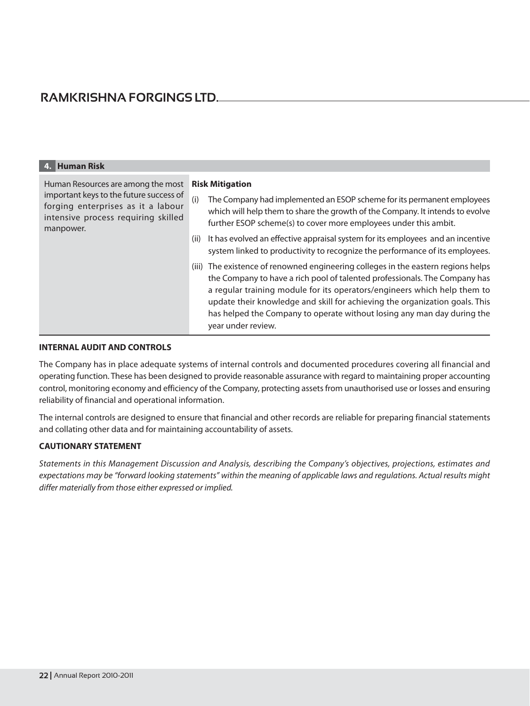| 4. Human Risk                                                                                                                                                           |                                                                                                                                                                                                                                                                                                                                                                                                                             |
|-------------------------------------------------------------------------------------------------------------------------------------------------------------------------|-----------------------------------------------------------------------------------------------------------------------------------------------------------------------------------------------------------------------------------------------------------------------------------------------------------------------------------------------------------------------------------------------------------------------------|
| Human Resources are among the most<br>important keys to the future success of<br>forging enterprises as it a labour<br>intensive process requiring skilled<br>manpower. | <b>Risk Mitigation</b><br>(i)<br>The Company had implemented an ESOP scheme for its permanent employees<br>which will help them to share the growth of the Company. It intends to evolve<br>further ESOP scheme(s) to cover more employees under this ambit.                                                                                                                                                                |
|                                                                                                                                                                         | It has evolved an effective appraisal system for its employees and an incentive<br>(ii)<br>system linked to productivity to recognize the performance of its employees.                                                                                                                                                                                                                                                     |
|                                                                                                                                                                         | (iii) The existence of renowned engineering colleges in the eastern regions helps<br>the Company to have a rich pool of talented professionals. The Company has<br>a regular training module for its operators/engineers which help them to<br>update their knowledge and skill for achieving the organization goals. This<br>has helped the Company to operate without losing any man day during the<br>year under review. |

#### **INTERNAL AUDIT AND CONTROLS**

The Company has in place adequate systems of internal controls and documented procedures covering all financial and operating function. These has been designed to provide reasonable assurance with regard to maintaining proper accounting control, monitoring economy and efficiency of the Company, protecting assets from unauthorised use or losses and ensuring reliability of financial and operational information.

The internal controls are designed to ensure that financial and other records are reliable for preparing financial statements and collating other data and for maintaining accountability of assets.

#### **CAUTIONARY STATEMENT**

Statements in this Management Discussion and Analysis, describing the Company's objectives, projections, estimates and expectations may be "forward looking statements" within the meaning of applicable laws and regulations. Actual results might differ materially from those either expressed or implied.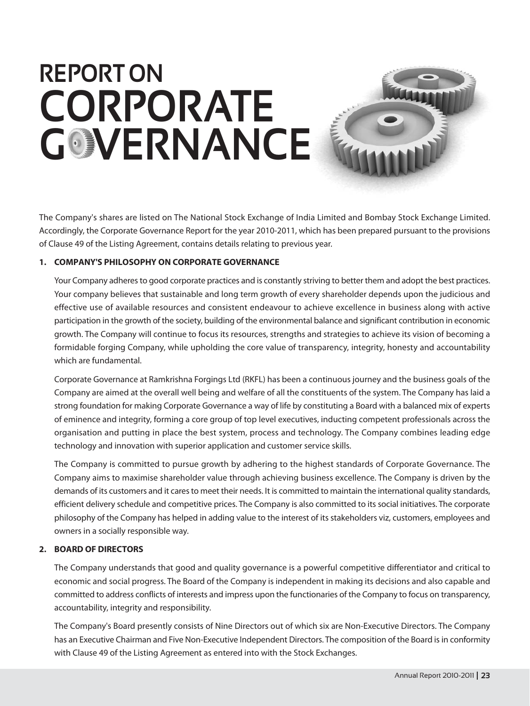## **REPORT ON** CORPORATE **GOVERNANCE**

The Company's shares are listed on The National Stock Exchange of India Limited and Bombay Stock Exchange Limited. Accordingly, the Corporate Governance Report for the year 2010-2011, which has been prepared pursuant to the provisions of Clause 49 of the Listing Agreement, contains details relating to previous year.

#### 1. COMPANY'S PHILOSOPHY ON CORPORATE GOVERNANCE

Your Company adheres to good corporate practices and is constantly striving to better them and adopt the best practices. Your company believes that sustainable and long term growth of every shareholder depends upon the judicious and effective use of available resources and consistent endeavour to achieve excellence in business along with active participation in the growth of the society, building of the environmental balance and significant contribution in economic growth. The Company will continue to focus its resources, strengths and strategies to achieve its vision of becoming a formidable forging Company, while upholding the core value of transparency, integrity, honesty and accountability which are fundamental.

Corporate Governance at Ramkrishna Forgings Ltd (RKFL) has been a continuous journey and the business goals of the Company are aimed at the overall well being and welfare of all the constituents of the system. The Company has laid a strong foundation for making Corporate Governance a way of life by constituting a Board with a balanced mix of experts of eminence and integrity, forming a core group of top level executives, inducting competent professionals across the organisation and putting in place the best system, process and technology. The Company combines leading edge technology and innovation with superior application and customer service skills.

The Company is committed to pursue growth by adhering to the highest standards of Corporate Governance. The Company aims to maximise shareholder value through achieving business excellence. The Company is driven by the demands of its customers and it cares to meet their needs. It is committed to maintain the international quality standards, efficient delivery schedule and competitive prices. The Company is also committed to its social initiatives. The corporate philosophy of the Company has helped in adding value to the interest of its stakeholders viz, customers, employees and owners in a socially responsible way.

#### 2. BOARD OF DIRECTORS

The Company understands that good and quality governance is a powerful competitive differentiator and critical to economic and social progress. The Board of the Company is independent in making its decisions and also capable and committed to address conflicts of interests and impress upon the functionaries of the Company to focus on transparency, accountability, integrity and responsibility.

The Company's Board presently consists of Nine Directors out of which six are Non-Executive Directors. The Company has an Executive Chairman and Five Non-Executive Independent Directors. The composition of the Board is in conformity with Clause 49 of the Listing Agreement as entered into with the Stock Exchanges.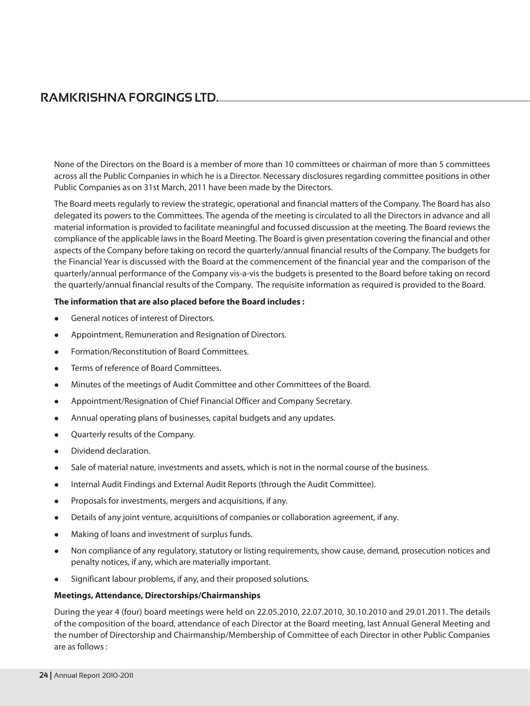None of the Directors on the Board is a member of more than 10 committees or chairman of more than 5 committees across all the Public Companies in which he is a Director. Necessary disclosures regarding committee positions in other Public Companies as on 31st March, 2011 have been made by the Directors.

The Board meets regularly to review the strategic, operational and financial matters of the Company. The Board has also delegated its powers to the Committees. The agenda of the meeting is circulated to all the Directors in advance and all material information is provided to facilitate meaningful and focussed discussion at the meeting. The Board reviews the compliance of the applicable laws in the Board Meeting. The Board is given presentation covering the financial and other aspects of the Company before taking on record the quarterly/annual financial results of the Company. The budgets for the Financial Year is discussed with the Board at the commencement of the financial year and the comparison of the quarterly/annual performance of the Company vis-a-vis the budgets is presented to the Board before taking on record the quarterly/annual financial results of the Company. The requisite information as required is provided to the Board.

#### The information that are also placed before the Board includes :

- General notices of interest of Directors.
- Appointment, Remuneration and Resignation of Directors.
- Formation/Reconstitution of Board Committees.  $\bullet$
- Terms of reference of Board Committees.
- Minutes of the meetings of Audit Committee and other Committees of the Board.  $\bullet$
- Appointment/Resignation of Chief Financial Officer and Company Secretary.  $\bullet$
- Annual operating plans of businesses, capital budgets and any updates.  $\bullet$
- Quarterly results of the Company.
- Dividend declaration.
- Sale of material nature, investments and assets, which is not in the normal course of the business.
- Internal Audit Findings and External Audit Reports (through the Audit Committee).
- Proposals for investments, mergers and acquisitions, if any.
- Details of any joint venture, acquisitions of companies or collaboration agreement, if any.
- Making of loans and investment of surplus funds.
- Non compliance of any regulatory, statutory or listing requirements, show cause, demand, prosecution notices and penalty notices, if any, which are materially important.
- Significant labour problems, if any, and their proposed solutions.

#### Meetings, Attendance, Directorships/Chairmanships

During the year 4 (four) board meetings were held on 22.05.2010, 22.07.2010, 30.10.2010 and 29.01.2011. The details of the composition of the board, attendance of each Director at the Board meeting, last Annual General Meeting and the number of Directorship and Chairmanship/Membership of Committee of each Director in other Public Companies are as follows: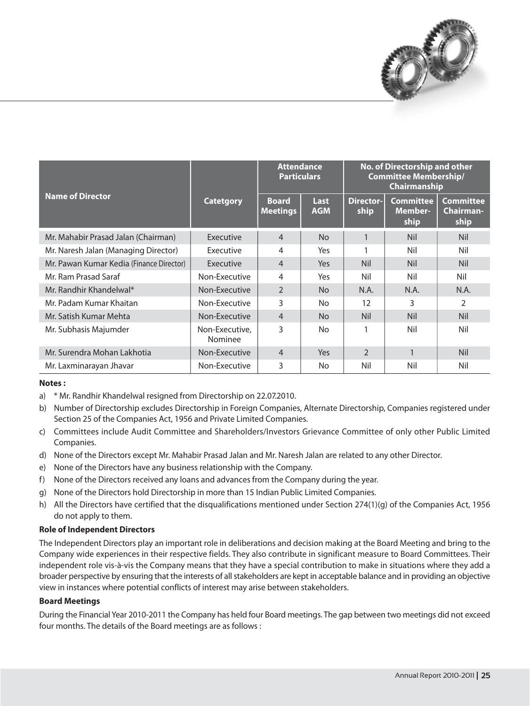

|                                          |                           | <b>Attendance</b><br><b>Particulars</b> |                    | No. of Directorship and other<br><b>Committee Membership/</b><br>Chairmanship |                                            |                                              |
|------------------------------------------|---------------------------|-----------------------------------------|--------------------|-------------------------------------------------------------------------------|--------------------------------------------|----------------------------------------------|
| <b>Name of Director</b>                  | <b>Catetgory</b>          | <b>Board</b><br><b>Meetings</b>         | Last<br><b>AGM</b> | <b>Director-</b><br>ship                                                      | <b>Committee</b><br><b>Member-</b><br>ship | <b>Committee</b><br><b>Chairman-</b><br>ship |
| Mr. Mahabir Prasad Jalan (Chairman)      | Executive                 | $\overline{4}$                          | <b>No</b>          |                                                                               | <b>Nil</b>                                 | <b>Nil</b>                                   |
| Mr. Naresh Jalan (Managing Director)     | Executive                 | 4                                       | Yes                |                                                                               | Nil                                        | Nil                                          |
| Mr. Pawan Kumar Kedia (Finance Director) | Executive                 | $\overline{4}$                          | <b>Yes</b>         | <b>Nil</b>                                                                    | <b>Nil</b>                                 | <b>Nil</b>                                   |
| Mr. Ram Prasad Saraf                     | Non-Executive             | 4                                       | Yes                | Nil                                                                           | Nil                                        | Nil                                          |
| Mr. Randhir Khandelwal*                  | Non-Executive             | $\mathcal{P}$                           | N <sub>o</sub>     | N.A.                                                                          | N.A.                                       | N.A.                                         |
| Mr. Padam Kumar Khaitan                  | Non-Executive             | 3                                       | No.                | 12                                                                            | 3                                          | 2                                            |
| Mr. Satish Kumar Mehta                   | Non-Executive             | $\overline{4}$                          | N <sub>o</sub>     | <b>Nil</b>                                                                    | <b>Nil</b>                                 | <b>Nil</b>                                   |
| Mr. Subhasis Majumder                    | Non-Executive,<br>Nominee | 3                                       | No                 |                                                                               | Nil                                        | Nil                                          |
| Mr. Surendra Mohan Lakhotia              | Non-Executive             | $\overline{4}$                          | <b>Yes</b>         | $\mathfrak{D}$                                                                | 1                                          | <b>Nil</b>                                   |
| Mr. Laxminarayan Jhavar                  | Non-Executive             | 3                                       | No.                | Nil                                                                           | Nil                                        | Nil                                          |

#### Notes:

- a) \* Mr. Randhir Khandelwal resigned from Directorship on 22.07.2010.
- b) Number of Directorship excludes Directorship in Foreign Companies, Alternate Directorship, Companies registered under Section 25 of the Companies Act, 1956 and Private Limited Companies.
- c) Committees include Audit Committee and Shareholders/Investors Grievance Committee of only other Public Limited Companies.
- d) None of the Directors except Mr. Mahabir Prasad Jalan and Mr. Naresh Jalan are related to any other Director.
- e) None of the Directors have any business relationship with the Company.
- f) None of the Directors received any loans and advances from the Company during the year.
- g) None of the Directors hold Directorship in more than 15 Indian Public Limited Companies.
- h) All the Directors have certified that the disqualifications mentioned under Section 274(1)(g) of the Companies Act, 1956 do not apply to them.

#### **Role of Independent Directors**

The Independent Directors play an important role in deliberations and decision making at the Board Meeting and bring to the Company wide experiences in their respective fields. They also contribute in significant measure to Board Committees. Their independent role vis-à-vis the Company means that they have a special contribution to make in situations where they add a broader perspective by ensuring that the interests of all stakeholders are kept in acceptable balance and in providing an objective view in instances where potential conflicts of interest may arise between stakeholders.

#### **Board Meetings**

During the Financial Year 2010-2011 the Company has held four Board meetings. The gap between two meetings did not exceed four months. The details of the Board meetings are as follows :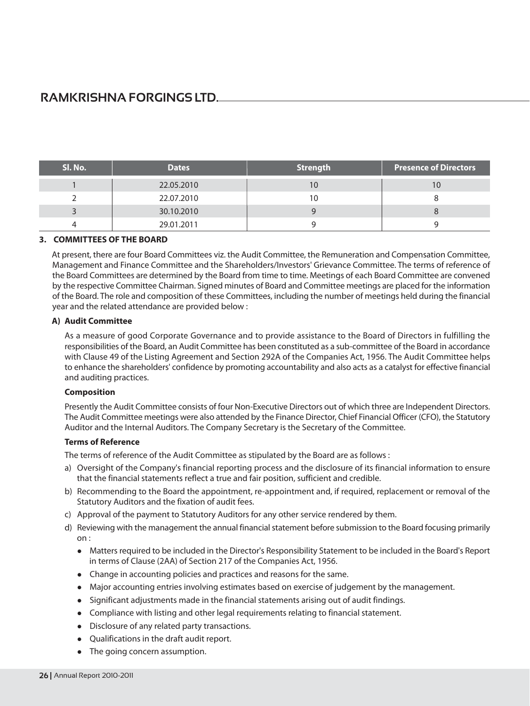| Sl. No. | <b>Dates</b> | <b>Strength</b> | <b>Presence of Directors</b> |
|---------|--------------|-----------------|------------------------------|
|         | 22.05.2010   |                 |                              |
|         | 22.07.2010   |                 |                              |
|         | 30.10.2010   |                 |                              |
|         | 29.01.2011   |                 |                              |

#### 3. COMMITTEES OF THE BOARD

At present, there are four Board Committees viz, the Audit Committee, the Remuneration and Compensation Committee, Management and Finance Committee and the Shareholders/Investors' Grievance Committee. The terms of reference of the Board Committees are determined by the Board from time to time. Meetings of each Board Committee are convened by the respective Committee Chairman. Signed minutes of Board and Committee meetings are placed for the information of the Board. The role and composition of these Committees, including the number of meetings held during the financial year and the related attendance are provided below:

#### A) Audit Committee

As a measure of good Corporate Governance and to provide assistance to the Board of Directors in fulfilling the responsibilities of the Board, an Audit Committee has been constituted as a sub-committee of the Board in accordance with Clause 49 of the Listing Agreement and Section 292A of the Companies Act, 1956. The Audit Committee helps to enhance the shareholders' confidence by promoting accountability and also acts as a catalyst for effective financial and auditing practices.

#### **Composition**

Presently the Audit Committee consists of four Non-Executive Directors out of which three are Independent Directors. The Audit Committee meetings were also attended by the Finance Director, Chief Financial Officer (CFO), the Statutory Auditor and the Internal Auditors. The Company Secretary is the Secretary of the Committee.

#### **Terms of Reference**

The terms of reference of the Audit Committee as stipulated by the Board are as follows :

- a) Oversight of the Company's financial reporting process and the disclosure of its financial information to ensure that the financial statements reflect a true and fair position, sufficient and credible.
- b) Recommending to the Board the appointment, re-appointment and, if required, replacement or removal of the Statutory Auditors and the fixation of audit fees.
- c) Approval of the payment to Statutory Auditors for any other service rendered by them.
- d) Reviewing with the management the annual financial statement before submission to the Board focusing primarily  $on:$ 
	- Matters required to be included in the Director's Responsibility Statement to be included in the Board's Report in terms of Clause (2AA) of Section 217 of the Companies Act, 1956.
	- Change in accounting policies and practices and reasons for the same.
	- Major accounting entries involving estimates based on exercise of judgement by the management.
	- Significant adjustments made in the financial statements arising out of audit findings.
	- Compliance with listing and other legal requirements relating to financial statement.
	- Disclosure of any related party transactions.
	- Qualifications in the draft audit report.
	- The going concern assumption.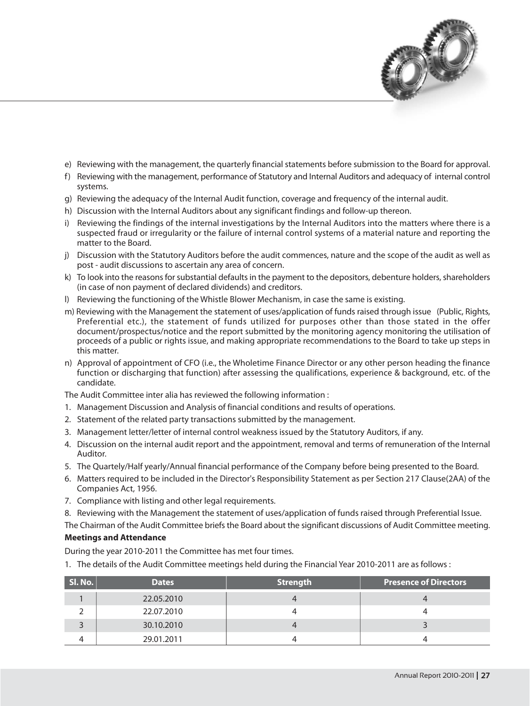

- e) Reviewing with the management, the quarterly financial statements before submission to the Board for approval.
- f) Reviewing with the management, performance of Statutory and Internal Auditors and adequacy of internal control systems.
- g) Reviewing the adequacy of the Internal Audit function, coverage and frequency of the internal audit.
- h) Discussion with the Internal Auditors about any significant findings and follow-up thereon.
- i) Reviewing the findings of the internal investigations by the Internal Auditors into the matters where there is a suspected fraud or irregularity or the failure of internal control systems of a material nature and reporting the matter to the Board.
- j) Discussion with the Statutory Auditors before the audit commences, nature and the scope of the audit as well as post - audit discussions to ascertain any area of concern.
- k) To look into the reasons for substantial defaults in the payment to the depositors, debenture holders, shareholders (in case of non payment of declared dividends) and creditors.
- I) Reviewing the functioning of the Whistle Blower Mechanism, in case the same is existing.
- m) Reviewing with the Management the statement of uses/application of funds raised through issue (Public, Rights, Preferential etc.), the statement of funds utilized for purposes other than those stated in the offer document/prospectus/notice and the report submitted by the monitoring agency monitoring the utilisation of proceeds of a public or rights issue, and making appropriate recommendations to the Board to take up steps in this matter.
- n) Approval of appointment of CFO (i.e., the Wholetime Finance Director or any other person heading the finance function or discharging that function) after assessing the qualifications, experience & background, etc. of the candidate.

The Audit Committee inter alia has reviewed the following information:

- 1. Management Discussion and Analysis of financial conditions and results of operations.
- 2. Statement of the related party transactions submitted by the management.
- 3. Management letter/letter of internal control weakness issued by the Statutory Auditors, if any.
- 4. Discussion on the internal audit report and the appointment, removal and terms of remuneration of the Internal Auditor.
- 5. The Quartely/Half yearly/Annual financial performance of the Company before being presented to the Board.
- 6. Matters required to be included in the Director's Responsibility Statement as per Section 217 Clause(2AA) of the Companies Act, 1956.
- 7. Compliance with listing and other legal requirements.
- 8. Reviewing with the Management the statement of uses/application of funds raised through Preferential Issue.

The Chairman of the Audit Committee briefs the Board about the significant discussions of Audit Committee meeting.

#### **Meetings and Attendance**

During the year 2010-2011 the Committee has met four times.

1. The details of the Audit Committee meetings held during the Financial Year 2010-2011 are as follows :

| Sl. No. | <b>Dates</b> | <b>Strength</b> | <b>Presence of Directors</b> |
|---------|--------------|-----------------|------------------------------|
|         | 22.05.2010   |                 |                              |
|         | 22.07.2010   |                 |                              |
|         | 30.10.2010   |                 |                              |
|         | 29.01.2011   |                 |                              |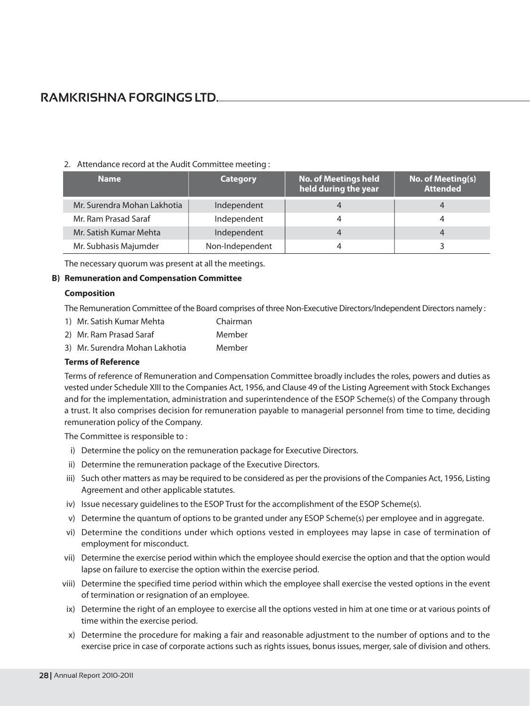#### 2. Attendance record at the Audit Committee meeting:

| <b>Name</b>                 | <b>Category</b> | No. of Meetings held<br>held during the year | No. of Meeting(s)<br><b>Attended</b> |
|-----------------------------|-----------------|----------------------------------------------|--------------------------------------|
| Mr. Surendra Mohan Lakhotia | Independent     |                                              |                                      |
| Mr. Ram Prasad Saraf        | Independent     | 4                                            |                                      |
| Mr. Satish Kumar Mehta      | Independent     |                                              |                                      |
| Mr. Subhasis Majumder       | Non-Independent |                                              |                                      |

The necessary quorum was present at all the meetings.

#### **B) Remuneration and Compensation Committee**

#### **Composition**

The Remuneration Committee of the Board comprises of three Non-Executive Directors/Independent Directors namely:

- 1) Mr. Satish Kumar Mehta Chairman
- 2) Mr. Ram Prasad Saraf Member
- 3) Mr. Surendra Mohan Lakhotia Member

#### **Terms of Reference**

Terms of reference of Remuneration and Compensation Committee broadly includes the roles, powers and duties as vested under Schedule XIII to the Companies Act, 1956, and Clause 49 of the Listing Agreement with Stock Exchanges and for the implementation, administration and superintendence of the ESOP Scheme(s) of the Company through a trust. It also comprises decision for remuneration payable to managerial personnel from time to time, deciding remuneration policy of the Company.

The Committee is responsible to:

- i) Determine the policy on the remuneration package for Executive Directors.
- ii) Determine the remuneration package of the Executive Directors.
- iii) Such other matters as may be required to be considered as per the provisions of the Companies Act, 1956, Listing Agreement and other applicable statutes.
- iv) Issue necessary guidelines to the ESOP Trust for the accomplishment of the ESOP Scheme(s).
- v) Determine the quantum of options to be granted under any ESOP Scheme(s) per employee and in aggregate.
- vi) Determine the conditions under which options vested in employees may lapse in case of termination of employment for misconduct.
- vii) Determine the exercise period within which the employee should exercise the option and that the option would lapse on failure to exercise the option within the exercise period.
- viii) Determine the specified time period within which the employee shall exercise the vested options in the event of termination or resignation of an employee.
- ix) Determine the right of an employee to exercise all the options vested in him at one time or at various points of time within the exercise period.
- x) Determine the procedure for making a fair and reasonable adjustment to the number of options and to the exercise price in case of corporate actions such as rights issues, bonus issues, merger, sale of division and others.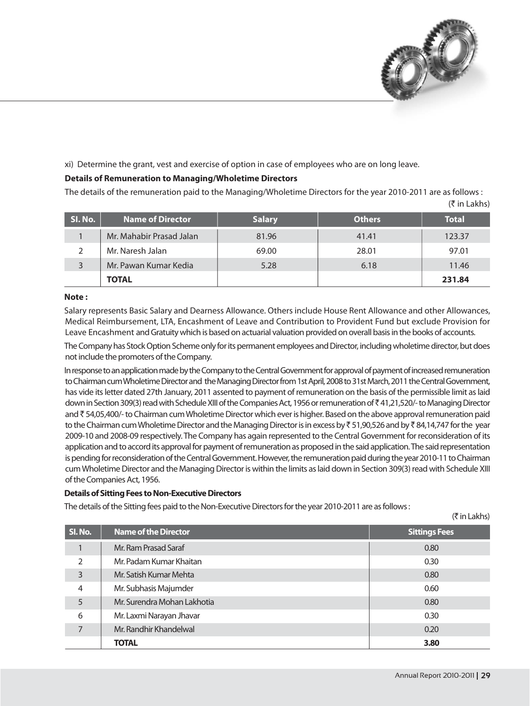

#### xi) Determine the grant, vest and exercise of option in case of employees who are on long leave.

#### **Details of Remuneration to Managing/Wholetime Directors**

The details of the remuneration paid to the Managing/Wholetime Directors for the year 2010-2011 are as follows:  $(5 \in \mathsf{Lakhs})$ 

| SI. No. | <b>Name of Director</b>  | <b>Salary</b> | <b>Others</b> | <b>Total</b> |
|---------|--------------------------|---------------|---------------|--------------|
|         | Mr. Mahabir Prasad Jalan | 81.96         | 41.41         | 123.37       |
|         | Mr. Naresh Jalan         | 69.00         | 28.01         | 97.01        |
|         | Mr. Pawan Kumar Kedia    | 5.28          | 6.18          | 11.46        |
|         | <b>TOTAL</b>             |               |               | 231.84       |

#### Note:

Salary represents Basic Salary and Dearness Allowance. Others include House Rent Allowance and other Allowances, Medical Reimbursement, LTA, Encashment of Leave and Contribution to Provident Fund but exclude Provision for Leave Encashment and Gratuity which is based on actuarial valuation provided on overall basis in the books of accounts.

The Company has Stock Option Scheme only for its permanent employees and Director, including wholetime director, but does not include the promoters of the Company.

In response to an application made by the Company to the Central Government for approval of payment of increased remuneration to Chairman cum Wholetime Director and the Managing Director from 1st April, 2008 to 31st March, 2011 the Central Government, has vide its letter dated 27th January, 2011 assented to payment of remuneration on the basis of the permissible limit as laid down in Section 309(3) read with Schedule XIII of the Companies Act, 1956 or remuneration of ₹41,21,520/- to Managing Director and ₹54,05,400/- to Chairman cum Wholetime Director which ever is higher. Based on the above approval remuneration paid to the Chairman cum Wholetime Director and the Managing Director is in excess by ₹51,90,526 and by ₹84,14,747 for the year 2009-10 and 2008-09 respectively. The Company has again represented to the Central Government for reconsideration of its application and to accord its approval for payment of remuneration as proposed in the said application. The said representation is pending for reconsideration of the Central Government. However, the remuneration paid during the year 2010-11 to Chairman cum Wholetime Director and the Managing Director is within the limits as laid down in Section 309(3) read with Schedule XIII of the Companies Act, 1956.

#### **Details of Sitting Fees to Non-Executive Directors**

The details of the Sitting fees paid to the Non-Executive Directors for the year 2010-2011 are as follows:

 $(3\overline{5}$  in I akhs)

| SI. No.        | <b>Name of the Director</b> | <b>Sittings Fees</b> |
|----------------|-----------------------------|----------------------|
|                | Mr. Ram Prasad Saraf        | 0.80                 |
| $\mathcal{P}$  | Mr. Padam Kumar Khaitan     | 0.30                 |
| 3              | Mr. Satish Kumar Mehta      | 0.80                 |
| $\overline{4}$ | Mr. Subhasis Majumder       | 0.60                 |
| 5              | Mr. Surendra Mohan Lakhotia | 0.80                 |
| 6              | Mr. Laxmi Narayan Jhavar    | 0.30                 |
| 7              | Mr. Randhir Khandelwal      | 0.20                 |
|                | <b>TOTAL</b>                | 3.80                 |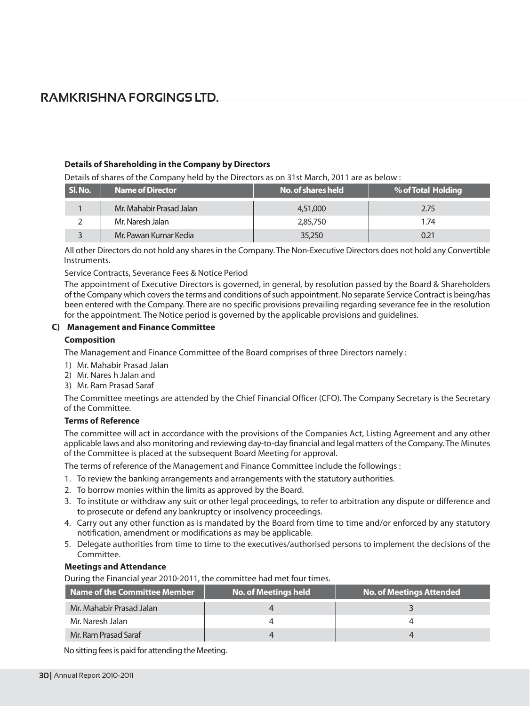#### Details of Shareholding in the Company by Directors

Details of shares of the Company held by the Directors as on 31st March, 2011 are as below:

| SI. No. | <b>Name of Director</b>  | No. of shares held | % of Total Holding |
|---------|--------------------------|--------------------|--------------------|
|         | Mr. Mahabir Prasad Jalan | 4,51,000           | 2.75               |
|         | Mr. Naresh Jalan         | 2,85,750           | 1.74               |
|         | Mr. Pawan Kumar Kedia    | 35,250             | Ი.21               |

All other Directors do not hold any shares in the Company. The Non-Executive Directors does not hold any Convertible Instruments.

Service Contracts, Severance Fees & Notice Period

The appointment of Executive Directors is governed, in general, by resolution passed by the Board & Shareholders of the Company which covers the terms and conditions of such appointment. No separate Service Contract is being/has been entered with the Company. There are no specific provisions prevailing regarding severance fee in the resolution for the appointment. The Notice period is governed by the applicable provisions and quidelines.

#### C) Management and Finance Committee

#### **Composition**

The Management and Finance Committee of the Board comprises of three Directors namely :

- 1) Mr. Mahabir Prasad Jalan
- 2) Mr. Nares h Jalan and
- 3) Mr. Ram Prasad Saraf

The Committee meetings are attended by the Chief Financial Officer (CFO). The Company Secretary is the Secretary of the Committee.

#### **Terms of Reference**

The committee will act in accordance with the provisions of the Companies Act, Listing Agreement and any other applicable laws and also monitoring and reviewing day-to-day financial and legal matters of the Company. The Minutes of the Committee is placed at the subsequent Board Meeting for approval.

The terms of reference of the Management and Finance Committee include the followings :

- 1. To review the banking arrangements and arrangements with the statutory authorities.
- 2. To borrow monies within the limits as approved by the Board.
- 3. To institute or withdraw any suit or other legal proceedings, to refer to arbitration any dispute or difference and to prosecute or defend any bankruptcy or insolvency proceedings.
- 4. Carry out any other function as is mandated by the Board from time to time and/or enforced by any statutory notification, amendment or modifications as may be applicable.
- 5. Delegate authorities from time to time to the executives/authorised persons to implement the decisions of the Committee.

#### **Meetings and Attendance**

During the Financial year 2010-2011, the committee had met four times.

| Name of the Committee Member | No. of Meetings held | <b>No. of Meetings Attended</b> |
|------------------------------|----------------------|---------------------------------|
| Mr. Mahabir Prasad Jalan     |                      |                                 |
| Mr. Naresh Jalan             |                      |                                 |
| Mr. Ram Prasad Saraf         |                      |                                 |

No sitting fees is paid for attending the Meeting.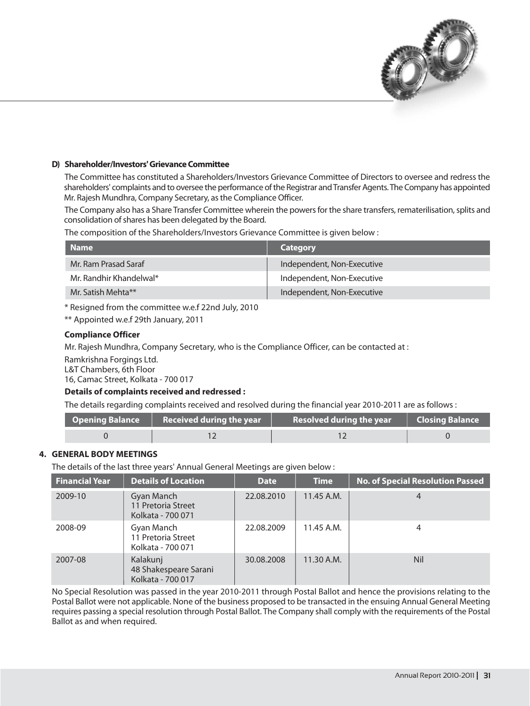

#### D) Shareholder/Investors' Grievance Committee

The Committee has constituted a Shareholders/Investors Grievance Committee of Directors to oversee and redress the shareholders' complaints and to oversee the performance of the Registrar and Transfer Agents. The Company has appointed Mr. Rajesh Mundhra, Company Secretary, as the Compliance Officer.

The Company also has a Share Transfer Committee wherein the powers for the share transfers, rematerilisation, splits and consolidation of shares has been delegated by the Board.

The composition of the Shareholders/Investors Grievance Committee is given below:

| <b>Name</b>             | Category                   |
|-------------------------|----------------------------|
| Mr. Ram Prasad Saraf    | Independent, Non-Executive |
| Mr. Randhir Khandelwal* | Independent, Non-Executive |
| Mr. Satish Mehta**      | Independent, Non-Executive |

\* Resigned from the committee w.e.f 22nd July, 2010

\*\* Appointed w.e.f 29th January, 2011

#### **Compliance Officer**

Mr. Rajesh Mundhra, Company Secretary, who is the Compliance Officer, can be contacted at :

Ramkrishna Forgings Ltd.

L&T Chambers, 6th Floor

16, Camac Street, Kolkata - 700 017

#### Details of complaints received and redressed :

The details regarding complaints received and resolved during the financial year 2010-2011 are as follows :

| <b>Opening Balance <math>\qquad</math> Received during the year</b> | <b>Resolved during the year</b> | <b>Closing Balance</b> |
|---------------------------------------------------------------------|---------------------------------|------------------------|
|                                                                     |                                 |                        |

#### **4. GENERAL BODY MEETINGS**

The details of the last three years' Annual General Meetings are given below:

| <b>Financial Year</b> | Details of Location                                    | <b>Date</b> | <b>Time</b>  | <b>No. of Special Resolution Passed</b> |
|-----------------------|--------------------------------------------------------|-------------|--------------|-----------------------------------------|
| 2009-10               | Gyan Manch<br>11 Pretoria Street<br>Kolkata - 700 071  | 22.08.2010  | 11.45 A.M.   | 4                                       |
| 2008-09               | Gyan Manch<br>11 Pretoria Street<br>Kolkata - 700 071  | 22.08.2009  | 11.45 A.M.   | 4                                       |
| 2007-08               | Kalakunj<br>48 Shakespeare Sarani<br>Kolkata - 700 017 | 30.08.2008  | $11.30$ A.M. | <b>Nil</b>                              |

No Special Resolution was passed in the year 2010-2011 through Postal Ballot and hence the provisions relating to the Postal Ballot were not applicable. None of the business proposed to be transacted in the ensuing Annual General Meeting requires passing a special resolution through Postal Ballot. The Company shall comply with the requirements of the Postal Ballot as and when required.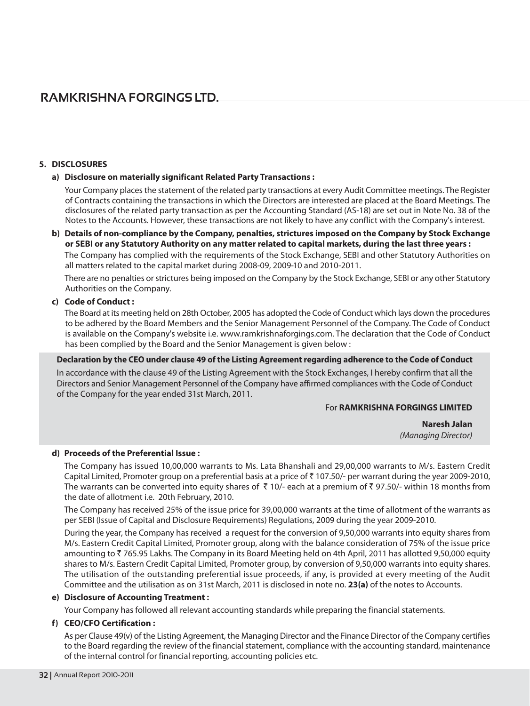#### 5. DISCLOSURES

#### a) Disclosure on materially significant Related Party Transactions:

Your Company places the statement of the related party transactions at every Audit Committee meetings. The Register of Contracts containing the transactions in which the Directors are interested are placed at the Board Meetings. The disclosures of the related party transaction as per the Accounting Standard (AS-18) are set out in Note No. 38 of the Notes to the Accounts. However, these transactions are not likely to have any conflict with the Company's interest.

#### b) Details of non-compliance by the Company, penalties, strictures imposed on the Company by Stock Exchange or SEBI or any Statutory Authority on any matter related to capital markets, during the last three years :

The Company has complied with the requirements of the Stock Exchange, SEBI and other Statutory Authorities on all matters related to the capital market during 2008-09, 2009-10 and 2010-2011.

There are no penalties or strictures being imposed on the Company by the Stock Exchange, SEBI or any other Statutory Authorities on the Company.

#### c) Code of Conduct:

The Board at its meeting held on 28th October, 2005 has adopted the Code of Conduct which lays down the procedures to be adhered by the Board Members and the Senior Management Personnel of the Company. The Code of Conduct is available on the Company's website i.e. www.ramkrishnaforgings.com. The declaration that the Code of Conduct has been complied by the Board and the Senior Management is given below:

#### Declaration by the CEO under clause 49 of the Listing Agreement regarding adherence to the Code of Conduct

In accordance with the clause 49 of the Listing Agreement with the Stock Exchanges, I hereby confirm that all the Directors and Senior Management Personnel of the Company have affirmed compliances with the Code of Conduct of the Company for the year ended 31st March, 2011.

#### For RAMKRISHNA FORGINGS LIMITED

Naresh Jalan (Managing Director)

#### d) Proceeds of the Preferential Issue:

The Company has issued 10,00,000 warrants to Ms. Lata Bhanshali and 29,00,000 warrants to M/s. Eastern Credit Capital Limited, Promoter group on a preferential basis at a price of ₹107.50/- per warrant during the year 2009-2010, The warrants can be converted into equity shares of  $\bar{\tau}$  10/- each at a premium of  $\bar{\tau}$  97.50/- within 18 months from the date of allotment i.e. 20th February, 2010.

The Company has received 25% of the issue price for 39,00,000 warrants at the time of allotment of the warrants as per SEBI (Issue of Capital and Disclosure Requirements) Regulations, 2009 during the year 2009-2010.

During the year, the Company has received a request for the conversion of 9,50,000 warrants into equity shares from M/s. Eastern Credit Capital Limited, Promoter group, along with the balance consideration of 75% of the issue price amounting to ₹765.95 Lakhs. The Company in its Board Meeting held on 4th April, 2011 has allotted 9,50,000 equity shares to M/s. Eastern Credit Capital Limited, Promoter group, by conversion of 9,50,000 warrants into equity shares. The utilisation of the outstanding preferential issue proceeds, if any, is provided at every meeting of the Audit Committee and the utilisation as on 31st March, 2011 is disclosed in note no. 23(a) of the notes to Accounts.

#### e) Disclosure of Accounting Treatment:

Your Company has followed all relevant accounting standards while preparing the financial statements.

#### f) CEO/CFO Certification:

As per Clause 49(v) of the Listing Agreement, the Managing Director and the Finance Director of the Company certifies to the Board regarding the review of the financial statement, compliance with the accounting standard, maintenance of the internal control for financial reporting, accounting policies etc.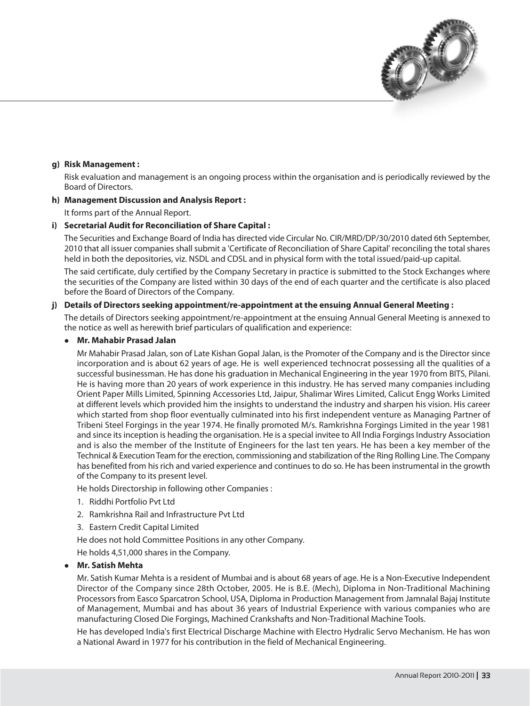

#### g) Risk Management:

Risk evaluation and management is an ongoing process within the organisation and is periodically reviewed by the Board of Directors.

#### h) Management Discussion and Analysis Report:

It forms part of the Annual Report.

#### i) Secretarial Audit for Reconciliation of Share Capital:

The Securities and Exchange Board of India has directed vide Circular No. CIR/MRD/DP/30/2010 dated 6th September, 2010 that all issuer companies shall submit a 'Certificate of Reconciliation of Share Capital' reconciling the total shares held in both the depositories, viz. NSDL and CDSL and in physical form with the total issued/paid-up capital.

The said certificate, duly certified by the Company Secretary in practice is submitted to the Stock Exchanges where the securities of the Company are listed within 30 days of the end of each quarter and the certificate is also placed before the Board of Directors of the Company.

#### j) Details of Directors seeking appointment/re-appointment at the ensuing Annual General Meeting :

The details of Directors seeking appointment/re-appointment at the ensuing Annual General Meeting is annexed to the notice as well as herewith brief particulars of qualification and experience:

#### • Mr. Mahabir Prasad Jalan

Mr Mahabir Prasad Jalan, son of Late Kishan Gopal Jalan, is the Promoter of the Company and is the Director since incorporation and is about 62 years of age. He is well experienced technocrat possessing all the qualities of a successful businessman. He has done his graduation in Mechanical Engineering in the year 1970 from BITS, Pilani. He is having more than 20 years of work experience in this industry. He has served many companies including Orient Paper Mills Limited, Spinning Accessories Ltd, Jaipur, Shalimar Wires Limited, Calicut Engg Works Limited at different levels which provided him the insights to understand the industry and sharpen his vision. His career which started from shop floor eventually culminated into his first independent venture as Managing Partner of Tribeni Steel Forgings in the year 1974. He finally promoted M/s. Ramkrishna Forgings Limited in the year 1981 and since its inception is heading the organisation. He is a special invitee to All India Forgings Industry Association and is also the member of the Institute of Engineers for the last ten years. He has been a key member of the Technical & Execution Team for the erection, commissioning and stabilization of the Ring Rolling Line. The Company has benefited from his rich and varied experience and continues to do so. He has been instrumental in the growth of the Company to its present level.

He holds Directorship in following other Companies:

- 1. Riddhi Portfolio Pvt Ltd
- 2. Ramkrishna Rail and Infrastructure Pyt Ltd
- 3. Eastern Credit Capital Limited
- He does not hold Committee Positions in any other Company.

He holds 4,51,000 shares in the Company.

#### **Mr. Satish Mehta**

Mr. Satish Kumar Mehta is a resident of Mumbai and is about 68 years of age. He is a Non-Executive Independent Director of the Company since 28th October, 2005. He is B.E. (Mech), Diploma in Non-Traditional Machining Processors from Easco Sparcatron School, USA, Diploma in Production Management from Jamnalal Bajaj Institute of Management, Mumbai and has about 36 years of Industrial Experience with various companies who are manufacturing Closed Die Forgings, Machined Crankshafts and Non-Traditional Machine Tools.

He has developed India's first Electrical Discharge Machine with Electro Hydralic Servo Mechanism. He has won a National Award in 1977 for his contribution in the field of Mechanical Engineering.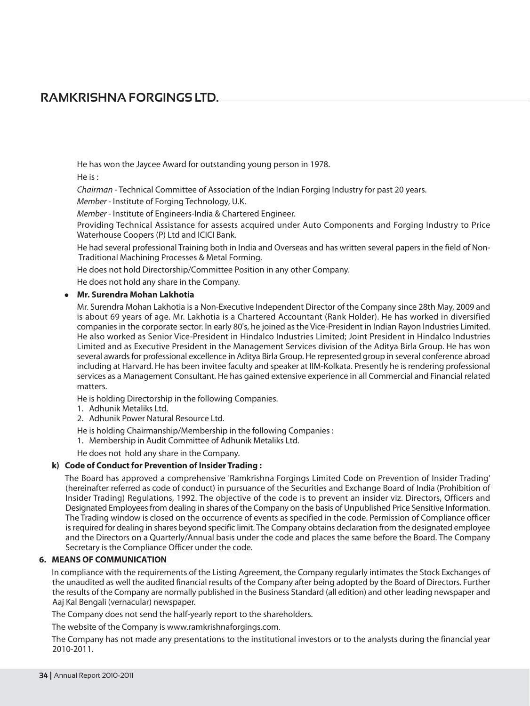He has won the Jaycee Award for outstanding young person in 1978. He is:

Chairman - Technical Committee of Association of the Indian Forging Industry for past 20 years.

Member - Institute of Forging Technology, U.K.

Member - Institute of Engineers-India & Chartered Engineer.

Providing Technical Assistance for assests acquired under Auto Components and Forging Industry to Price Waterhouse Coopers (P) Ltd and ICICI Bank.

He had several professional Training both in India and Overseas and has written several papers in the field of Non-Traditional Machining Processes & Metal Forming.

He does not hold Directorship/Committee Position in any other Company.

He does not hold any share in the Company.

#### • Mr. Surendra Mohan Lakhotia

Mr. Surendra Mohan Lakhotia is a Non-Executive Independent Director of the Company since 28th May, 2009 and is about 69 years of age. Mr. Lakhotia is a Chartered Accountant (Rank Holder). He has worked in diversified companies in the corporate sector. In early 80's, he ioined as the Vice-President in Indian Rayon Industries Limited. He also worked as Senior Vice-President in Hindalco Industries Limited: Joint President in Hindalco Industries Limited and as Executive President in the Management Services division of the Aditya Birla Group. He has won several awards for professional excellence in Aditya Birla Group. He represented group in several conference abroad including at Harvard. He has been invitee faculty and speaker at IIM-Kolkata. Presently he is rendering professional services as a Management Consultant. He has gained extensive experience in all Commercial and Financial related matters.

He is holding Directorship in the following Companies.

- 1. Adhunik Metaliks Ltd.
- 2. Adhunik Power Natural Resource Ltd.

He is holding Chairmanship/Membership in the following Companies:

- 1. Membership in Audit Committee of Adhunik Metaliks Ltd.
- He does not hold any share in the Company.

#### k) Code of Conduct for Prevention of Insider Trading:

The Board has approved a comprehensive 'Ramkrishna Forgings Limited Code on Prevention of Insider Trading' (hereinafter referred as code of conduct) in pursuance of the Securities and Exchange Board of India (Prohibition of Insider Trading) Regulations, 1992. The objective of the code is to prevent an insider viz. Directors, Officers and Designated Employees from dealing in shares of the Company on the basis of Unpublished Price Sensitive Information. The Trading window is closed on the occurrence of events as specified in the code. Permission of Compliance officer is required for dealing in shares beyond specific limit. The Company obtains declaration from the designated employee and the Directors on a Quarterly/Annual basis under the code and places the same before the Board. The Company Secretary is the Compliance Officer under the code.

#### **6. MEANS OF COMMUNICATION**

In compliance with the requirements of the Listing Agreement, the Company regularly intimates the Stock Exchanges of the unaudited as well the audited financial results of the Company after being adopted by the Board of Directors. Further the results of the Company are normally published in the Business Standard (all edition) and other leading newspaper and Aaj Kal Bengali (vernacular) newspaper.

The Company does not send the half-yearly report to the shareholders.

The website of the Company is www.ramkrishnaforgings.com.

The Company has not made any presentations to the institutional investors or to the analysts during the financial year 2010-2011.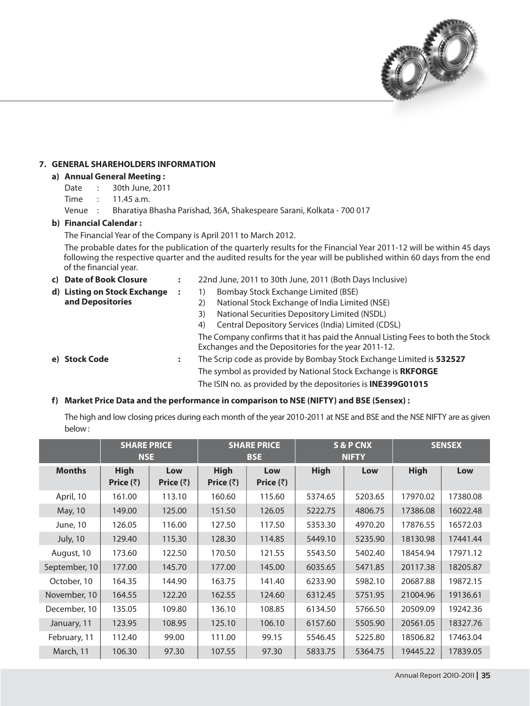

### 7. GENERAL SHAREHOLDERS INFORMATION

### a) Annual General Meeting:

- Date : 30th June, 2011
- Time : 11.45 a.m.
- Venue : Bharatiya Bhasha Parishad, 36A, Shakespeare Sarani, Kolkata - 700 017

### b) Financial Calendar:

The Financial Year of the Company is April 2011 to March 2012.

The probable dates for the publication of the quarterly results for the Financial Year 2011-12 will be within 45 days following the respective quarter and the audited results for the year will be published within 60 days from the end of the financial year.

| c) Date of Book Closure      | $\ddot{\cdot}$ | 22nd June, 2011 to 30th June, 2011 (Both Days Inclusive)                                                                                |
|------------------------------|----------------|-----------------------------------------------------------------------------------------------------------------------------------------|
| d) Listing on Stock Exchange | :              | Bombay Stock Exchange Limited (BSE)                                                                                                     |
| and Depositories             |                | National Stock Exchange of India Limited (NSE)<br>2)                                                                                    |
|                              |                | National Securities Depository Limited (NSDL)<br>3)                                                                                     |
|                              |                | Central Depository Services (India) Limited (CDSL)<br>4)                                                                                |
|                              |                | The Company confirms that it has paid the Annual Listing Fees to both the Stock<br>Exchanges and the Depositories for the year 2011-12. |
| e) Stock Code                | $\bullet$<br>٠ | The Scrip code as provide by Bombay Stock Exchange Limited is 532527                                                                    |
|                              |                | The symbol as provided by National Stock Exchange is RKFORGE                                                                            |
|                              |                | The ISIN no. as provided by the depositories is <b>INE399G01015</b>                                                                     |

## f) Market Price Data and the performance in comparison to NSE (NIFTY) and BSE (Sensex):

The high and low closing prices during each month of the year 2010-2011 at NSE and BSE and the NSE NIFTY are as given below:

|                 | <b>SHARE PRICE</b><br><b>NSE</b> |                          |                                  | <b>SHARE PRICE</b><br><b>BSE</b> |             | S & P CNX<br><b>NIFTY</b> |             | <b>SENSEX</b> |
|-----------------|----------------------------------|--------------------------|----------------------------------|----------------------------------|-------------|---------------------------|-------------|---------------|
| <b>Months</b>   | <b>High</b><br>Price $(\bar{z})$ | Low<br>Price $(\bar{z})$ | <b>High</b><br>Price $(\bar{z})$ | Low<br>Price $(\bar{z})$         | <b>High</b> | Low                       | <b>High</b> | Low           |
| April, 10       | 161.00                           | 113.10                   | 160.60                           | 115.60                           | 5374.65     | 5203.65                   | 17970.02    | 17380.08      |
| May, 10         | 149.00                           | 125.00                   | 151.50                           | 126.05                           | 5222.75     | 4806.75                   | 17386.08    | 16022.48      |
| June, 10        | 126.05                           | 116.00                   | 127.50                           | 117.50                           | 5353.30     | 4970.20                   | 17876.55    | 16572.03      |
| <b>July, 10</b> | 129.40                           | 115.30                   | 128.30                           | 114.85                           | 5449.10     | 5235.90                   | 18130.98    | 17441.44      |
| August, 10      | 173.60                           | 122.50                   | 170.50                           | 121.55                           | 5543.50     | 5402.40                   | 18454.94    | 17971.12      |
| September, 10   | 177.00                           | 145.70                   | 177.00                           | 145.00                           | 6035.65     | 5471.85                   | 20117.38    | 18205.87      |
| October, 10     | 164.35                           | 144.90                   | 163.75                           | 141.40                           | 6233.90     | 5982.10                   | 20687.88    | 19872.15      |
| November, 10    | 164.55                           | 122.20                   | 162.55                           | 124.60                           | 6312.45     | 5751.95                   | 21004.96    | 19136.61      |
| December, 10    | 135.05                           | 109.80                   | 136.10                           | 108.85                           | 6134.50     | 5766.50                   | 20509.09    | 19242.36      |
| January, 11     | 123.95                           | 108.95                   | 125.10                           | 106.10                           | 6157.60     | 5505.90                   | 20561.05    | 18327.76      |
| February, 11    | 112.40                           | 99.00                    | 111.00                           | 99.15                            | 5546.45     | 5225.80                   | 18506.82    | 17463.04      |
| March, 11       | 106.30                           | 97.30                    | 107.55                           | 97.30                            | 5833.75     | 5364.75                   | 19445.22    | 17839.05      |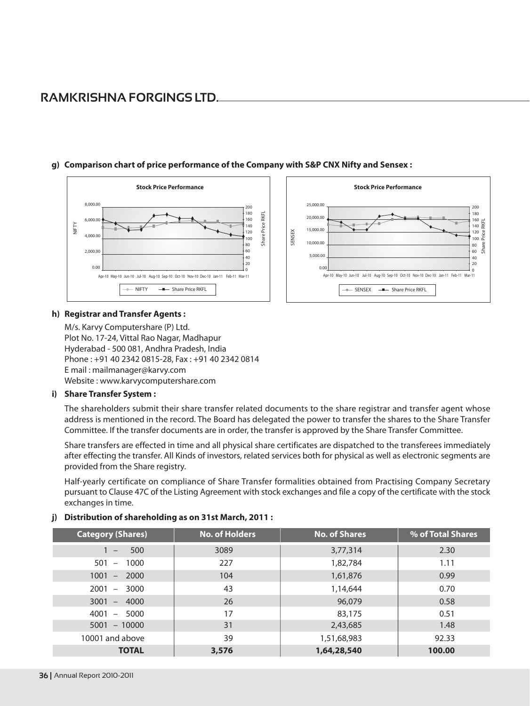

## g) Comparison chart of price performance of the Company with S&P CNX Nifty and Sensex :

### h) Registrar and Transfer Agents:

M/s. Karvy Computershare (P) Ltd. Plot No. 17-24, Vittal Rao Nagar, Madhapur Hyderabad - 500 081, Andhra Pradesh, India Phone: +91 40 2342 0815-28, Fax: +91 40 2342 0814 E mail: mailmanager@karvy.com Website: www.karvycomputershare.com

### i) Share Transfer System:

The shareholders submit their share transfer related documents to the share registrar and transfer agent whose address is mentioned in the record. The Board has delegated the power to transfer the shares to the Share Transfer Committee. If the transfer documents are in order, the transfer is approved by the Share Transfer Committee.

Stock Price Performance

Apr-10 May-10 Jun-10 Jul-10 Aug-10 Sep-10 Oct-10 Nov-10 Dec-10 Jan-11 Feb-11 Mar-11

-- Share Price RKFL

SENSEX

180

 $\frac{160}{140}$   $\frac{11}{60}$ 

Share Price

120

 $100 -$ 

80

60

 $40$  $\frac{1}{20}$ 

25,000.00

20,000.00

15,000.00

10,000,00

5,000.00

 $\sim$ 

SENSEX

Share transfers are effected in time and all physical share certificates are dispatched to the transferees immediately after effecting the transfer. All Kinds of investors, related services both for physical as well as electronic segments are provided from the Share registry.

Half-yearly certificate on compliance of Share Transfer formalities obtained from Practising Company Secretary pursuant to Clause 47C of the Listing Agreement with stock exchanges and file a copy of the certificate with the stock exchanges in time.

| <b>Category (Shares)</b>                | <b>No. of Holders</b> | <b>No. of Shares</b> | % of Total Shares |
|-----------------------------------------|-----------------------|----------------------|-------------------|
| 500<br>$1 -$                            | 3089                  | 3,77,314             | 2.30              |
| 1000<br>501<br>$\overline{\phantom{a}}$ | 227                   | 1,82,784             | 1.11              |
| $1001 - 2000$                           | 104                   | 1,61,876             | 0.99              |
| $2001 -$<br>3000                        | 43                    | 1,14,644             | 0.70              |
| $3001 - 4000$                           | 26                    | 96,079               | 0.58              |
| $4001 - 5000$                           | 17                    | 83,175               | 0.51              |
| $5001 - 10000$                          | 31                    | 2,43,685             | 1.48              |
| 10001 and above                         | 39                    | 1,51,68,983          | 92.33             |
| <b>TOTAL</b>                            | 3,576                 | 1,64,28,540          | 100.00            |

### j) Distribution of shareholding as on 31st March, 2011: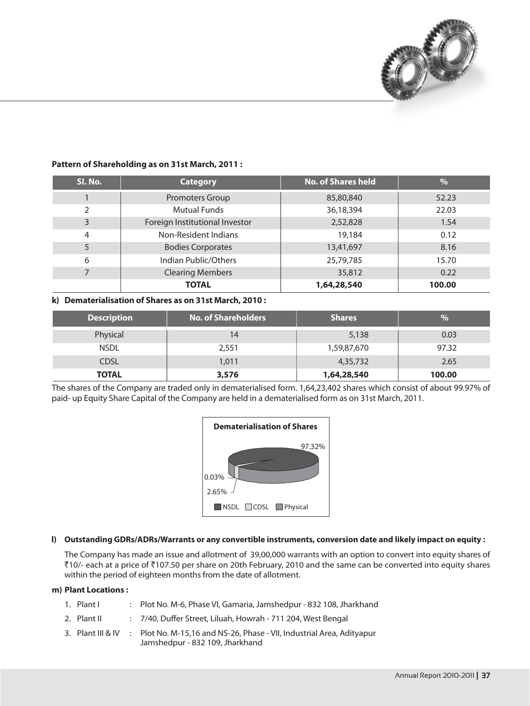

| SI. No.       | <b>Category</b>                | <b>No. of Shares held</b> | $\overline{\frac{0}{6}}$ |
|---------------|--------------------------------|---------------------------|--------------------------|
|               | Promoters Group                | 85,80,840                 | 52.23                    |
| $\mathcal{P}$ | <b>Mutual Funds</b>            | 36,18,394                 | 22.03                    |
| 3             | Foreign Institutional Investor | 2,52,828                  | 1.54                     |
| 4             | Non-Resident Indians           | 19,184                    | 0.12                     |
| 5             | <b>Bodies Corporates</b>       | 13,41,697                 | 8.16                     |
| 6             | Indian Public/Others           | 25,79,785                 | 15.70                    |
|               | <b>Clearing Members</b>        | 35,812                    | 0.22                     |
|               | <b>TOTAL</b>                   | 1,64,28,540               | 100.00                   |

## Pattern of Shareholding as on 31st March, 2011:

### k) Dematerialisation of Shares as on 31st March, 2010:

| <b>Description</b> | <b>No. of Shareholders</b> | <b>Shares</b> | $\frac{1}{2}$ |
|--------------------|----------------------------|---------------|---------------|
| Physical           |                            | 5,138         | 0.03          |
| <b>NSDL</b>        | 2,551                      | 1,59,87,670   | 97.32         |
| <b>CDSL</b>        | 1,011                      | 4,35,732      | 2.65          |
| <b>TOTAL</b>       | 3,576                      | 1,64,28,540   | 100.00        |

The shares of the Company are traded only in dematerialised form. 1,64,23,402 shares which consist of about 99.97% of paid- up Equity Share Capital of the Company are held in a dematerialised form as on 31st March, 2011.



### I) Outstanding GDRs/ADRs/Warrants or any convertible instruments, conversion date and likely impact on equity :

The Company has made an issue and allotment of 39,00,000 warrants with an option to convert into equity shares of ₹10/- each at a price of ₹107.50 per share on 20th February, 2010 and the same can be converted into equity shares within the period of eighteen months from the date of allotment.

### m) Plant Locations :

- : Plot No. M-6, Phase VI, Gamaria, Jamshedpur 832 108, Jharkhand 1. Plant I
- 2. Plant II : 7/40, Duffer Street, Liluah, Howrah - 711 204, West Bengal
- 3. Plant III & IV Plot No. M-15,16 and NS-26, Phase - VII, Industrial Area, Adityapur  $\sim$  100 Jamshedpur - 832 109, Jharkhand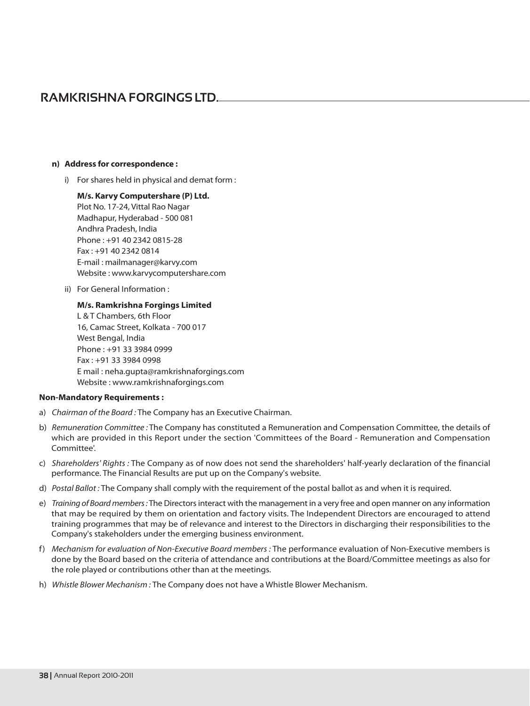## **RAMKRISHNA FORGINGS LTD.**

### n) Address for correspondence:

i) For shares held in physical and demat form:

M/s. Karvy Computershare (P) Ltd. Plot No. 17-24, Vittal Rao Nagar Madhapur, Hyderabad - 500 081 Andhra Pradesh, India Phone: +91 40 2342 0815-28 Fax: +91 40 2342 0814 E-mail: mailmanager@karvy.com Website: www.karvycomputershare.com

ii) For General Information :

### M/s. Ramkrishna Forgings Limited

L & T Chambers, 6th Floor 16. Camac Street, Kolkata - 700 017 West Bengal, India Phone: +91 33 3984 0999 Fax: +91 33 3984 0998 E mail: neha.qupta@ramkrishnaforgings.com Website: www.ramkrishnaforgings.com

### **Non-Mandatory Requirements:**

- a) Chairman of the Board: The Company has an Executive Chairman.
- b) Remuneration Committee: The Company has constituted a Remuneration and Compensation Committee, the details of which are provided in this Report under the section 'Committees of the Board - Remuneration and Compensation Committee'
- c) Shareholders' Rights: The Company as of now does not send the shareholders' half-yearly declaration of the financial performance. The Financial Results are put up on the Company's website.
- d) Postal Ballot: The Company shall comply with the requirement of the postal ballot as and when it is required.
- e) Training of Board members: The Directors interact with the management in a very free and open manner on any information that may be required by them on orientation and factory visits. The Independent Directors are encouraged to attend training programmes that may be of relevance and interest to the Directors in discharging their responsibilities to the Company's stakeholders under the emerging business environment.
- f) Mechanism for evaluation of Non-Executive Board members : The performance evaluation of Non-Executive members is done by the Board based on the criteria of attendance and contributions at the Board/Committee meetings as also for the role played or contributions other than at the meetings.
- h) Whistle Blower Mechanism: The Company does not have a Whistle Blower Mechanism.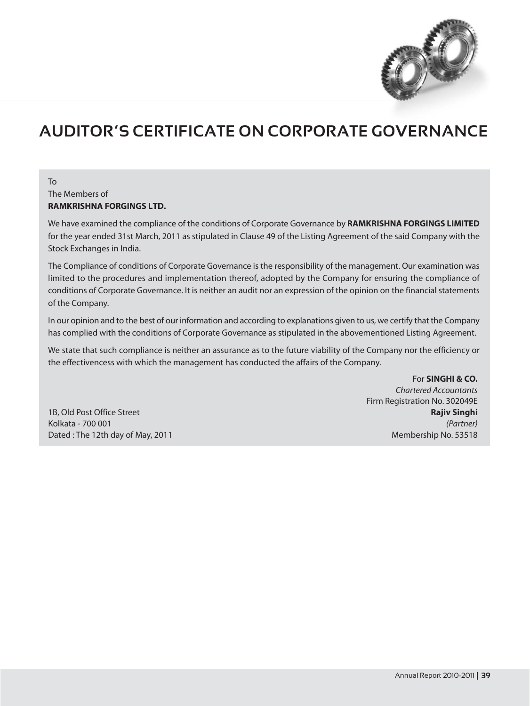

# **AUDITOR'S CERTIFICATE ON CORPORATE GOVERNANCE**

## To The Members of **RAMKRISHNA FORGINGS LTD.**

We have examined the compliance of the conditions of Corporate Governance by RAMKRISHNA FORGINGS LIMITED for the year ended 31st March, 2011 as stipulated in Clause 49 of the Listing Agreement of the said Company with the Stock Exchanges in India.

The Compliance of conditions of Corporate Governance is the responsibility of the management. Our examination was limited to the procedures and implementation thereof, adopted by the Company for ensuring the compliance of conditions of Corporate Governance. It is neither an audit nor an expression of the opinion on the financial statements of the Company.

In our opinion and to the best of our information and according to explanations given to us, we certify that the Company has complied with the conditions of Corporate Governance as stipulated in the abovementioned Listing Agreement.

We state that such compliance is neither an assurance as to the future viability of the Company nor the efficiency or the effectivencess with which the management has conducted the affairs of the Company.

1B. Old Post Office Street Kolkata - 700 001 Dated: The 12th day of May, 2011

For SINGHI & CO. **Chartered Accountants** Firm Registration No. 302049E **Rajiv Singhi** (Partner) Membership No. 53518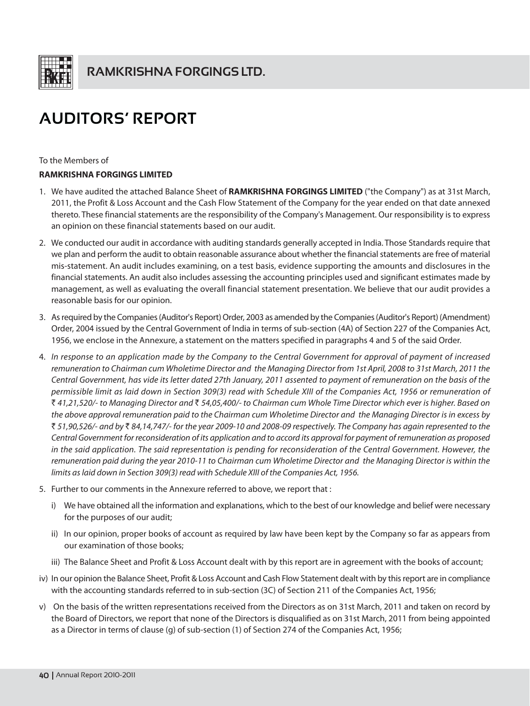

# **AUDITORS' REPORT**

To the Members of

## **RAMKRISHNA FORGINGS LIMITED**

- 1. We have audited the attached Balance Sheet of RAMKRISHNA FORGINGS LIMITED ("the Company") as at 31st March, 2011, the Profit & Loss Account and the Cash Flow Statement of the Company for the year ended on that date annexed thereto. These financial statements are the responsibility of the Company's Management. Our responsibility is to express an opinion on these financial statements based on our audit.
- 2. We conducted our audit in accordance with auditing standards generally accepted in India. Those Standards require that we plan and perform the audit to obtain reasonable assurance about whether the financial statements are free of material mis-statement. An audit includes examining, on a test basis, evidence supporting the amounts and disclosures in the financial statements. An audit also includes assessing the accounting principles used and significant estimates made by management, as well as evaluating the overall financial statement presentation. We believe that our audit provides a reasonable basis for our opinion.
- 3. As required by the Companies (Auditor's Report) Order, 2003 as amended by the Companies (Auditor's Report) (Amendment) Order, 2004 issued by the Central Government of India in terms of sub-section (4A) of Section 227 of the Companies Act, 1956, we enclose in the Annexure, a statement on the matters specified in paragraphs 4 and 5 of the said Order.
- 4. In response to an application made by the Company to the Central Government for approval of payment of increased remuneration to Chairman cum Wholetime Director and the Managing Director from 1st April, 2008 to 31st March, 2011 the Central Government, has vide its letter dated 27th January, 2011 assented to payment of remuneration on the basis of the permissible limit as laid down in Section 309(3) read with Schedule XIII of the Companies Act, 1956 or remuneration of ₹ 41,21,520/- to Managing Director and ₹ 54,05,400/- to Chairman cum Whole Time Director which ever is higher. Based on the above approval remuneration paid to the Chairman cum Wholetime Director and the Managing Director is in excess by ₹ 51,90,526/- and by ₹ 84,14,747/- for the year 2009-10 and 2008-09 respectively. The Company has again represented to the Central Government for reconsideration of its application and to accord its approval for payment of remuneration as proposed in the said application. The said representation is pending for reconsideration of the Central Government. However, the remuneration paid during the year 2010-11 to Chairman cum Wholetime Director and the Managing Director is within the limits as laid down in Section 309(3) read with Schedule XIII of the Companies Act, 1956.
- 5. Further to our comments in the Annexure referred to above, we report that:
	- i) We have obtained all the information and explanations, which to the best of our knowledge and belief were necessary for the purposes of our audit;
	- ii) In our opinion, proper books of account as required by law have been kept by the Company so far as appears from our examination of those books;
	- iii) The Balance Sheet and Profit & Loss Account dealt with by this report are in agreement with the books of account;
- iv) In our opinion the Balance Sheet, Profit & Loss Account and Cash Flow Statement dealt with by this report are in compliance with the accounting standards referred to in sub-section (3C) of Section 211 of the Companies Act, 1956;
- v) On the basis of the written representations received from the Directors as on 31st March, 2011 and taken on record by the Board of Directors, we report that none of the Directors is disqualified as on 31st March, 2011 from being appointed as a Director in terms of clause (q) of sub-section (1) of Section 274 of the Companies Act, 1956;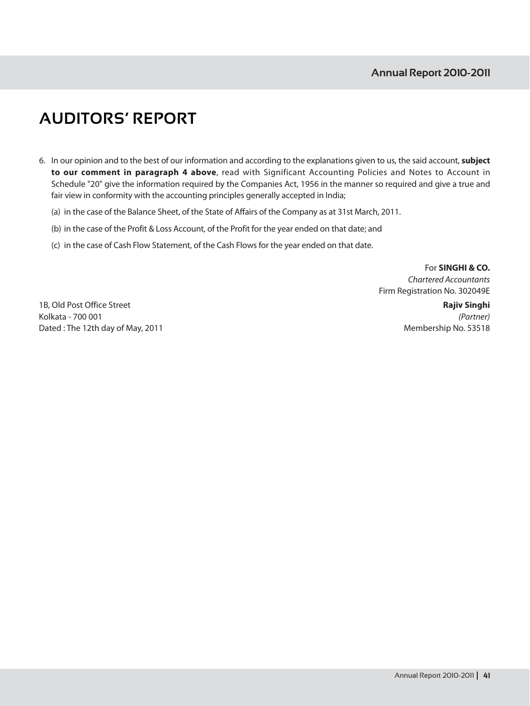# **AUDITORS' REPORT**

- 6. In our opinion and to the best of our information and according to the explanations given to us, the said account, subject to our comment in paragraph 4 above, read with Significant Accounting Policies and Notes to Account in Schedule "20" give the information required by the Companies Act, 1956 in the manner so required and give a true and fair view in conformity with the accounting principles generally accepted in India;
	- (a) in the case of the Balance Sheet, of the State of Affairs of the Company as at 31st March, 2011.
	- (b) in the case of the Profit & Loss Account, of the Profit for the year ended on that date; and
	- (c) in the case of Cash Flow Statement, of the Cash Flows for the year ended on that date.

For SINGHI & CO. **Chartered Accountants** Firm Registration No. 302049E

1B, Old Post Office Street Kolkata - 700 001 Dated: The 12th day of May, 2011

**Rajiv Singhi** (Partner) Membership No. 53518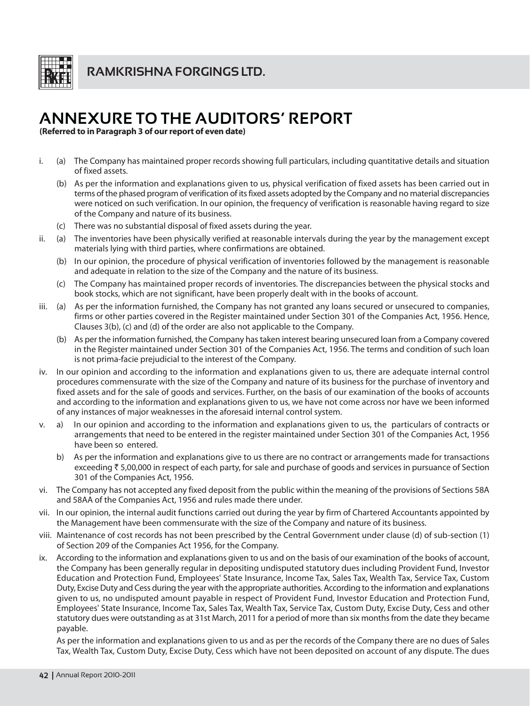

**RAMKRISHNA FORGINGS LTD.** 

# **ANNEXURE TO THE AUDITORS' REPORT**

(Referred to in Paragraph 3 of our report of even date)

- i. (a) The Company has maintained proper records showing full particulars, including quantitative details and situation of fixed assets.
	- (b) As per the information and explanations given to us, physical verification of fixed assets has been carried out in terms of the phased program of verification of its fixed assets adopted by the Company and no material discrepancies were noticed on such verification. In our opinion, the frequency of verification is reasonable having regard to size of the Company and nature of its business.
	- (c) There was no substantial disposal of fixed assets during the year.
- ii. (a) The inventories have been physically verified at reasonable intervals during the year by the management except materials lying with third parties, where confirmations are obtained.
	- (b) In our opinion, the procedure of physical verification of inventories followed by the management is reasonable and adequate in relation to the size of the Company and the nature of its business.
	- $(c)$ The Company has maintained proper records of inventories. The discrepancies between the physical stocks and book stocks, which are not significant, have been properly dealt with in the books of account.
- (a) As per the information furnished, the Company has not granted any loans secured or unsecured to companies, iii. firms or other parties covered in the Register maintained under Section 301 of the Companies Act, 1956. Hence, Clauses 3(b), (c) and (d) of the order are also not applicable to the Company.
	- (b) As per the information furnished, the Company has taken interest bearing unsecured loan from a Company covered in the Register maintained under Section 301 of the Companies Act, 1956. The terms and condition of such loan is not prima-facie prejudicial to the interest of the Company.
- iv. In our opinion and according to the information and explanations given to us, there are adequate internal control procedures commensurate with the size of the Company and nature of its business for the purchase of inventory and fixed assets and for the sale of goods and services. Further, on the basis of our examination of the books of accounts and according to the information and explanations given to us, we have not come across nor have we been informed of any instances of major weaknesses in the aforesaid internal control system.
- In our opinion and according to the information and explanations given to us, the particulars of contracts or  $a)$  $\mathbf{V}$ arrangements that need to be entered in the register maintained under Section 301 of the Companies Act, 1956 have been so entered.
	- b) As per the information and explanations give to us there are no contract or arrangements made for transactions exceeding ₹ 5,00,000 in respect of each party, for sale and purchase of goods and services in pursuance of Section 301 of the Companies Act, 1956.
- vi. The Company has not accepted any fixed deposit from the public within the meaning of the provisions of Sections 58A and 58AA of the Companies Act, 1956 and rules made there under.
- vii. In our opinion, the internal audit functions carried out during the year by firm of Chartered Accountants appointed by the Management have been commensurate with the size of the Company and nature of its business.
- viii. Maintenance of cost records has not been prescribed by the Central Government under clause (d) of sub-section (1) of Section 209 of the Companies Act 1956, for the Company.
- According to the information and explanations given to us and on the basis of our examination of the books of account, ix. the Company has been generally regular in depositing undisputed statutory dues including Provident Fund, Investor Education and Protection Fund, Employees' State Insurance, Income Tax, Sales Tax, Wealth Tax, Service Tax, Custom Duty, Excise Duty and Cess during the year with the appropriate authorities. According to the information and explanations given to us, no undisputed amount payable in respect of Provident Fund, Investor Education and Protection Fund, Employees' State Insurance, Income Tax, Sales Tax, Wealth Tax, Service Tax, Custom Duty, Excise Duty, Cess and other statutory dues were outstanding as at 31st March, 2011 for a period of more than six months from the date they became payable.

As per the information and explanations given to us and as per the records of the Company there are no dues of Sales Tax, Wealth Tax, Custom Duty, Excise Duty, Cess which have not been deposited on account of any dispute. The dues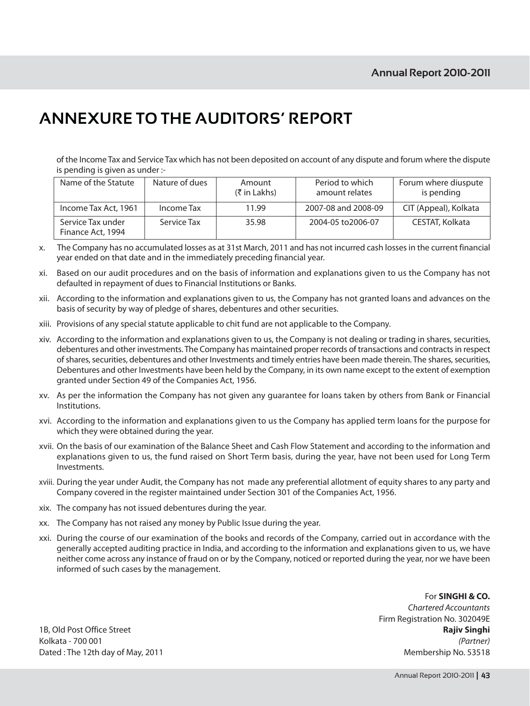## **ANNEXURE TO THE AUDITORS' REPORT**

of the Income Tax and Service Tax which has not been deposited on account of any dispute and forum where the dispute is pending is given as under :-

| Name of the Statute                    | Nature of dues | Amount<br>(₹ in Lakhs) | Period to which<br>amount relates | Forum where diuspute<br>is pending |
|----------------------------------------|----------------|------------------------|-----------------------------------|------------------------------------|
| Income Tax Act, 1961                   | Income Tax     | 11.99                  | 2007-08 and 2008-09               | CIT (Appeal), Kolkata              |
| Service Tax under<br>Finance Act, 1994 | Service Tax    | 35.98                  | 2004-05 to 2006-07                | CESTAT, Kolkata                    |

- The Company has no accumulated losses as at 31st March, 2011 and has not incurred cash losses in the current financial  $\mathsf{x}$ . year ended on that date and in the immediately preceding financial year.
- Based on our audit procedures and on the basis of information and explanations given to us the Company has not xi. defaulted in repayment of dues to Financial Institutions or Banks.
- xii. According to the information and explanations given to us, the Company has not granted loans and advances on the basis of security by way of pledge of shares, debentures and other securities.
- xiii. Provisions of any special statute applicable to chit fund are not applicable to the Company.
- xiv. According to the information and explanations given to us, the Company is not dealing or trading in shares, securities, debentures and other investments. The Company has maintained proper records of transactions and contracts in respect of shares, securities, debentures and other Investments and timely entries have been made therein. The shares, securities, Debentures and other Investments have been held by the Company, in its own name except to the extent of exemption granted under Section 49 of the Companies Act, 1956.
- xv. As per the information the Company has not given any guarantee for loans taken by others from Bank or Financial Institutions.
- xvi. According to the information and explanations given to us the Company has applied term loans for the purpose for which they were obtained during the year.
- xvii. On the basis of our examination of the Balance Sheet and Cash Flow Statement and according to the information and explanations given to us, the fund raised on Short Term basis, during the year, have not been used for Long Term Investments.
- xviji. During the vear under Audit, the Company has not made any preferential allotment of equity shares to any party and Company covered in the register maintained under Section 301 of the Companies Act, 1956.
- xix. The company has not issued debentures during the year.
- xx. The Company has not raised any money by Public Issue during the year.
- xxi. During the course of our examination of the books and records of the Company, carried out in accordance with the generally accepted auditing practice in India, and according to the information and explanations given to us, we have neither come across any instance of fraud on or by the Company, noticed or reported during the year, nor we have been informed of such cases by the management.

For SINGHI & CO. **Chartered Accountants** Firm Registration No. 302049E **Rajiv Singhi** (Partner) Membership No. 53518

1B, Old Post Office Street Kolkata - 700 001 Dated: The 12th day of May, 2011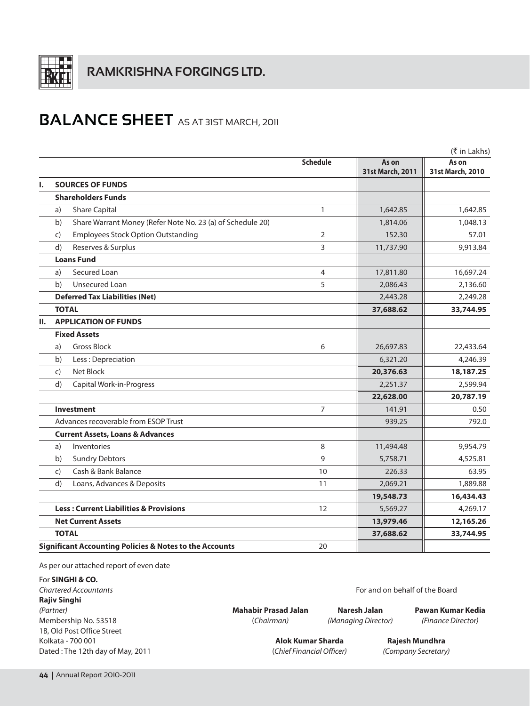

## **BALANCE SHEET** AS AT 3IST MARCH, 2011

|    |                                                                    |                 |                           | (₹ in Lakhs)              |
|----|--------------------------------------------------------------------|-----------------|---------------------------|---------------------------|
|    |                                                                    | <b>Schedule</b> | As on<br>31st March, 2011 | As on<br>31st March, 2010 |
| ı. | <b>SOURCES OF FUNDS</b>                                            |                 |                           |                           |
|    | <b>Shareholders Funds</b>                                          |                 |                           |                           |
|    | <b>Share Capital</b><br>a)                                         | 1               | 1,642.85                  | 1,642.85                  |
|    | Share Warrant Money (Refer Note No. 23 (a) of Schedule 20)<br>b)   |                 | 1,814.06                  | 1,048.13                  |
|    | <b>Employees Stock Option Outstanding</b><br>C)                    | $\overline{2}$  | 152.30                    | 57.01                     |
|    | Reserves & Surplus<br>d)                                           | 3               | 11,737.90                 | 9,913.84                  |
|    | <b>Loans Fund</b>                                                  |                 |                           |                           |
|    | Secured Loan<br>a)                                                 | 4               | 17,811.80                 | 16,697.24                 |
|    | Unsecured Loan<br>b)                                               | 5               | 2,086.43                  | 2,136.60                  |
|    | <b>Deferred Tax Liabilities (Net)</b>                              |                 | 2,443.28                  | 2,249.28                  |
|    | <b>TOTAL</b>                                                       |                 | 37,688.62                 | 33,744.95                 |
| П. | <b>APPLICATION OF FUNDS</b>                                        |                 |                           |                           |
|    | <b>Fixed Assets</b>                                                |                 |                           |                           |
|    | <b>Gross Block</b><br>a)                                           | 6               | 26,697.83                 | 22,433.64                 |
|    | b)<br>Less: Depreciation                                           |                 | 6,321.20                  | 4,246.39                  |
|    | Net Block<br>C)                                                    |                 | 20,376.63                 | 18,187.25                 |
|    | d)<br>Capital Work-in-Progress                                     |                 | 2,251.37                  | 2,599.94                  |
|    |                                                                    |                 | 22,628.00                 | 20,787.19                 |
|    | <b>Investment</b>                                                  | 7               | 141.91                    | 0.50                      |
|    | Advances recoverable from ESOP Trust                               |                 | 939.25                    | 792.0                     |
|    | <b>Current Assets, Loans &amp; Advances</b>                        |                 |                           |                           |
|    | Inventories<br>a)                                                  | 8               | 11,494.48                 | 9,954.79                  |
|    | <b>Sundry Debtors</b><br>b)                                        | 9               | 5,758.71                  | 4,525.81                  |
|    | Cash & Bank Balance<br>$\mathsf{C}$                                | 10              | 226.33                    | 63.95                     |
|    | Loans, Advances & Deposits<br>d)                                   | 11              | 2,069.21                  | 1,889.88                  |
|    |                                                                    |                 | 19,548.73                 | 16,434.43                 |
|    | <b>Less: Current Liabilities &amp; Provisions</b>                  | 12              | 5,569.27                  | 4,269.17                  |
|    | <b>Net Current Assets</b>                                          |                 | 13,979.46                 | 12,165.26                 |
|    | <b>TOTAL</b>                                                       |                 | 37,688.62                 | 33,744.95                 |
|    | <b>Significant Accounting Policies &amp; Notes to the Accounts</b> | 20              |                           |                           |

As per our attached report of even date

For SINGHI & CO. Chartered Accountants **Rajiv Singhi** (Partner) Membership No. 53518 1B, Old Post Office Street Kolkata - 700 001 Dated: The 12th day of May, 2011

**Mahabir Prasad Jalan** (Chairman)

Naresh Jalan

(Managing Director)

Pawan Kumar Kedia (Finance Director)

Alok Kumar Sharda (Chief Financial Officer)

Rajesh Mundhra (Company Secretary)

For and on behalf of the Board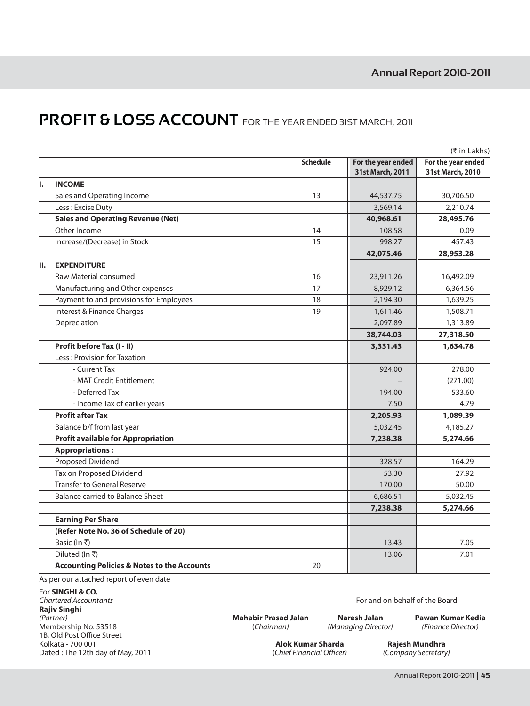## **PROFIT & LOSS ACCOUNT** FOR THE YEAR ENDED 31ST MARCH, 2011

|    |                                                        |                 |                                        | (₹ in Lakhs)                           |
|----|--------------------------------------------------------|-----------------|----------------------------------------|----------------------------------------|
|    |                                                        | <b>Schedule</b> | For the year ended<br>31st March, 2011 | For the year ended<br>31st March, 2010 |
| ı. | <b>INCOME</b>                                          |                 |                                        |                                        |
|    | Sales and Operating Income                             | 13              | 44,537.75                              | 30,706.50                              |
|    | Less: Excise Duty                                      |                 | 3,569.14                               | 2,210.74                               |
|    | <b>Sales and Operating Revenue (Net)</b>               |                 | 40,968.61                              | 28,495.76                              |
|    | Other Income                                           | 14              | 108.58                                 | 0.09                                   |
|    | Increase/(Decrease) in Stock                           | 15              | 998.27                                 | 457.43                                 |
|    |                                                        |                 | 42,075.46                              | 28,953.28                              |
| н. | <b>EXPENDITURE</b>                                     |                 |                                        |                                        |
|    | Raw Material consumed                                  | 16              | 23,911.26                              | 16,492.09                              |
|    | Manufacturing and Other expenses                       | 17              | 8,929.12                               | 6,364.56                               |
|    | Payment to and provisions for Employees                | 18              | 2,194.30                               | 1,639.25                               |
|    | Interest & Finance Charges                             | 19              | 1,611.46                               | 1,508.71                               |
|    | Depreciation                                           |                 | 2,097.89                               | 1,313.89                               |
|    |                                                        |                 | 38,744.03                              | 27,318.50                              |
|    | Profit before Tax (I - II)                             |                 | 3,331.43                               | 1,634.78                               |
|    | Less: Provision for Taxation                           |                 |                                        |                                        |
|    | - Current Tax                                          |                 | 924.00                                 | 278.00                                 |
|    | - MAT Credit Entitlement                               |                 |                                        | (271.00)                               |
|    | - Deferred Tax                                         |                 | 194.00                                 | 533.60                                 |
|    | - Income Tax of earlier years                          |                 | 7.50                                   | 4.79                                   |
|    | <b>Profit after Tax</b>                                |                 | 2,205.93                               | 1,089.39                               |
|    | Balance b/f from last year                             |                 | 5,032.45                               | 4,185.27                               |
|    | <b>Profit available for Appropriation</b>              |                 | 7,238.38                               | 5,274.66                               |
|    | <b>Appropriations:</b>                                 |                 |                                        |                                        |
|    | Proposed Dividend                                      |                 | 328.57                                 | 164.29                                 |
|    | Tax on Proposed Dividend                               |                 | 53.30                                  | 27.92                                  |
|    | <b>Transfer to General Reserve</b>                     |                 | 170.00                                 | 50.00                                  |
|    | <b>Balance carried to Balance Sheet</b>                |                 | 6,686.51                               | 5,032.45                               |
|    |                                                        |                 | 7,238.38                               | 5,274.66                               |
|    | <b>Earning Per Share</b>                               |                 |                                        |                                        |
|    | (Refer Note No. 36 of Schedule of 20)                  |                 |                                        |                                        |
|    | Basic (In ₹)                                           |                 | 13.43                                  | 7.05                                   |
|    | Diluted (In ₹)                                         |                 | 13.06                                  | 7.01                                   |
|    | <b>Accounting Policies &amp; Notes to the Accounts</b> | 20              |                                        |                                        |

As per our attached report of even date

For SINGHI & CO. Chartered Accountants **Rajiv Singhi** (Partner) Membership No. 53518 1B, Old Post Office Street Kolkata - 700 001 Dated: The 12th day of May, 2011

**Mahabir Prasad Jalan** (Chairman)

Naresh Jalan (Managing Director) Pawan Kumar Kedia (Finance Director)

Alok Kumar Sharda (Chief Financial Officer)

Rajesh Mundhra (Company Secretary)

For and on behalf of the Board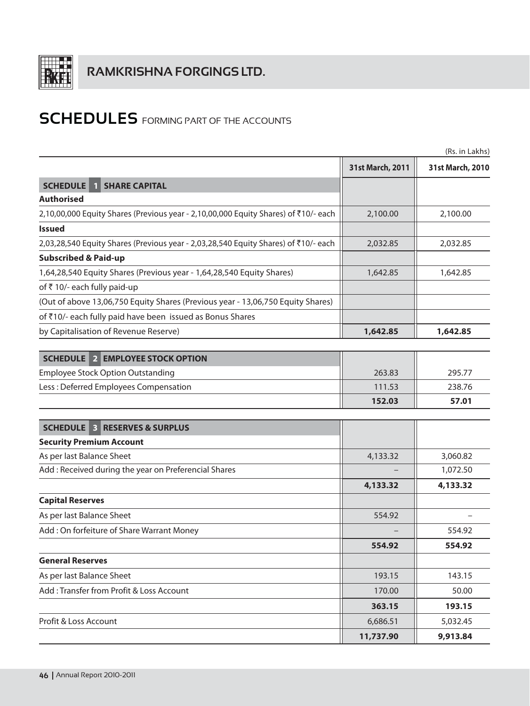

|                                                                                     |                  | (Rs. in Lakhs)   |
|-------------------------------------------------------------------------------------|------------------|------------------|
|                                                                                     | 31st March, 2011 | 31st March, 2010 |
| <b>SCHEDULE</b><br><b>SHARE CAPITAL</b>                                             |                  |                  |
| <b>Authorised</b>                                                                   |                  |                  |
| 2,10,00,000 Equity Shares (Previous year - 2,10,00,000 Equity Shares) of ₹10/- each | 2,100.00         | 2,100.00         |
| <b>Issued</b>                                                                       |                  |                  |
| 2,03,28,540 Equity Shares (Previous year - 2,03,28,540 Equity Shares) of ₹10/- each | 2,032.85         | 2,032.85         |
| <b>Subscribed &amp; Paid-up</b>                                                     |                  |                  |
| 1,64,28,540 Equity Shares (Previous year - 1,64,28,540 Equity Shares)               | 1,642.85         | 1,642.85         |
| of ₹10/- each fully paid-up                                                         |                  |                  |
| (Out of above 13,06,750 Equity Shares (Previous year - 13,06,750 Equity Shares)     |                  |                  |
| of ₹10/- each fully paid have been issued as Bonus Shares                           |                  |                  |
| by Capitalisation of Revenue Reserve)                                               | 1,642.85         | 1,642.85         |
|                                                                                     |                  |                  |
| <b>SCHEDULE 2 EMPLOYEE STOCK OPTION</b>                                             |                  |                  |
| <b>Employee Stock Option Outstanding</b>                                            | 263.83           | 295.77           |
| Less: Deferred Employees Compensation                                               | 111.53           | 238.76           |
|                                                                                     | 152.03           | 57.01            |
| <b>SCHEDULE 3 RESERVES &amp; SURPLUS</b>                                            |                  |                  |
| <b>Security Premium Account</b>                                                     |                  |                  |
| As per last Balance Sheet                                                           | 4,133.32         | 3,060.82         |
| Add : Received during the year on Preferencial Shares                               |                  | 1,072.50         |
|                                                                                     | 4,133.32         | 4,133.32         |
| <b>Capital Reserves</b>                                                             |                  |                  |
| As per last Balance Sheet                                                           | 554.92           |                  |
| Add: On forfeiture of Share Warrant Money                                           |                  | 554.92           |
|                                                                                     | 554.92           | 554.92           |
| <b>General Reserves</b>                                                             |                  |                  |
| As per last Balance Sheet                                                           | 193.15           | 143.15           |
| Add: Transfer from Profit & Loss Account                                            | 170.00           | 50.00            |
|                                                                                     | 363.15           | 193.15           |
| Profit & Loss Account                                                               | 6,686.51         | 5,032.45         |
|                                                                                     | 11,737.90        | 9,913.84         |
|                                                                                     |                  |                  |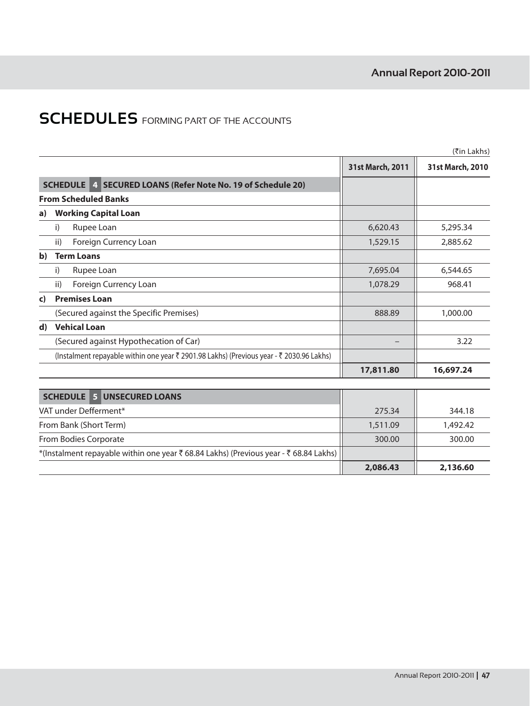|              |                                                                                          |                  | (₹in Lakhs)      |
|--------------|------------------------------------------------------------------------------------------|------------------|------------------|
|              |                                                                                          | 31st March, 2011 | 31st March, 2010 |
|              | <b>SCHEDULE</b><br>4 SECURED LOANS (Refer Note No. 19 of Schedule 20)                    |                  |                  |
|              | <b>From Scheduled Banks</b>                                                              |                  |                  |
| a)           | <b>Working Capital Loan</b>                                                              |                  |                  |
|              | Rupee Loan<br>i)                                                                         | 6,620.43         | 5,295.34         |
|              | Foreign Currency Loan<br>ii)                                                             | 1,529.15         | 2,885.62         |
| $\mathbf{b}$ | <b>Term Loans</b>                                                                        |                  |                  |
|              | Rupee Loan<br>i)                                                                         | 7,695.04         | 6,544.65         |
|              | Foreign Currency Loan<br>ii)                                                             | 1,078.29         | 968.41           |
| c)           | <b>Premises Loan</b>                                                                     |                  |                  |
|              | (Secured against the Specific Premises)                                                  | 888.89           | 1,000.00         |
| $\mathbf{d}$ | <b>Vehical Loan</b>                                                                      |                  |                  |
|              | (Secured against Hypothecation of Car)                                                   |                  | 3.22             |
|              | (Instalment repayable within one year ₹ 2901.98 Lakhs) (Previous year - ₹ 2030.96 Lakhs) |                  |                  |
|              |                                                                                          | 17,811.80        | 16,697.24        |
|              |                                                                                          |                  |                  |
|              | <b>SCHEDULE</b><br>5 <sup>1</sup><br><b>UNSECURED LOANS</b>                              |                  |                  |
|              | VAT under Defferment*                                                                    | 275.34           | 344.18           |
|              | From Bank (Short Term)                                                                   | 1,511.09         | 1,492.42         |
|              | From Bodies Corporate                                                                    | 300.00           | 300.00           |
|              | *(Instalment repayable within one year ₹ 68.84 Lakhs) (Previous year - ₹ 68.84 Lakhs)    |                  |                  |
|              |                                                                                          | 2,086.43         | 2,136.60         |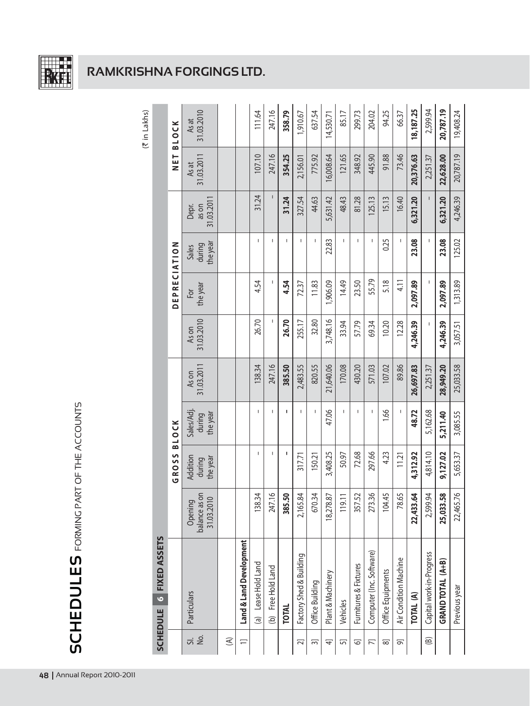

## **RAMKRISHNA FORGINGS LTD.**

|                       |                          |                                                   |                                |                                 |                    |                     |                     |                             |                             |                     | (₹ in Lakhs)        |
|-----------------------|--------------------------|---------------------------------------------------|--------------------------------|---------------------------------|--------------------|---------------------|---------------------|-----------------------------|-----------------------------|---------------------|---------------------|
|                       | SCHEDULE 6 FIXED ASSETS  |                                                   |                                |                                 |                    |                     |                     |                             |                             |                     |                     |
|                       |                          |                                                   | GROSS BLOCK                    |                                 |                    |                     | <b>DEPRECIATION</b> |                             |                             | NET<br>Z            | <b>BLOCK</b>        |
| ΔÓ.<br>$\overline{5}$ | Particulars              | $5^{\circ}$<br>Opening<br>balance as<br>31.03.201 | Addition<br>the year<br>during | Sales/Adj<br>the year<br>during | 31.03.201<br>As on | 31.03.2010<br>As on | the year<br>For     | the year<br>during<br>Sales | 31.03.201<br>as on<br>Depr. | 31.03.2011<br>As at | 31.03.2010<br>As at |
| $\mathfrak{S}$        |                          |                                                   |                                |                                 |                    |                     |                     |                             |                             |                     |                     |
| ╤                     | Land & Land Development  |                                                   |                                |                                 |                    |                     |                     |                             |                             |                     |                     |
|                       | Lease Hold Land<br>@     | 138.34                                            | т                              | т                               | 138.34             | 26.70               | 4.54                | т                           | 31.24                       | 107.10              | 111.64              |
|                       | (b) Free Hold Land       | $\circ$<br>247.1                                  | т                              | I.                              | 247.16             | L                   | ı                   | T                           | I                           | 247.16              | 247.16              |
|                       | <b>TOTAL</b>             | 385.50                                            | ı                              | ı                               | 385.50             | 26.70               | 4.54                | T                           | 31.24                       | 354.25              | 358.79              |
| 21                    | Factory Shed & Building  | 2,165.84                                          | 317.71                         | т                               | 2,483.55           | 255.17              | 72.37               |                             | 327.54                      | 2,156.01            | 1,910.67            |
| 3                     | Office Building          | 670.34                                            | 150.21                         | I                               | 820.55             | 32.80               | 11.83               | т                           | 44.63                       | 775.92              | 637.54              |
| 4                     | Plant & Machinery        | 18,278.87                                         | 3,408.25                       | 47.06                           | 21,640.06          | 3,748.16            | 1,906.09            | 22.83                       | 5,631.42                    | 16,008.64           | 14,530.71           |
| 5                     | Vehicles                 | $\frac{1}{2}$                                     | 50.97                          | т                               | 170.08             | 33.94               | 14.49               | т                           | 48.43                       | 121.65              | 85.17               |
| ତ                     | Furnitures & Fixtures    | 357.52                                            | 72.68                          | т                               | 430.20             | 57.79               | 23.50               | т                           | 81.28                       | 348.92              | 299.73              |
| 穴                     | Computer (Inc. Software) | 273.36                                            | 297.66                         | T                               | 571.03             | 69.34               | 55.79               | T                           | 125.13                      | 445.90              | 204.02              |
| ಹ                     | Office Equipments        | 104.45                                            | 4.23                           | 1.66                            | 107.02             | 10.20               | 5.18                | 0.25                        | 15.13                       | 91.88               | 94.25               |
| $\overline{\sigma}$   | Air Condition Machine    | 78.65                                             | 11.21                          | т                               | 89.86              | 12.28               | 4.11                | т                           | 16.40                       | 73.46               | 66.37               |
|                       | TOTAL (A)                | 22,433.64                                         | 4,312.92                       | 48.72                           | 26,697.83          | 4,246.39            | 2,097.89            | 23.08                       | 6,321.20                    | 20,376.63           | 18, 187.25          |
| $\circledB$           | Capital work-in-Progress | 2,599.94                                          | 4,814.10                       | 5,162.68                        | 2,251.37           | I                   | ı                   | ı                           | I                           | 2,251.37            | 2,599.94            |
|                       | GRAND TOTAL (A+B)        | $\frac{8}{10}$<br>25,033.5                        | 9,127.02                       | 5,211.40                        | 28,949.20          | 4,246.39            | 2,097.89            | 23.08                       | 6,321.20                    | 22,628.00           | 20,787.19           |
|                       | Previous year            | $\frac{8}{2}$<br>22,465.7                         | 5,653.37                       | 3,085.55                        | 25,033.58          | 3,057.51            | 1,313.89            | 125.02                      | 4,246.39                    | 20,787.19           | 19,408.24           |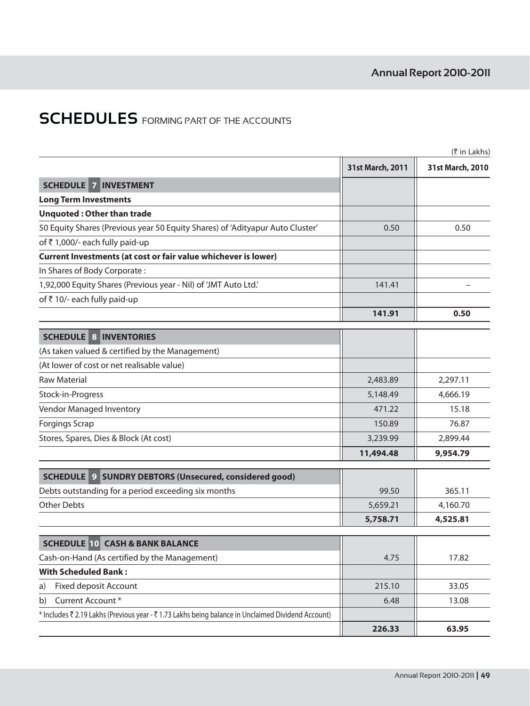|                                                                                                    |                  | $(5 \in \mathsf{In}$ Lakhs) |
|----------------------------------------------------------------------------------------------------|------------------|-----------------------------|
|                                                                                                    | 31st March, 2011 | 31st March, 2010            |
| <b>SCHEDULE 7 INVESTMENT</b>                                                                       |                  |                             |
| <b>Long Term Investments</b>                                                                       |                  |                             |
| <b>Unquoted: Other than trade</b>                                                                  |                  |                             |
| 50 Equity Shares (Previous year 50 Equity Shares) of 'Adityapur Auto Cluster'                      | 0.50             | 0.50                        |
| of ₹1,000/- each fully paid-up                                                                     |                  |                             |
| Current Investments (at cost or fair value whichever is lower)                                     |                  |                             |
| In Shares of Body Corporate:                                                                       |                  |                             |
| 1,92,000 Equity Shares (Previous year - Nil) of 'JMT Auto Ltd.'                                    | 141.41           |                             |
| of ₹10/- each fully paid-up                                                                        |                  |                             |
|                                                                                                    | 141.91           | 0.50                        |
| <b>SCHEDULE 8 INVENTORIES</b>                                                                      |                  |                             |
| (As taken valued & certified by the Management)                                                    |                  |                             |
| (At lower of cost or net realisable value)                                                         |                  |                             |
| <b>Raw Material</b>                                                                                | 2,483.89         | 2,297.11                    |
| Stock-in-Progress                                                                                  | 5,148.49         | 4,666.19                    |
| Vendor Managed Inventory                                                                           | 471.22           | 15.18                       |
| <b>Forgings Scrap</b>                                                                              | 150.89           | 76.87                       |
| Stores, Spares, Dies & Block (At cost)                                                             | 3,239.99         | 2,899.44                    |
|                                                                                                    | 11,494.48        | 9,954.79                    |
| <b>SCHEDULE 9 SUNDRY DEBTORS (Unsecured, considered good)</b>                                      |                  |                             |
| Debts outstanding for a period exceeding six months                                                | 99.50            | 365.11                      |
| <b>Other Debts</b>                                                                                 | 5,659.21         | 4,160.70                    |
|                                                                                                    | 5,758.71         | 4,525.81                    |
| <b>SCHEDULE 10 CASH &amp; BANK BALANCE</b>                                                         |                  |                             |
| Cash-on-Hand (As certified by the Management)                                                      | 4.75             | 17.82                       |
| <b>With Scheduled Bank:</b>                                                                        |                  |                             |
| Fixed deposit Account<br>a)                                                                        | 215.10           | 33.05                       |
| Current Account*<br>b)                                                                             | 6.48             | 13.08                       |
| * Includes ₹ 2.19 Lakhs (Previous year - ₹ 1.73 Lakhs being balance in Unclaimed Dividend Account) |                  |                             |
|                                                                                                    | 226.33           | 63.95                       |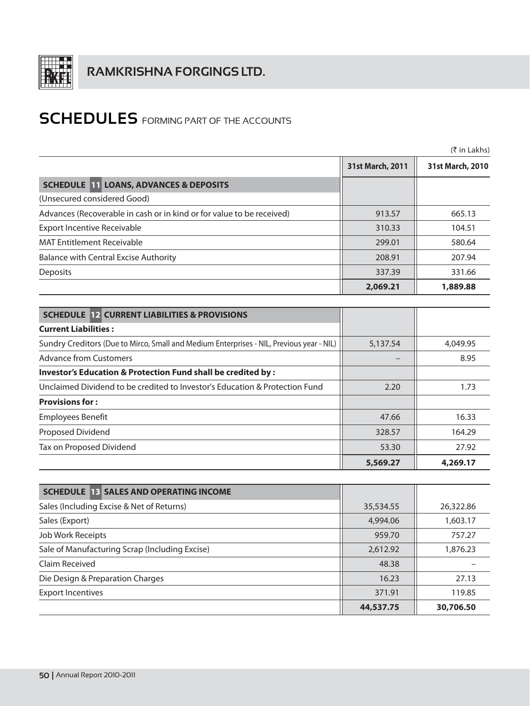

|                                                                                          |                  | $(5 \in \mathsf{In}$ Lakhs) |
|------------------------------------------------------------------------------------------|------------------|-----------------------------|
|                                                                                          | 31st March, 2011 | 31st March, 2010            |
| <b>SCHEDULE 11 LOANS, ADVANCES &amp; DEPOSITS</b>                                        |                  |                             |
| (Unsecured considered Good)                                                              |                  |                             |
| Advances (Recoverable in cash or in kind or for value to be received)                    | 913.57           | 665.13                      |
| <b>Export Incentive Receivable</b>                                                       | 310.33           | 104.51                      |
| <b>MAT Entitlement Receivable</b>                                                        | 299.01           | 580.64                      |
| <b>Balance with Central Excise Authority</b>                                             | 208.91           | 207.94                      |
| <b>Deposits</b>                                                                          | 337.39           | 331.66                      |
|                                                                                          | 2,069.21         | 1,889.88                    |
|                                                                                          |                  |                             |
| <b>SCHEDULE 12 CURRENT LIABILITIES &amp; PROVISIONS</b>                                  |                  |                             |
| <b>Current Liabilities:</b>                                                              |                  |                             |
| Sundry Creditors (Due to Mirco, Small and Medium Enterprises - NIL, Previous year - NIL) | 5,137.54         | 4,049.95                    |
| <b>Advance from Customers</b>                                                            |                  | 8.95                        |
| Investor's Education & Protection Fund shall be credited by :                            |                  |                             |
| Unclaimed Dividend to be credited to Investor's Education & Protection Fund              | 2.20             | 1.73                        |
| <b>Provisions for:</b>                                                                   |                  |                             |
| <b>Employees Benefit</b>                                                                 | 47.66            | 16.33                       |
| Proposed Dividend                                                                        | 328.57           | 164.29                      |
| Tax on Proposed Dividend                                                                 | 53.30            | 27.92                       |
|                                                                                          | 5,569.27         | 4,269.17                    |
|                                                                                          |                  |                             |
| <b>SCHEDULE 13 SALES AND OPERATING INCOME</b>                                            |                  |                             |
| Sales (Including Excise & Net of Returns)                                                | 35,534.55        | 26,322.86                   |

|                                                | 44,537.75 | 30,706.50 |
|------------------------------------------------|-----------|-----------|
| <b>Export Incentives</b>                       | 371.91    | 119.85    |
| Die Design & Preparation Charges               | 16.23     | 27.13     |
| Claim Received                                 | 48.38     |           |
| Sale of Manufacturing Scrap (Including Excise) | 2,612.92  | 1,876.23  |
| Job Work Receipts                              | 959.70    | 757.27    |
| Sales (Export)                                 | 4,994.06  | 1,603.17  |
| Sales (Including Excise & Net of Returns)      | 35,534.55 | 26,322.86 |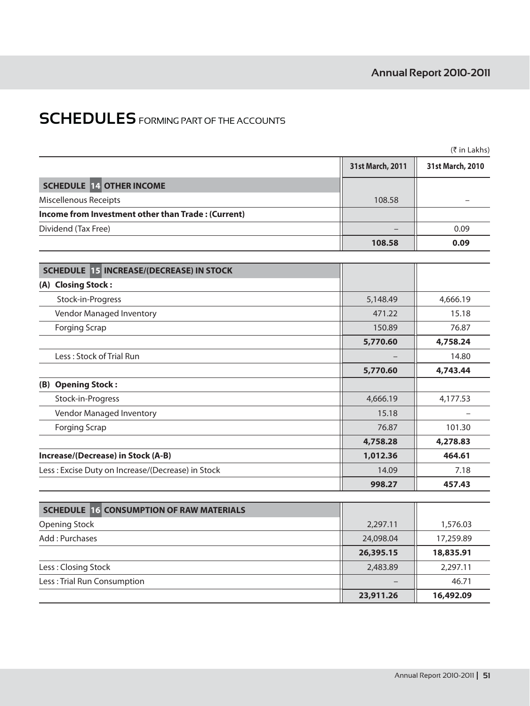|                                                    |                  | (₹ in Lakhs)     |
|----------------------------------------------------|------------------|------------------|
|                                                    | 31st March, 2011 | 31st March, 2010 |
| <b>SCHEDULE 14 OTHER INCOME</b>                    |                  |                  |
| Miscellenous Receipts                              | 108.58           |                  |
| Income from Investment other than Trade: (Current) |                  |                  |
| Dividend (Tax Free)                                |                  | 0.09             |
|                                                    | 108.58           | 0.09             |
| <b>SCHEDULE 15 INCREASE/(DECREASE) IN STOCK</b>    |                  |                  |
| (A) Closing Stock:                                 |                  |                  |
| Stock-in-Progress                                  | 5,148.49         | 4,666.19         |
| Vendor Managed Inventory                           | 471.22           | 15.18            |
| <b>Forging Scrap</b>                               | 150.89           | 76.87            |
|                                                    | 5,770.60         | 4,758.24         |
| Less: Stock of Trial Run                           |                  | 14.80            |
|                                                    | 5,770.60         | 4,743.44         |
| (B) Opening Stock:                                 |                  |                  |
| Stock-in-Progress                                  | 4,666.19         | 4,177.53         |
| Vendor Managed Inventory                           | 15.18            |                  |
| <b>Forging Scrap</b>                               | 76.87            | 101.30           |
|                                                    | 4,758.28         | 4,278.83         |
| Increase/(Decrease) in Stock (A-B)                 | 1,012.36         | 464.61           |
| Less: Excise Duty on Increase/(Decrease) in Stock  | 14.09            | 7.18             |
|                                                    | 998.27           | 457.43           |
| <b>SCHEDULE 16 CONSUMPTION OF RAW MATERIALS</b>    |                  |                  |
| <b>Opening Stock</b>                               | 2,297.11         | 1,576.03         |
| Add: Purchases                                     | 24,098.04        | 17,259.89        |
|                                                    | 26,395.15        | 18,835.91        |
| Less: Closing Stock                                | 2,483.89         | 2,297.11         |
| Less: Trial Run Consumption                        |                  | 46.71            |

**23,911.26** 16,492.09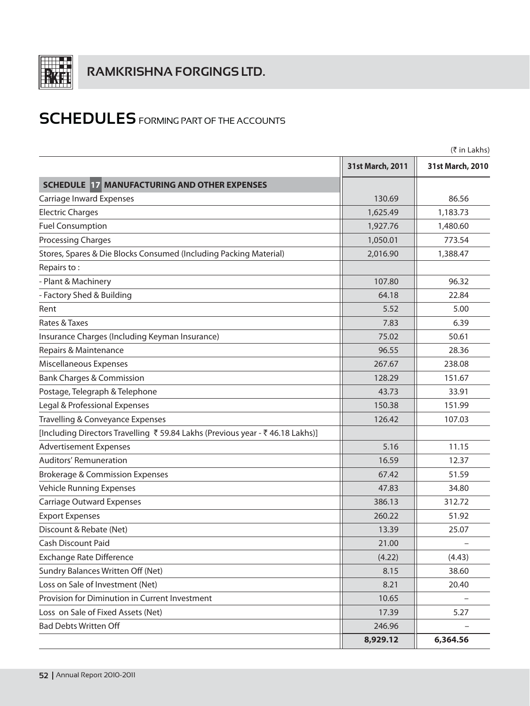

|                                                                                |                  | (₹ in Lakhs)     |
|--------------------------------------------------------------------------------|------------------|------------------|
|                                                                                | 31st March, 2011 | 31st March, 2010 |
| <b>SCHEDULE 17 MANUFACTURING AND OTHER EXPENSES</b>                            |                  |                  |
| Carriage Inward Expenses                                                       | 130.69           | 86.56            |
| <b>Electric Charges</b>                                                        | 1,625.49         | 1,183.73         |
| <b>Fuel Consumption</b>                                                        | 1,927.76         | 1,480.60         |
| <b>Processing Charges</b>                                                      | 1,050.01         | 773.54           |
| Stores, Spares & Die Blocks Consumed (Including Packing Material)              | 2,016.90         | 1,388.47         |
| Repairs to:                                                                    |                  |                  |
| - Plant & Machinery                                                            | 107.80           | 96.32            |
| - Factory Shed & Building                                                      | 64.18            | 22.84            |
| Rent                                                                           | 5.52             | 5.00             |
| Rates & Taxes                                                                  | 7.83             | 6.39             |
| Insurance Charges (Including Keyman Insurance)                                 | 75.02            | 50.61            |
| Repairs & Maintenance                                                          | 96.55            | 28.36            |
| Miscellaneous Expenses                                                         | 267.67           | 238.08           |
| <b>Bank Charges &amp; Commission</b>                                           | 128.29           | 151.67           |
| Postage, Telegraph & Telephone                                                 | 43.73            | 33.91            |
| Legal & Professional Expenses                                                  | 150.38           | 151.99           |
| Travelling & Conveyance Expenses                                               | 126.42           | 107.03           |
| [Including Directors Travelling ₹ 59.84 Lakhs (Previous year - ₹ 46.18 Lakhs)] |                  |                  |
| <b>Advertisement Expenses</b>                                                  | 5.16             | 11.15            |
| Auditors' Remuneration                                                         | 16.59            | 12.37            |
| <b>Brokerage &amp; Commission Expenses</b>                                     | 67.42            | 51.59            |
| <b>Vehicle Running Expenses</b>                                                | 47.83            | 34.80            |
| <b>Carriage Outward Expenses</b>                                               | 386.13           | 312.72           |
| <b>Export Expenses</b>                                                         | 260.22           | 51.92            |
| Discount & Rebate (Net)                                                        | 13.39            | 25.07            |
| Cash Discount Paid                                                             | 21.00            |                  |
| <b>Exchange Rate Difference</b>                                                | (4.22)           | (4.43)           |
| Sundry Balances Written Off (Net)                                              | 8.15             | 38.60            |
| Loss on Sale of Investment (Net)                                               | 8.21             | 20.40            |
| Provision for Diminution in Current Investment                                 | 10.65            |                  |
| Loss on Sale of Fixed Assets (Net)                                             | 17.39            | 5.27             |
| <b>Bad Debts Written Off</b>                                                   | 246.96           |                  |
|                                                                                | 8,929.12         | 6,364.56         |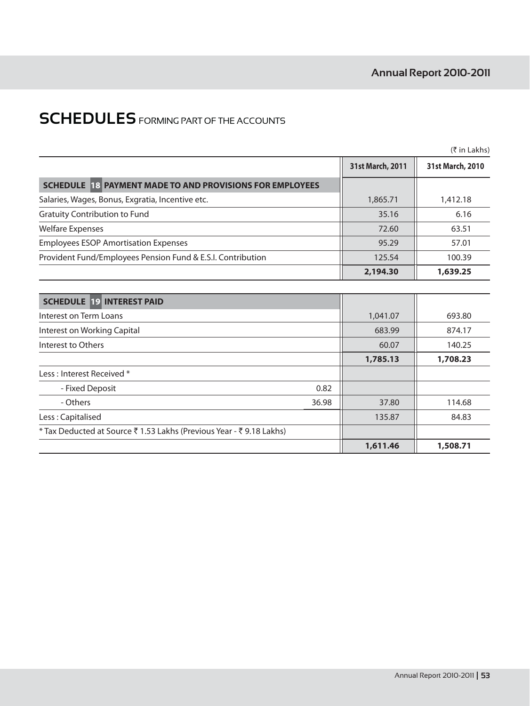|                                                                      |                  | $(3\overline{5})$ in Lakhs) |
|----------------------------------------------------------------------|------------------|-----------------------------|
|                                                                      | 31st March, 2011 | 31st March, 2010            |
| SCHEDULE 18 PAYMENT MADE TO AND PROVISIONS FOR EMPLOYEES             |                  |                             |
| Salaries, Wages, Bonus, Exgratia, Incentive etc.                     | 1,865.71         | 1,412.18                    |
| <b>Gratuity Contribution to Fund</b>                                 | 35.16            | 6.16                        |
| <b>Welfare Expenses</b>                                              | 72.60            | 63.51                       |
| <b>Employees ESOP Amortisation Expenses</b>                          | 95.29            | 57.01                       |
| Provident Fund/Employees Pension Fund & E.S.I. Contribution          | 125.54           | 100.39                      |
|                                                                      | 2,194.30         | 1,639.25                    |
|                                                                      |                  |                             |
| <b>SCHEDULE 19 INTEREST PAID</b>                                     |                  |                             |
| Interest on Term Loans                                               | 1,041.07         | 693.80                      |
| Interest on Working Capital                                          | 683.99           | 874.17                      |
| Interest to Others                                                   | 60.07            | 140.25                      |
|                                                                      | 1,785.13         | 1,708.23                    |
| Less : Interest Received *                                           |                  |                             |
| 0.82<br>- Fixed Deposit                                              |                  |                             |
| - Others<br>36.98                                                    | 37.80            | 114.68                      |
| Less: Capitalised                                                    | 135.87           | 84.83                       |
| * Tax Deducted at Source ₹ 1.53 Lakhs (Previous Year - ₹ 9.18 Lakhs) |                  |                             |
|                                                                      | 1,611.46         | 1,508.71                    |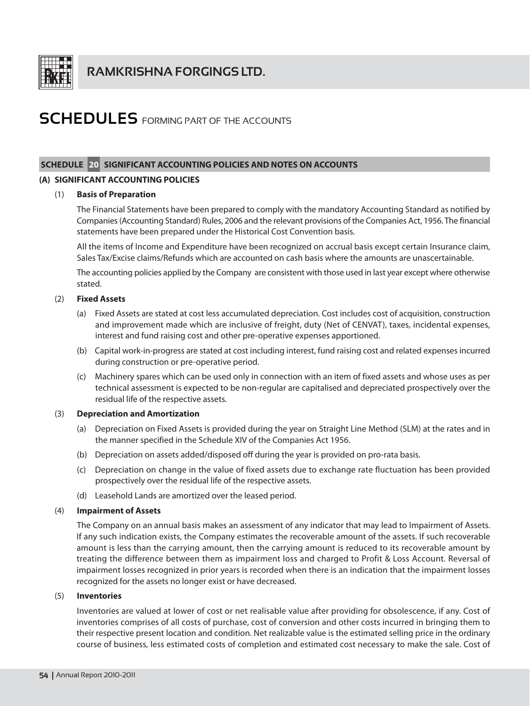

### SCHEDULE 20 SIGNIFICANT ACCOUNTING POLICIES AND NOTES ON ACCOUNTS

### (A) SIGNIFICANT ACCOUNTING POLICIES

#### **Basis of Preparation**  $(1)$

The Financial Statements have been prepared to comply with the mandatory Accounting Standard as notified by Companies (Accounting Standard) Rules, 2006 and the relevant provisions of the Companies Act, 1956. The financial statements have been prepared under the Historical Cost Convention basis.

All the items of Income and Expenditure have been recognized on accrual basis except certain Insurance claim, Sales Tax/Excise claims/Refunds which are accounted on cash basis where the amounts are unascertainable.

The accounting policies applied by the Company are consistent with those used in last year except where otherwise stated.

#### $(2)$ **Fixed Assets**

- (a) Fixed Assets are stated at cost less accumulated depreciation. Cost includes cost of acquisition, construction and improvement made which are inclusive of freight, duty (Net of CENVAT), taxes, incidental expenses, interest and fund raising cost and other pre-operative expenses apportioned.
- (b) Capital work-in-progress are stated at cost including interest, fund raising cost and related expenses incurred during construction or pre-operative period.
- (c) Machinery spares which can be used only in connection with an item of fixed assets and whose uses as per technical assessment is expected to be non-regular are capitalised and depreciated prospectively over the residual life of the respective assets.

#### $(3)$ **Depreciation and Amortization**

- (a) Depreciation on Fixed Assets is provided during the year on Straight Line Method (SLM) at the rates and in the manner specified in the Schedule XIV of the Companies Act 1956.
- (b) Depreciation on assets added/disposed off during the year is provided on pro-rata basis.
- (c) Depreciation on change in the value of fixed assets due to exchange rate fluctuation has been provided prospectively over the residual life of the respective assets.
- (d) Leasehold Lands are amortized over the leased period.

#### $(4)$ **Impairment of Assets**

The Company on an annual basis makes an assessment of any indicator that may lead to Impairment of Assets. If any such indication exists, the Company estimates the recoverable amount of the assets. If such recoverable amount is less than the carrying amount, then the carrying amount is reduced to its recoverable amount by treating the difference between them as impairment loss and charged to Profit & Loss Account. Reversal of impairment losses recognized in prior years is recorded when there is an indication that the impairment losses recognized for the assets no longer exist or have decreased.

#### $(5)$ **Inventories**

Inventories are valued at lower of cost or net realisable value after providing for obsolescence, if any. Cost of inventories comprises of all costs of purchase, cost of conversion and other costs incurred in bringing them to their respective present location and condition. Net realizable value is the estimated selling price in the ordinary course of business, less estimated costs of completion and estimated cost necessary to make the sale. Cost of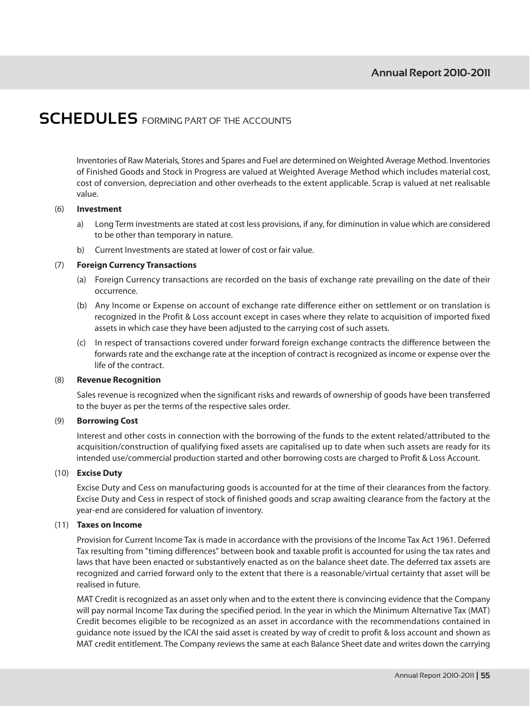Inventories of Raw Materials, Stores and Spares and Fuel are determined on Weighted Average Method. Inventories of Finished Goods and Stock in Progress are valued at Weighted Average Method which includes material cost, cost of conversion, depreciation and other overheads to the extent applicable. Scrap is valued at net realisable value.

#### $(6)$ Investment

- $a)$ Long Term investments are stated at cost less provisions, if any, for diminution in value which are considered to be other than temporary in nature.
- $b)$ Current Investments are stated at lower of cost or fair value.

#### $(7)$ **Foreign Currency Transactions**

- (a) Foreign Currency transactions are recorded on the basis of exchange rate prevailing on the date of their occurrence.
- (b) Any Income or Expense on account of exchange rate difference either on settlement or on translation is recognized in the Profit & Loss account except in cases where they relate to acquisition of imported fixed assets in which case they have been adjusted to the carrying cost of such assets.
- (c) In respect of transactions covered under forward foreign exchange contracts the difference between the forwards rate and the exchange rate at the inception of contract is recognized as income or expense over the life of the contract.

#### $(8)$ **Revenue Recognition**

Sales revenue is recognized when the significant risks and rewards of ownership of goods have been transferred to the buyer as per the terms of the respective sales order.

#### $(9)$ **Borrowing Cost**

Interest and other costs in connection with the borrowing of the funds to the extent related/attributed to the acquisition/construction of qualifying fixed assets are capitalised up to date when such assets are ready for its intended use/commercial production started and other borrowing costs are charged to Profit & Loss Account.

### (10) Excise Duty

Excise Duty and Cess on manufacturing goods is accounted for at the time of their clearances from the factory. Excise Duty and Cess in respect of stock of finished goods and scrap awaiting clearance from the factory at the year-end are considered for valuation of inventory.

### (11) Taxes on Income

Provision for Current Income Tax is made in accordance with the provisions of the Income Tax Act 1961. Deferred Tax resulting from "timing differences" between book and taxable profit is accounted for using the tax rates and laws that have been enacted or substantively enacted as on the balance sheet date. The deferred tax assets are recognized and carried forward only to the extent that there is a reasonable/virtual certainty that asset will be realised in future.

MAT Credit is recognized as an asset only when and to the extent there is convincing evidence that the Company will pay normal Income Tax during the specified period. In the year in which the Minimum Alternative Tax (MAT) Credit becomes eligible to be recognized as an asset in accordance with the recommendations contained in guidance note issued by the ICAI the said asset is created by way of credit to profit & loss account and shown as MAT credit entitlement. The Company reviews the same at each Balance Sheet date and writes down the carrying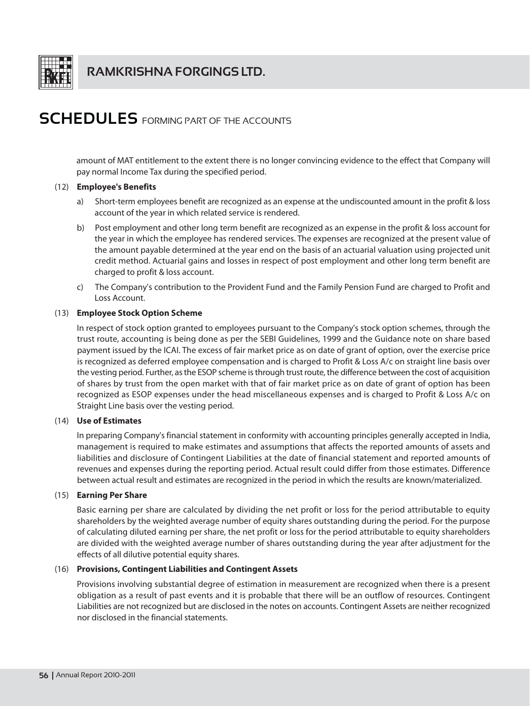

amount of MAT entitlement to the extent there is no longer convincing evidence to the effect that Company will pay normal Income Tax during the specified period.

### (12) Employee's Benefits

- Short-term employees benefit are recognized as an expense at the undiscounted amount in the profit & loss  $a)$ account of the year in which related service is rendered.
- b) Post employment and other long term benefit are recognized as an expense in the profit & loss account for the year in which the employee has rendered services. The expenses are recognized at the present value of the amount payable determined at the year end on the basis of an actuarial valuation using projected unit credit method. Actuarial gains and losses in respect of post employment and other long term benefit are charged to profit & loss account.
- c) The Company's contribution to the Provident Fund and the Family Pension Fund are charged to Profit and Loss Account.

### (13) Employee Stock Option Scheme

In respect of stock option granted to employees pursuant to the Company's stock option schemes, through the trust route, accounting is being done as per the SEBI Guidelines, 1999 and the Guidance note on share based payment issued by the ICAI. The excess of fair market price as on date of grant of option, over the exercise price is recognized as deferred employee compensation and is charged to Profit & Loss A/c on straight line basis over the vesting period. Further, as the ESOP scheme is through trust route, the difference between the cost of acquisition of shares by trust from the open market with that of fair market price as on date of grant of option has been recognized as ESOP expenses under the head miscellaneous expenses and is charged to Profit & Loss A/c on Straight Line basis over the vesting period.

### (14) Use of Estimates

In preparing Company's financial statement in conformity with accounting principles generally accepted in India, management is required to make estimates and assumptions that affects the reported amounts of assets and liabilities and disclosure of Contingent Liabilities at the date of financial statement and reported amounts of revenues and expenses during the reporting period. Actual result could differ from those estimates. Difference between actual result and estimates are recognized in the period in which the results are known/materialized.

### (15) Earning Per Share

Basic earning per share are calculated by dividing the net profit or loss for the period attributable to equity shareholders by the weighted average number of equity shares outstanding during the period. For the purpose of calculating diluted earning per share, the net profit or loss for the period attributable to equity shareholders are divided with the weighted average number of shares outstanding during the year after adjustment for the effects of all dilutive potential equity shares.

### (16) Provisions, Contingent Liabilities and Contingent Assets

Provisions involving substantial degree of estimation in measurement are recognized when there is a present obligation as a result of past events and it is probable that there will be an outflow of resources. Contingent Liabilities are not recognized but are disclosed in the notes on accounts. Contingent Assets are neither recognized nor disclosed in the financial statements.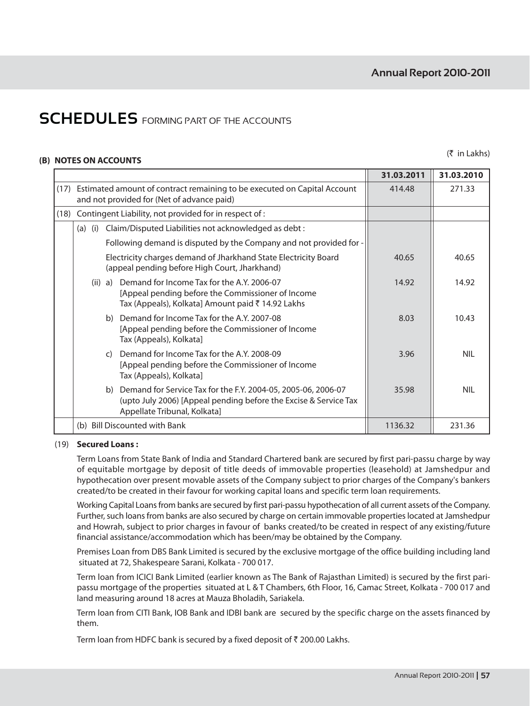### (B) NOTES ON ACCOUNTS

 $(5$  in Lakhs)

|      |               |                                                                                                                                                                   | 31.03.2011 | 31.03.2010 |
|------|---------------|-------------------------------------------------------------------------------------------------------------------------------------------------------------------|------------|------------|
| (17) |               | Estimated amount of contract remaining to be executed on Capital Account<br>and not provided for (Net of advance paid)                                            | 414.48     | 271.33     |
| (18) |               | Contingent Liability, not provided for in respect of :                                                                                                            |            |            |
|      | (a)           | (i) Claim/Disputed Liabilities not acknowledged as debt :                                                                                                         |            |            |
|      |               | Following demand is disputed by the Company and not provided for -                                                                                                |            |            |
|      |               | Electricity charges demand of Jharkhand State Electricity Board<br>(appeal pending before High Court, Jharkhand)                                                  | 40.65      | 40.65      |
|      | (ii) a)       | Demand for Income Tax for the A.Y. 2006-07<br>[Appeal pending before the Commissioner of Income<br>Tax (Appeals), Kolkata] Amount paid ₹ 14.92 Lakhs              | 14.92      | 14.92      |
|      | b)            | Demand for Income Tax for the A.Y. 2007-08<br>[Appeal pending before the Commissioner of Income<br>Tax (Appeals), Kolkata]                                        | 8.03       | 10.43      |
|      | $\mathcal{C}$ | Demand for Income Tax for the A.Y. 2008-09<br>[Appeal pending before the Commissioner of Income<br>Tax (Appeals), Kolkata]                                        | 3.96       | NII.       |
|      | b)            | Demand for Service Tax for the F.Y. 2004-05, 2005-06, 2006-07<br>(upto July 2006) [Appeal pending before the Excise & Service Tax<br>Appellate Tribunal, Kolkata] | 35.98      | <b>NII</b> |
|      |               | (b) Bill Discounted with Bank                                                                                                                                     | 1136.32    | 231.36     |

### (19) Secured Loans:

Term Loans from State Bank of India and Standard Chartered bank are secured by first pari-passu charge by way of equitable mortgage by deposit of title deeds of immovable properties (leasehold) at Jamshedpur and hypothecation over present movable assets of the Company subject to prior charges of the Company's bankers created/to be created in their favour for working capital loans and specific term loan requirements.

Working Capital Loans from banks are secured by first pari-passu hypothecation of all current assets of the Company. Further, such loans from banks are also secured by charge on certain immovable properties located at Jamshedpur and Howrah, subject to prior charges in favour of banks created/to be created in respect of any existing/future financial assistance/accommodation which has been/may be obtained by the Company.

Premises Loan from DBS Bank Limited is secured by the exclusive mortgage of the office building including land situated at 72, Shakespeare Sarani, Kolkata - 700 017.

Term loan from ICICI Bank Limited (earlier known as The Bank of Rajasthan Limited) is secured by the first paripassu mortgage of the properties situated at L & T Chambers, 6th Floor, 16, Camac Street, Kolkata - 700 017 and land measuring around 18 acres at Mauza Bholadih, Sariakela.

Term loan from CITI Bank, IOB Bank and IDBI bank are secured by the specific charge on the assets financed by them.

Term loan from HDFC bank is secured by a fixed deposit of ₹ 200.00 Lakhs.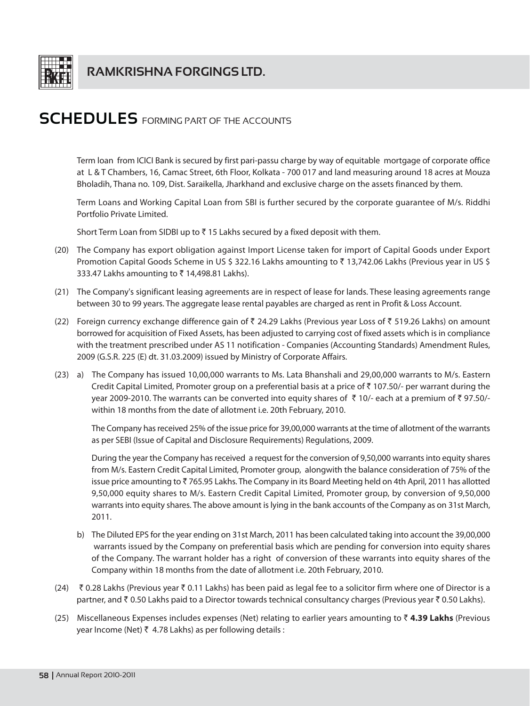

Term loan from ICICI Bank is secured by first pari-passu charge by way of equitable mortgage of corporate office at L & T Chambers, 16, Camac Street, 6th Floor, Kolkata - 700 017 and land measuring around 18 acres at Mouza Bholadih, Thana no. 109, Dist. Saraikella, Jharkhand and exclusive charge on the assets financed by them.

Term Loans and Working Capital Loan from SBI is further secured by the corporate quarantee of M/s. Riddhi Portfolio Private Limited.

Short Term Loan from SIDBI up to  $\bar{\zeta}$  15 Lakhs secured by a fixed deposit with them.

- (20) The Company has export obligation against Import License taken for import of Capital Goods under Export Promotion Capital Goods Scheme in US \$ 322.16 Lakhs amounting to ₹ 13,742.06 Lakhs (Previous year in US \$ 333.47 Lakhs amounting to ₹14,498.81 Lakhs).
- (21) The Company's significant leasing agreements are in respect of lease for lands. These leasing agreements range between 30 to 99 years. The aggregate lease rental payables are charged as rent in Profit & Loss Account.
- (22) Foreign currency exchange difference gain of ₹ 24.29 Lakhs (Previous year Loss of ₹ 519.26 Lakhs) on amount borrowed for acquisition of Fixed Assets, has been adjusted to carrying cost of fixed assets which is in compliance with the treatment prescribed under AS 11 notification - Companies (Accounting Standards) Amendment Rules, 2009 (G.S.R. 225 (E) dt. 31.03.2009) issued by Ministry of Corporate Affairs.
- (23) a) The Company has issued 10,00,000 warrants to Ms. Lata Bhanshali and 29,00,000 warrants to M/s. Eastern Credit Capital Limited, Promoter group on a preferential basis at a price of ₹107.50/- per warrant during the year 2009-2010. The warrants can be converted into equity shares of ₹10/- each at a premium of ₹97.50/within 18 months from the date of allotment i.e. 20th February, 2010.

The Company has received 25% of the issue price for 39,00,000 warrants at the time of allotment of the warrants as per SEBI (Issue of Capital and Disclosure Requirements) Regulations, 2009.

During the year the Company has received a request for the conversion of 9,50,000 warrants into equity shares from M/s. Eastern Credit Capital Limited, Promoter group, alongwith the balance consideration of 75% of the issue price amounting to ₹765.95 Lakhs. The Company in its Board Meeting held on 4th April, 2011 has allotted 9,50,000 equity shares to M/s. Eastern Credit Capital Limited, Promoter group, by conversion of 9,50,000 warrants into equity shares. The above amount is lying in the bank accounts of the Company as on 31st March, 2011.

- b) The Diluted EPS for the year ending on 31st March, 2011 has been calculated taking into account the 39,00,000 warrants issued by the Company on preferential basis which are pending for conversion into equity shares of the Company. The warrant holder has a right of conversion of these warrants into equity shares of the Company within 18 months from the date of allotment i.e. 20th February, 2010.
- (24) ₹ 0.28 Lakhs (Previous year ₹ 0.11 Lakhs) has been paid as legal fee to a solicitor firm where one of Director is a partner, and ₹ 0.50 Lakhs paid to a Director towards technical consultancy charges (Previous year ₹ 0.50 Lakhs).
- (25) Miscellaneous Expenses includes expenses (Net) relating to earlier years amounting to  $\bar{z}$  4.39 Lakhs (Previous year Income (Net) ₹ 4.78 Lakhs) as per following details :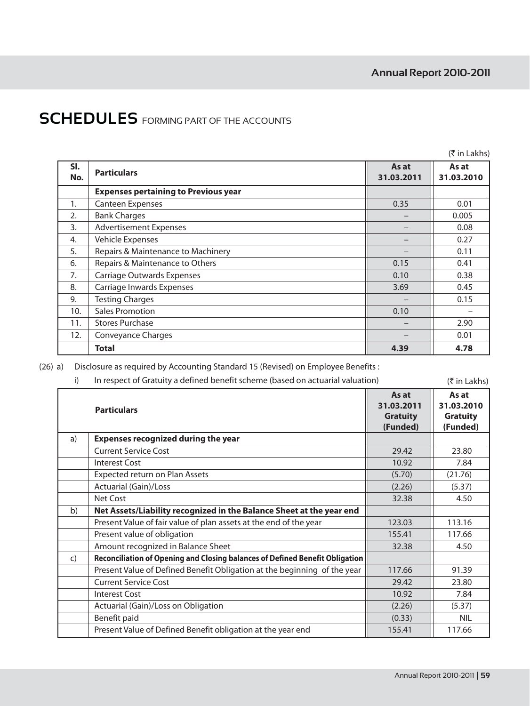|            |                                             |                     | $(5 \in \mathsf{Lakhs})$ |
|------------|---------------------------------------------|---------------------|--------------------------|
| SI.<br>No. | <b>Particulars</b>                          | As at<br>31.03.2011 | As at<br>31.03.2010      |
|            | <b>Expenses pertaining to Previous year</b> |                     |                          |
| 1.         | Canteen Expenses                            | 0.35                | 0.01                     |
| 2.         | <b>Bank Charges</b>                         |                     | 0.005                    |
| 3.         | <b>Advertisement Expenses</b>               |                     | 0.08                     |
| 4.         | Vehicle Expenses                            |                     | 0.27                     |
| 5.         | Repairs & Maintenance to Machinery          |                     | 0.11                     |
| 6.         | Repairs & Maintenance to Others             | 0.15                | 0.41                     |
| 7.         | Carriage Outwards Expenses                  | 0.10                | 0.38                     |
| 8.         | Carriage Inwards Expenses                   | 3.69                | 0.45                     |
| 9.         | <b>Testing Charges</b>                      |                     | 0.15                     |
| 10.        | <b>Sales Promotion</b>                      | 0.10                |                          |
| 11.        | <b>Stores Purchase</b>                      |                     | 2.90                     |
| 12.        | Conveyance Charges                          |                     | 0.01                     |
|            | <b>Total</b>                                | 4.39                | 4.78                     |

(26) a) Disclosure as required by Accounting Standard 15 (Revised) on Employee Benefits:

| i)           | In respect of Gratuity a defined benefit scheme (based on actuarial valuation) |                                                    | $(5 \in \mathsf{In}$ Lakhs)                        |
|--------------|--------------------------------------------------------------------------------|----------------------------------------------------|----------------------------------------------------|
|              | <b>Particulars</b>                                                             | As at<br>31.03.2011<br><b>Gratuity</b><br>(Funded) | As at<br>31.03.2010<br><b>Gratuity</b><br>(Funded) |
| a)           | <b>Expenses recognized during the year</b>                                     |                                                    |                                                    |
|              | <b>Current Service Cost</b>                                                    | 29.42                                              | 23.80                                              |
|              | <b>Interest Cost</b>                                                           | 10.92                                              | 7.84                                               |
|              | Expected return on Plan Assets                                                 | (5.70)                                             | (21.76)                                            |
|              | <b>Actuarial (Gain)/Loss</b>                                                   | (2.26)                                             | (5.37)                                             |
|              | Net Cost                                                                       | 32.38                                              | 4.50                                               |
| b)           | Net Assets/Liability recognized in the Balance Sheet at the year end           |                                                    |                                                    |
|              | Present Value of fair value of plan assets at the end of the year              | 123.03                                             | 113.16                                             |
|              | Present value of obligation                                                    | 155.41                                             | 117.66                                             |
|              | Amount recognized in Balance Sheet                                             | 32.38                                              | 4.50                                               |
| $\mathsf{C}$ | Reconciliation of Opening and Closing balances of Defined Benefit Obligation   |                                                    |                                                    |
|              | Present Value of Defined Benefit Obligation at the beginning of the year       | 117.66                                             | 91.39                                              |
|              | <b>Current Service Cost</b>                                                    | 29.42                                              | 23.80                                              |
|              | <b>Interest Cost</b>                                                           | 10.92                                              | 7.84                                               |
|              | Actuarial (Gain)/Loss on Obligation                                            | (2.26)                                             | (5.37)                                             |
|              | Benefit paid                                                                   | (0.33)                                             | <b>NIL</b>                                         |
|              | Present Value of Defined Benefit obligation at the year end                    | 155.41                                             | 117.66                                             |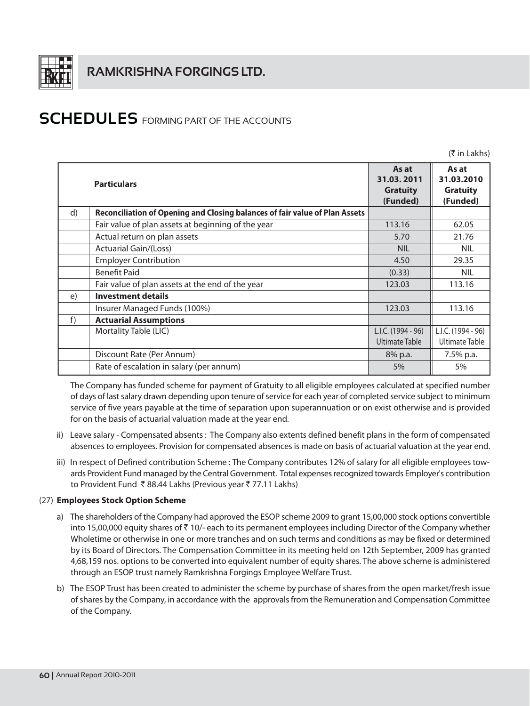

 $(3\overline{5}$  in Lakhs)

|    | <b>Particulars</b>                                                          | As at<br>31.03.2011<br><b>Gratuity</b><br>(Funded) | As at<br>31.03.2010<br><b>Gratuity</b><br>(Funded) |
|----|-----------------------------------------------------------------------------|----------------------------------------------------|----------------------------------------------------|
| d) | Reconciliation of Opening and Closing balances of fair value of Plan Assets |                                                    |                                                    |
|    | Fair value of plan assets at beginning of the year                          | 113.16                                             | 62.05                                              |
|    | Actual return on plan assets                                                | 5.70                                               | 21.76                                              |
|    | <b>Actuarial Gain/(Loss)</b>                                                | <b>NIL</b>                                         | <b>NIL</b>                                         |
|    | <b>Employer Contribution</b>                                                | 4.50                                               | 29.35                                              |
|    | <b>Benefit Paid</b>                                                         | (0.33)                                             | <b>NIL</b>                                         |
|    | Fair value of plan assets at the end of the year                            | 123.03                                             | 113.16                                             |
| e) | <b>Investment details</b>                                                   |                                                    |                                                    |
|    | Insurer Managed Funds (100%)                                                | 123.03                                             | 113.16                                             |
| f) | <b>Actuarial Assumptions</b>                                                |                                                    |                                                    |
|    | Mortality Table (LIC)                                                       | L.I.C. (1994 - 96)                                 | L.I.C. (1994 - 96)                                 |
|    |                                                                             | <b>Ultimate Table</b>                              | Ultimate Table                                     |
|    | Discount Rate (Per Annum)                                                   | 8% p.a.                                            | $7.5\%$ p.a.                                       |
|    | Rate of escalation in salary (per annum)                                    | 5%                                                 | 5%                                                 |

The Company has funded scheme for payment of Gratuity to all eligible employees calculated at specified number of days of last salary drawn depending upon tenure of service for each year of completed service subject to minimum service of five years payable at the time of separation upon superannuation or on exist otherwise and is provided for on the basis of actuarial valuation made at the year end.

- ii) Leave salary Compensated absents : The Company also extents defined benefit plans in the form of compensated absences to employees. Provision for compensated absences is made on basis of actuarial valuation at the year end.
- iii) In respect of Defined contribution Scheme: The Company contributes 12% of salary for all eligible employees towards Provident Fund managed by the Central Government. Total expenses recognized towards Employer's contribution to Provident Fund ₹88.44 Lakhs (Previous year ₹77.11 Lakhs)

## (27) Employees Stock Option Scheme

- a) The shareholders of the Company had approved the ESOP scheme 2009 to grant 15,00,000 stock options convertible into 15,00,000 equity shares of ₹10/- each to its permanent employees including Director of the Company whether Wholetime or otherwise in one or more tranches and on such terms and conditions as may be fixed or determined by its Board of Directors. The Compensation Committee in its meeting held on 12th September, 2009 has granted 4,68,159 nos. options to be converted into equivalent number of equity shares. The above scheme is administered through an ESOP trust namely Ramkrishna Forgings Employee Welfare Trust.
- b) The ESOP Trust has been created to administer the scheme by purchase of shares from the open market/fresh issue of shares by the Company, in accordance with the approvals from the Remuneration and Compensation Committee of the Company.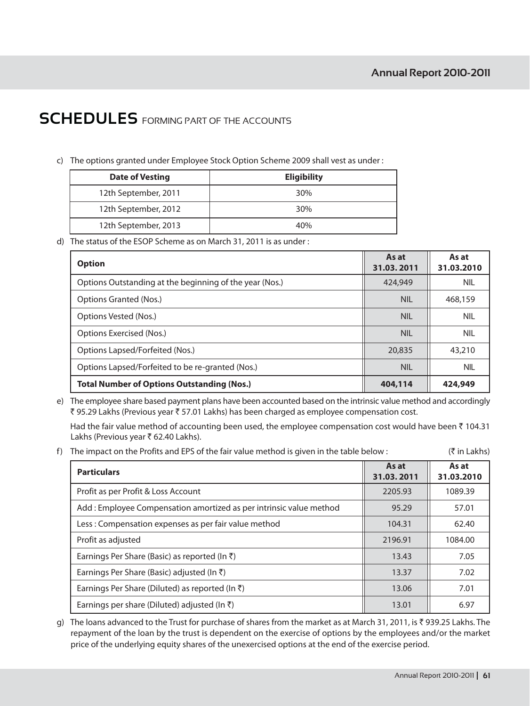c) The options granted under Employee Stock Option Scheme 2009 shall vest as under:

| <b>Date of Vesting</b><br><b>Eligibility</b> |     |
|----------------------------------------------|-----|
| 12th September, 2011                         | 30% |
| 12th September, 2012                         | 30% |
| 12th September, 2013                         | 40% |

d) The status of the ESOP Scheme as on March 31, 2011 is as under:

| <b>Option</b>                                           | As at<br>31.03.2011 | As at<br>31.03.2010 |
|---------------------------------------------------------|---------------------|---------------------|
| Options Outstanding at the beginning of the year (Nos.) | 424,949             | <b>NIL</b>          |
| Options Granted (Nos.)                                  | <b>NIL</b>          | 468,159             |
| Options Vested (Nos.)                                   | <b>NIL</b>          | <b>NIL</b>          |
| Options Exercised (Nos.)                                | <b>NIL</b>          | <b>NIL</b>          |
| Options Lapsed/Forfeited (Nos.)                         | 20,835              | 43,210              |
| Options Lapsed/Forfeited to be re-granted (Nos.)        | NIL                 | <b>NIL</b>          |
| <b>Total Number of Options Outstanding (Nos.)</b>       | 404,114             | 424,949             |

e) The employee share based payment plans have been accounted based on the intrinsic value method and accordingly ₹95.29 Lakhs (Previous year ₹57.01 Lakhs) has been charged as employee compensation cost.

Had the fair value method of accounting been used, the employee compensation cost would have been ₹ 104.31 Lakhs (Previous year ₹ 62.40 Lakhs).

f) The impact on the Profits and EPS of the fair value method is given in the table below:  $($ ₹ in Lakhs)

| <b>Particulars</b>                                                 | As at<br>31.03.2011 | As at<br>31.03.2010 |
|--------------------------------------------------------------------|---------------------|---------------------|
| Profit as per Profit & Loss Account                                | 2205.93             | 1089.39             |
| Add: Employee Compensation amortized as per intrinsic value method | 95.29               | 57.01               |
| Less: Compensation expenses as per fair value method               | 104.31              | 62.40               |
| Profit as adjusted                                                 | 2196.91             | 1084.00             |
| Earnings Per Share (Basic) as reported (In $\bar{z}$ )             | 13.43               | 7.05                |
| Earnings Per Share (Basic) adjusted (In $\bar{\tau}$ )             | 13.37               | 7.02                |
| Earnings Per Share (Diluted) as reported (In $\bar{z}$ )           | 13.06               | 7.01                |
| Earnings per share (Diluted) adjusted (In $\bar{\tau}$ )           | 13.01               | 6.97                |

q) The loans advanced to the Trust for purchase of shares from the market as at March 31, 2011, is ₹939.25 Lakhs. The repayment of the loan by the trust is dependent on the exercise of options by the employees and/or the market price of the underlying equity shares of the unexercised options at the end of the exercise period.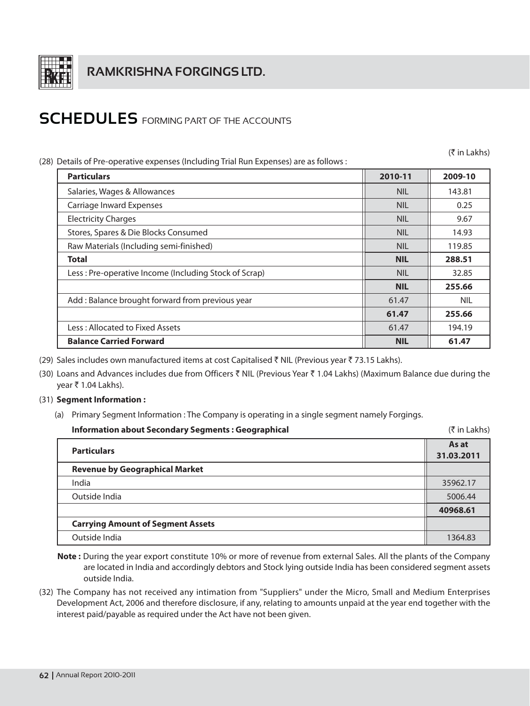

(28) Details of Pre-operative expenses (Including Trial Run Expenses) are as follows

(₹ in Lakhs)

| Details of Pre-operative expenses (including Trial Run Expenses) are as follows : |            |            |  |  |
|-----------------------------------------------------------------------------------|------------|------------|--|--|
| <b>Particulars</b>                                                                | 2010-11    | 2009-10    |  |  |
| Salaries, Wages & Allowances                                                      | <b>NIL</b> | 143.81     |  |  |
| Carriage Inward Expenses                                                          | <b>NIL</b> | 0.25       |  |  |
| <b>Electricity Charges</b>                                                        | <b>NIL</b> | 9.67       |  |  |
| Stores, Spares & Die Blocks Consumed                                              | <b>NIL</b> | 14.93      |  |  |
| Raw Materials (Including semi-finished)                                           | <b>NIL</b> | 119.85     |  |  |
| <b>Total</b>                                                                      | <b>NIL</b> | 288.51     |  |  |
| Less: Pre-operative Income (Including Stock of Scrap)                             | <b>NIL</b> | 32.85      |  |  |
|                                                                                   | <b>NIL</b> | 255.66     |  |  |
| Add: Balance brought forward from previous year                                   | 61.47      | <b>NIL</b> |  |  |
|                                                                                   | 61.47      | 255.66     |  |  |
| Less: Allocated to Fixed Assets                                                   | 61.47      | 194.19     |  |  |
| <b>Balance Carried Forward</b>                                                    | <b>NIL</b> | 61.47      |  |  |

(29) Sales includes own manufactured items at cost Capitalised ₹ NIL (Previous year ₹ 73.15 Lakhs).

- (30) Loans and Advances includes due from Officers ₹ NIL (Previous Year ₹ 1.04 Lakhs) (Maximum Balance due during the year ₹ 1.04 Lakhs).
- (31) Segment Information :
	- (a) Primary Segment Information : The Company is operating in a single segment namely Forgings.

| Information about Secondary Segments: Geographical | $($ ₹ in Lakhs)     |
|----------------------------------------------------|---------------------|
| <b>Particulars</b>                                 | As at<br>31.03.2011 |
| <b>Revenue by Geographical Market</b>              |                     |
| India                                              | 35962.17            |
| Outside India                                      | 5006.44             |
|                                                    | 40968.61            |
| <b>Carrying Amount of Segment Assets</b>           |                     |
| Outside India                                      | 1364.83             |

- Note: During the year export constitute 10% or more of revenue from external Sales. All the plants of the Company are located in India and accordingly debtors and Stock lying outside India has been considered segment assets outside India.
- (32) The Company has not received any intimation from "Suppliers" under the Micro, Small and Medium Enterprises Development Act, 2006 and therefore disclosure, if any, relating to amounts unpaid at the year end together with the interest paid/payable as required under the Act have not been given.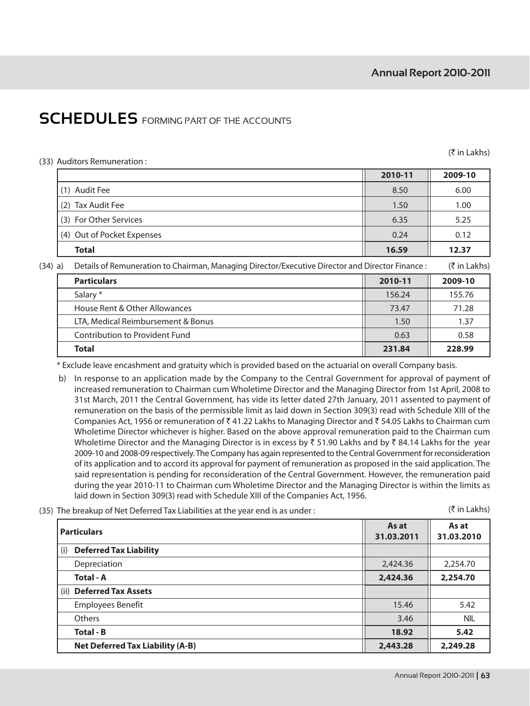### (33) Auditors Remuneration:

 $(3\overline{5})$  in Lakhs)

| 2010-11 | 2009-10 |
|---------|---------|
| 8.50    | 6.00    |
| 1.50    | 1.00    |
| 6.35    | 5.25    |
| 0.24    | 0.12    |
| 16.59   | 12.37   |
|         |         |

(34) a) Details of Remuneration to Chairman, Managing Director/Executive Director and Director Finance :

|  |  | (₹ in Lakhs) |
|--|--|--------------|
|  |  |              |

| <b>Particulars</b>                 | 2010-11 | 2009-10 |
|------------------------------------|---------|---------|
| Salary *                           | 156.24  | 155.76  |
| House Rent & Other Allowances      | 73.47   | 71.28   |
| LTA, Medical Reimbursement & Bonus | 1.50    | 1.37    |
| Contribution to Provident Fund     | 0.63    | 0.58    |
| Total                              | 231.84  | 228.99  |

\* Exclude leave encashment and gratuity which is provided based on the actuarial on overall Company basis.

- b) In response to an application made by the Company to the Central Government for approval of payment of increased remuneration to Chairman cum Wholetime Director and the Managing Director from 1st April, 2008 to 31st March, 2011 the Central Government, has vide its letter dated 27th January, 2011 assented to payment of remuneration on the basis of the permissible limit as laid down in Section 309(3) read with Schedule XIII of the Companies Act, 1956 or remuneration of ₹41.22 Lakhs to Managing Director and ₹54.05 Lakhs to Chairman cum Wholetime Director whichever is higher. Based on the above approval remuneration paid to the Chairman cum Wholetime Director and the Managing Director is in excess by ₹ 51.90 Lakhs and by ₹ 84.14 Lakhs for the year 2009-10 and 2008-09 respectively. The Company has again represented to the Central Government for reconsideration of its application and to accord its approval for payment of remuneration as proposed in the said application. The said representation is pending for reconsideration of the Central Government. However, the remuneration paid during the year 2010-11 to Chairman cum Wholetime Director and the Managing Director is within the limits as laid down in Section 309(3) read with Schedule XIII of the Companies Act, 1956.
- (35) The breakup of Net Deferred Tax Liabilities at the year end is as under:

(₹ in Lakhs)

| <b>Particulars</b>                      | As at<br>31.03.2011 | As at<br>31.03.2010 |
|-----------------------------------------|---------------------|---------------------|
| <b>Deferred Tax Liability</b><br>(i)    |                     |                     |
| Depreciation                            | 2,424.36            | 2,254.70            |
| <b>Total - A</b>                        | 2,424.36            | 2,254.70            |
| (ii) Deferred Tax Assets                |                     |                     |
| <b>Employees Benefit</b>                | 15.46               | 5.42                |
| Others                                  | 3.46                | <b>NIL</b>          |
| <b>Total - B</b>                        | 18.92               | 5.42                |
| <b>Net Deferred Tax Liability (A-B)</b> | 2,443.28            | 2,249.28            |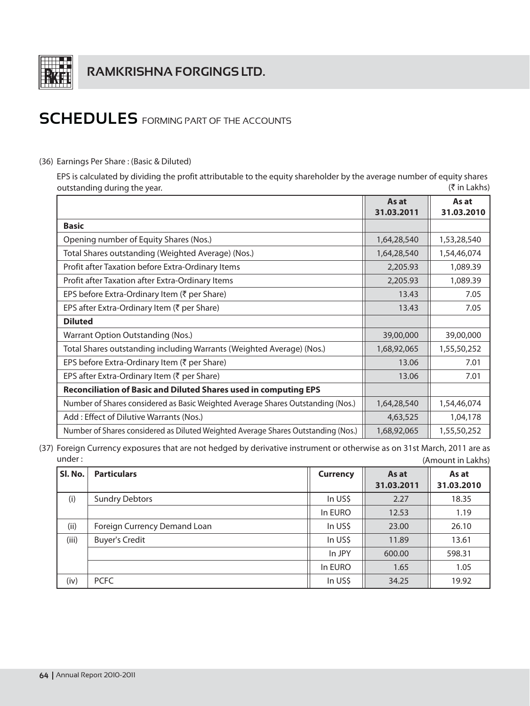

## (36) Earnings Per Share: (Basic & Diluted)

EPS is calculated by dividing the profit attributable to the equity shareholder by the average number of equity shares outstanding during the year. (₹ in Lakhs)

|                                                                                   | As at       | As at       |
|-----------------------------------------------------------------------------------|-------------|-------------|
|                                                                                   | 31.03.2011  | 31.03.2010  |
| <b>Basic</b>                                                                      |             |             |
| Opening number of Equity Shares (Nos.)                                            | 1,64,28,540 | 1,53,28,540 |
| Total Shares outstanding (Weighted Average) (Nos.)                                | 1,64,28,540 | 1,54,46,074 |
| Profit after Taxation before Extra-Ordinary Items                                 | 2,205.93    | 1,089.39    |
| Profit after Taxation after Extra-Ordinary Items                                  | 2,205.93    | 1,089.39    |
| EPS before Extra-Ordinary Item (₹ per Share)                                      | 13.43       | 7.05        |
| EPS after Extra-Ordinary Item (₹ per Share)                                       | 13.43       | 7.05        |
| <b>Diluted</b>                                                                    |             |             |
| Warrant Option Outstanding (Nos.)                                                 | 39,00,000   | 39,00,000   |
| Total Shares outstanding including Warrants (Weighted Average) (Nos.)             | 1,68,92,065 | 1,55,50,252 |
| EPS before Extra-Ordinary Item (₹ per Share)                                      | 13.06       | 7.01        |
| EPS after Extra-Ordinary Item (₹ per Share)                                       | 13.06       | 7.01        |
| <b>Reconciliation of Basic and Diluted Shares used in computing EPS</b>           |             |             |
| Number of Shares considered as Basic Weighted Average Shares Outstanding (Nos.)   | 1,64,28,540 | 1,54,46,074 |
| Add : Effect of Dilutive Warrants (Nos.)                                          | 4,63,525    | 1,04,178    |
| Number of Shares considered as Diluted Weighted Average Shares Outstanding (Nos.) | 1,68,92,065 | 1,55,50,252 |

(37) Foreign Currency exposures that are not hedged by derivative instrument or otherwise as on 31st March, 2011 are as under: (Amount in Lakhs)

| SI. No. | <b>Particulars</b>           | <b>Currency</b> | As at<br>31.03.2011 | As at<br>31.03.2010 |
|---------|------------------------------|-----------------|---------------------|---------------------|
| (i)     | <b>Sundry Debtors</b>        | In US\$         | 2.27                | 18.35               |
|         |                              | In EURO         | 12.53               | 1.19                |
| (ii)    | Foreign Currency Demand Loan | In US\$         | 23.00               | 26.10               |
| (iii)   | <b>Buyer's Credit</b>        | In US\$         | 11.89               | 13.61               |
|         |                              | In JPY          | 600.00              | 598.31              |
|         |                              | In EURO         | 1.65                | 1.05                |
| (iv)    | <b>PCFC</b>                  | In US\$         | 34.25               | 19.92               |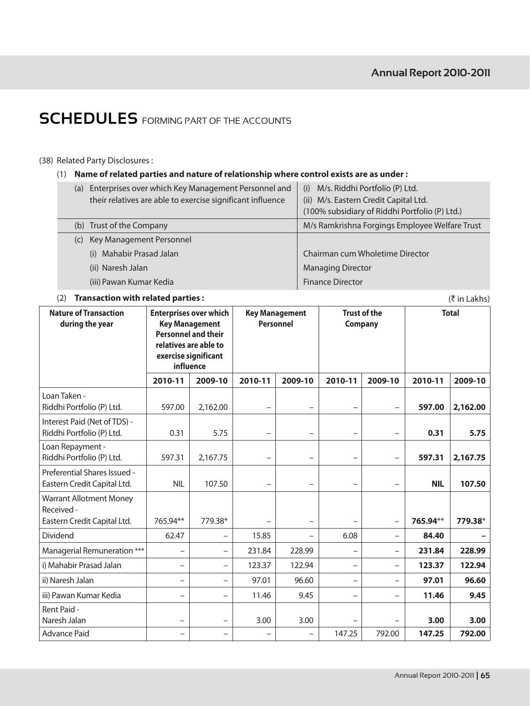$(3\overline{5})$  in Lakhs)

## **SCHEDULES** FORMING PART OF THE ACCOUNTS

### (38) Related Party Disclosures:

(1) Name of related parties and nature of relationship where control exists are as under :

| (a) | Enterprises over which Key Management Personnel and<br>their relatives are able to exercise significant influence | M/s. Riddhi Portfolio (P) Ltd.<br>(i)<br>(ii) M/s. Eastern Credit Capital Ltd.<br>(100% subsidiary of Riddhi Portfolio (P) Ltd.) |
|-----|-------------------------------------------------------------------------------------------------------------------|----------------------------------------------------------------------------------------------------------------------------------|
| (b) | Trust of the Company                                                                                              | M/s Ramkrishna Forgings Employee Welfare Trust                                                                                   |
| (C) | Key Management Personnel                                                                                          |                                                                                                                                  |
|     | Mahabir Prasad Jalan<br>(i)                                                                                       | Chairman cum Wholetime Director                                                                                                  |
|     | (ii) Naresh Jalan                                                                                                 | <b>Managing Director</b>                                                                                                         |
|     | (iii) Pawan Kumar Kedia                                                                                           | <b>Finance Director</b>                                                                                                          |

### (2) Transaction with related parties:

**Nature of Transaction Enterprises over which Key Management Trust of the Total Key Management** Personnel during the year Company **Personnel and their** relatives are able to exercise significant influence 2010-11 2009-10 2010-11 2009-10 2010-11 2009-10 2010-11 2009-10 Loan Taken -Riddhi Portfolio (P) Ltd. 597.00 597.00 2,162.00  $\overline{a}$  $\frac{1}{2}$  $\overline{a}$ 2,162.00  $\overline{a}$ Interest Paid (Net of TDS) -Riddhi Portfolio (P) Ltd.  $0.31$ 5.75  $\mathbf{r} = \mathbf{r} \mathbf{r}$  $0.31$ 5.75  $\overline{a}$  $\overline{a}$  $\overline{a}$ Loan Repayment -Riddhi Portfolio (P) Ltd. 59731 2.167.75 597.31 2,167.75  $\overline{a}$  $\overline{a}$  $\overline{a}$  $\overline{a}$ Preferential Shares Issued -Eastern Credit Capital Ltd. **NIL** 107.50 **NIL** 107.50  $\overline{a}$  $\overline{a}$  $\overline{a}$  $\overline{a}$ **Warrant Allotment Money** Received -765.94\*\* 779.38\* 765.94\*\* Eastern Credit Capital Ltd. 779.38\*  $\overline{\phantom{a}}$  $\overline{\phantom{a}}$ 62.47 6.08 84.40 Dividend 15.85  $\overline{a}$  $\overline{a}$  $\overline{a}$ Managerial Remuneration \*\*\* 231.84 228.99 231.84 228.99  $\overline{a}$  $\frac{1}{2}$  $\frac{1}{2}$  $\frac{1}{2}$ i) Mahabir Prasad Jalan 123.37 122.94 123.37 122.94  $\overline{a}$  $\overline{a}$  $\overline{a}$  $\overline{a}$ ii) Naresh Jalan 97.01 96.60 97.01 96.60  $\overline{a}$  $\overline{a}$  $\equiv$  $\overline{a}$ iii) Pawan Kumar Kedia 11.46 9.45 11.46 9.45  $\overline{a}$  $\overline{a}$  $\overline{a}$ Rent Paid -Naresh Jalan 3.00 3.00  $3.00$  $3.00$ Advance Paid 147.25 792.00 147.25 792.00  $\frac{1}{2}$  $\overline{a}$  $\frac{1}{2}$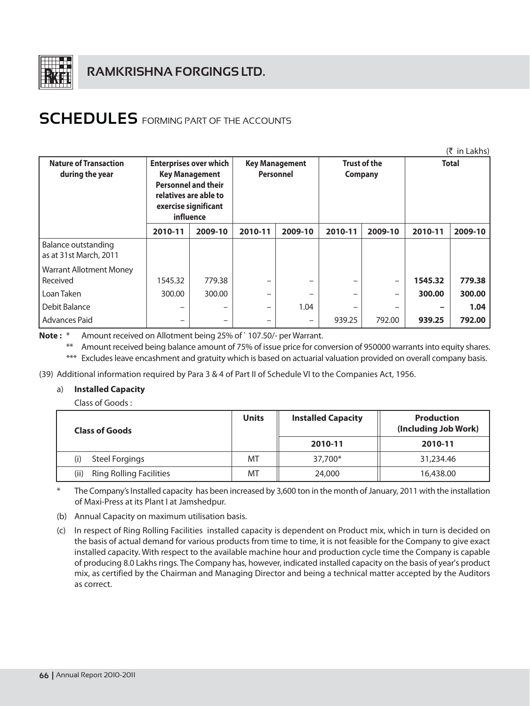

| $(5 \in \mathsf{In}$ Lakhs)                     |                                                                                                                                                    |         |                                                                             |         |         |         |              |         |
|-------------------------------------------------|----------------------------------------------------------------------------------------------------------------------------------------------------|---------|-----------------------------------------------------------------------------|---------|---------|---------|--------------|---------|
| <b>Nature of Transaction</b><br>during the year | <b>Enterprises over which</b><br><b>Key Management</b><br><b>Personnel and their</b><br>relatives are able to<br>exercise significant<br>influence |         | <b>Trust of the</b><br><b>Key Management</b><br><b>Personnel</b><br>Company |         |         |         | <b>Total</b> |         |
|                                                 | 2010-11                                                                                                                                            | 2009-10 | 2010-11                                                                     | 2009-10 | 2010-11 | 2009-10 | 2010-11      | 2009-10 |
| Balance outstanding<br>as at 31st March, 2011   |                                                                                                                                                    |         |                                                                             |         |         |         |              |         |
| <b>Warrant Allotment Money</b>                  |                                                                                                                                                    |         |                                                                             |         |         |         |              |         |
| l Received                                      | 1545.32                                                                                                                                            | 779.38  |                                                                             |         |         |         | 1545.32      | 779.38  |
| Loan Taken                                      | 300.00                                                                                                                                             | 300.00  | -                                                                           |         |         |         | 300.00       | 300.00  |
| Debit Balance                                   |                                                                                                                                                    |         | -                                                                           | 1.04    | -       |         |              | 1.04    |
| <b>Advances Paid</b>                            |                                                                                                                                                    |         | -                                                                           |         | 939.25  | 792.00  | 939.25       | 792.00  |

Note: \* Amount received on Allotment being 25% of `107.50/- per Warrant.

\*\* Amount received being balance amount of 75% of issue price for conversion of 950000 warrants into equity shares. \*\*\* Excludes leave encashment and gratuity which is based on actuarial valuation provided on overall company basis.

(39) Additional information required by Para 3 & 4 of Part II of Schedule VI to the Companies Act, 1956.

## a) Installed Capacity

Class of Goods:

| <b>Class of Goods</b>                  | <b>Units</b> | <b>Installed Capacity</b> | <b>Production</b><br>(Including Job Work) |
|----------------------------------------|--------------|---------------------------|-------------------------------------------|
|                                        |              | 2010-11                   | 2010-11                                   |
| <b>Steel Forgings</b><br>(i)           | MT           | 37,700*                   | 31,234.46                                 |
| (ii)<br><b>Ring Rolling Facilities</b> | MT           | 24,000                    | 16,438.00                                 |

 $\ast$ The Company's Installed capacity has been increased by 3,600 ton in the month of January, 2011 with the installation of Maxi-Press at its Plant I at Jamshedpur.

(b) Annual Capacity on maximum utilisation basis.

(c) In respect of Ring Rolling Facilities installed capacity is dependent on Product mix, which in turn is decided on the basis of actual demand for various products from time to time, it is not feasible for the Company to give exact installed capacity. With respect to the available machine hour and production cycle time the Company is capable of producing 8.0 Lakhs rings. The Company has, however, indicated installed capacity on the basis of year's product mix, as certified by the Chairman and Managing Director and being a technical matter accepted by the Auditors as correct.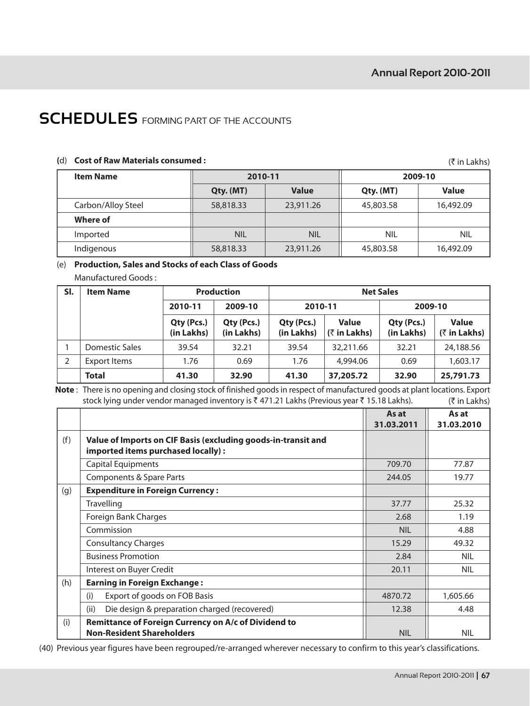(₹ in Lakhs)

## **SCHEDULES** FORMING PART OF THE ACCOUNTS

## (d) Cost of Raw Materials consumed :

| <b>Item Name</b>   | 2010-11    |              | 2009-10    |              |  |  |  |
|--------------------|------------|--------------|------------|--------------|--|--|--|
|                    | Qty. (MT)  | <b>Value</b> | Qty. (MT)  | <b>Value</b> |  |  |  |
| Carbon/Alloy Steel | 58,818.33  | 23,911.26    | 45,803.58  | 16,492.09    |  |  |  |
| Where of           |            |              |            |              |  |  |  |
| Imported           | <b>NIL</b> | <b>NIL</b>   | <b>NIL</b> | <b>NIL</b>   |  |  |  |
| Indigenous         | 58,818.33  | 23,911.26    | 45,803.58  | 16,492.09    |  |  |  |

## (e) Production, Sales and Stocks of each Class of Goods

Manufactured Goods:

| SI. | <b>Item Name</b> | <b>Production</b>        |                          | <b>Net Sales</b>         |                                 |                          |                                             |
|-----|------------------|--------------------------|--------------------------|--------------------------|---------------------------------|--------------------------|---------------------------------------------|
|     |                  | 2010-11                  | 2009-10                  | 2010-11                  |                                 | 2009-10                  |                                             |
|     |                  | Qty (Pcs.)<br>(in Lakhs) | Qty (Pcs.)<br>(in Lakhs) | Qty (Pcs.)<br>(in Lakhs) | <b>Value</b><br>$($ ₹ in Lakhs) | Qty (Pcs.)<br>(in Lakhs) | <b>Value</b><br>$(3\overline{5})$ in Lakhs) |
|     | Domestic Sales   | 39.54                    | 32.21                    | 39.54                    | 32,211.66                       | 32.21                    | 24,188.56                                   |
|     | Export Items     | 1.76                     | 0.69                     | 1.76                     | 4,994.06                        | 0.69                     | 1,603.17                                    |
|     | <b>Total</b>     | 41.30                    | 32.90                    | 41.30                    | 37,205.72                       | 32.90                    | 25,791.73                                   |

Note: There is no opening and closing stock of finished goods in respect of manufactured goods at plant locations. Export stock lying under vendor managed inventory is ₹471.21 Lakhs (Previous year ₹15.18 Lakhs). (₹ in Lakhs)

|     |                                                                                                     | As at<br>31.03.2011 | As at<br>31.03.2010 |
|-----|-----------------------------------------------------------------------------------------------------|---------------------|---------------------|
| (f) | Value of Imports on CIF Basis (excluding goods-in-transit and<br>imported items purchased locally): |                     |                     |
|     | <b>Capital Equipments</b>                                                                           | 709.70              | 77.87               |
|     | Components & Spare Parts                                                                            | 244.05              | 19.77               |
| (g) | <b>Expenditure in Foreign Currency:</b>                                                             |                     |                     |
|     | <b>Travelling</b>                                                                                   | 37.77               | 25.32               |
|     | Foreign Bank Charges                                                                                | 2.68                | 1.19                |
|     | Commission                                                                                          | <b>NIL</b>          | 4.88                |
|     | <b>Consultancy Charges</b>                                                                          | 15.29               | 49.32               |
|     | <b>Business Promotion</b>                                                                           | 2.84                | <b>NIL</b>          |
|     | Interest on Buyer Credit                                                                            | 20.11               | <b>NIL</b>          |
| (h) | <b>Earning in Foreign Exchange:</b>                                                                 |                     |                     |
|     | Export of goods on FOB Basis<br>(i)                                                                 | 4870.72             | 1,605.66            |
|     | (ii)<br>Die design & preparation charged (recovered)                                                | 12.38               | 4.48                |
| (i) | Remittance of Foreign Currency on A/c of Dividend to<br><b>Non-Resident Shareholders</b>            | <b>NIL</b>          | <b>NIL</b>          |

(40) Previous year figures have been regrouped/re-arranged wherever necessary to confirm to this year's classifications.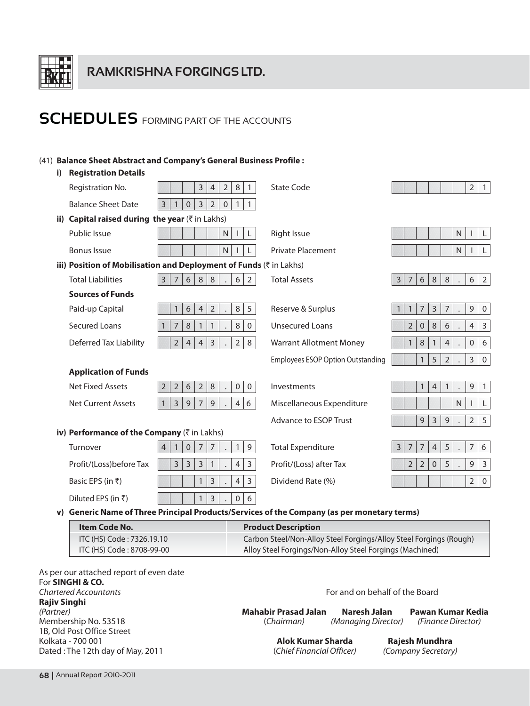

## (41) Balance Sheet Abstract and Company's General Business Profile:

### i) Registration Details

|              | Registration No.                                                                         | $\overline{3}$<br>$\overline{2}$<br>$\,8\,$<br>$\overline{4}$<br>$\mathbf{1}$                        | <b>State Code</b>                        | $\overline{2}$<br>$\overline{1}$                                                            |
|--------------|------------------------------------------------------------------------------------------|------------------------------------------------------------------------------------------------------|------------------------------------------|---------------------------------------------------------------------------------------------|
|              | <b>Balance Sheet Date</b>                                                                | $\overline{2}$<br>$\overline{3}$<br>$\mathbf 0$<br>3<br>$\mathbf{0}$<br>$\mathbf{1}$<br>$\mathbf{1}$ |                                          |                                                                                             |
| ii)          | Capital raised during the year $(\bar{z}$ in Lakhs)                                      |                                                                                                      |                                          |                                                                                             |
|              | Public Issue                                                                             | $\mathsf N$<br>L<br>$\mathbf{I}$                                                                     | <b>Right Issue</b>                       | N.<br>L<br>$\mathbf{L}$                                                                     |
|              | <b>Bonus Issue</b>                                                                       | $\mathsf{N}$                                                                                         | Private Placement                        | $\mathsf{N}$<br>L                                                                           |
|              |                                                                                          | iii) Position of Mobilisation and Deployment of Funds (₹ in Lakhs)                                   |                                          |                                                                                             |
|              | <b>Total Liabilities</b>                                                                 | 6<br>$8\phantom{1}$<br>$8\phantom{1}$<br>$\overline{3}$<br>$7\overline{ }$<br>6<br>$\overline{2}$    | <b>Total Assets</b>                      | 8 <sup>1</sup><br>6<br>$\overline{2}$<br>6<br>8<br>3<br>7<br>$\Box$                         |
|              | <b>Sources of Funds</b>                                                                  |                                                                                                      |                                          |                                                                                             |
|              | Paid-up Capital                                                                          | $\overline{2}$<br>$\,8\,$<br>5<br>6<br>$\overline{4}$<br>$\mathbf{1}$                                | Reserve & Surplus                        | 3<br>$7\overline{ }$<br>$\overline{9}$<br>$\overline{7}$<br>$\mathbf 0$<br>$\mathbf{1}$     |
|              | <b>Secured Loans</b>                                                                     | $\overline{7}$<br>$\,8\,$<br>$\,8\,$<br>$\mathbf{1}$<br>$\mathbf{1}$<br>$\mathbf{0}$                 | <b>Unsecured Loans</b>                   | $\overline{2}$<br>8<br>$\overline{4}$<br>$\mathbf{0}$<br>6<br>$\mathbf{3}$                  |
|              | Deferred Tax Liability                                                                   | $\overline{2}$<br>$\overline{3}$<br>$\overline{2}$<br>$\overline{4}$<br>$\overline{4}$<br>8          | <b>Warrant Allotment Money</b>           | $\boldsymbol{8}$<br>$\boldsymbol{0}$<br>6<br>$\mathbf{1}$<br>$\mathbf{1}$<br>$\overline{4}$ |
|              |                                                                                          |                                                                                                      | <b>Employees ESOP Option Outstanding</b> | 5<br>$\overline{2}$<br>$\mathbf{3}$<br>$\overline{0}$                                       |
|              | <b>Application of Funds</b>                                                              |                                                                                                      |                                          |                                                                                             |
|              | <b>Net Fixed Assets</b>                                                                  | $\overline{2}$<br>6<br>8<br>$\overline{2}$<br>$\overline{2}$<br>$\mathbf 0$<br>$\mathbf 0$           | Investments                              | 9<br>$\overline{1}$<br>$\mathbf{1}$<br>$\overline{4}$<br>$\mathbf{1}$                       |
|              | <b>Net Current Assets</b>                                                                | $\overline{9}$<br>$\overline{9}$<br>3<br>$\overline{7}$<br>$\overline{4}$<br>6                       | Miscellaneous Expenditure                | $\mathsf{N}$<br>$\mathsf{L}$                                                                |
|              |                                                                                          |                                                                                                      | Advance to ESOP Trust                    | 9<br>3<br>$\mathsf 9$<br>$\overline{2}$<br>5                                                |
|              | iv) Performance of the Company (₹ in Lakhs)                                              |                                                                                                      |                                          |                                                                                             |
|              | Turnover                                                                                 | $\mathbf{0}$<br>$\overline{7}$<br>$\overline{7}$<br>$\mathbf{1}$<br>$\overline{9}$<br>$\mathbf{1}$   | <b>Total Expenditure</b>                 | $\overline{7}$<br>5<br>$\overline{7}$<br>6<br>$\overline{7}$<br>$\overline{4}$<br>3         |
|              | Profit/(Loss)before Tax                                                                  | $\overline{3}$<br>$\overline{3}$<br>$\overline{3}$<br>$\overline{4}$<br>3<br>$\mathbf{1}$            | Profit/(Loss) after Tax                  | $\overline{2}$<br>$\overline{2}$<br>5<br>$\mathsf 9$<br>$\overline{3}$<br>$\mathbf 0$       |
|              | Basic EPS (in ₹)                                                                         | $\overline{3}$<br>$\overline{4}$<br>$\overline{3}$<br>$\mathbf{1}$                                   | Dividend Rate (%)                        | $\overline{2}$<br>$\overline{0}$                                                            |
|              | Diluted EPS (in ₹)                                                                       | $\overline{3}$<br>$\boldsymbol{0}$<br>6<br>$\mathbf{1}$                                              |                                          |                                                                                             |
| $\mathbf{v}$ | Generic Name of Three Principal Products/Services of the Company (as per monetary terms) |                                                                                                      |                                          |                                                                                             |
|              |                                                                                          |                                                                                                      |                                          |                                                                                             |

| Item Code No.             | <b>Product Description</b>                                         |
|---------------------------|--------------------------------------------------------------------|
| ITC (HS) Code: 7326.19.10 | Carbon Steel/Non-Alloy Steel Forgings/Alloy Steel Forgings (Rough) |
| ITC (HS) Code: 8708-99-00 | Alloy Steel Forgings/Non-Alloy Steel Forgings (Machined)           |

As per our attached report of even date For SINGHI & CO. **Chartered Accountants Rajiv Singhi** (Partner) Membership No. 53518 1B, Old Post Office Street Kolkata - 700 001 Dated: The 12th day of May, 2011

For and on behalf of the Board

| <b>Mahabir Prasad Jalan</b> | Naresh Jalan        | Pawan Kumar Kedia  |  |
|-----------------------------|---------------------|--------------------|--|
| (Chairman)                  | (Managing Director) | (Finance Director) |  |

**Alok Kumar Sharda** (Chief Financial Officer)

Rajesh Mundhra (Company Secretary)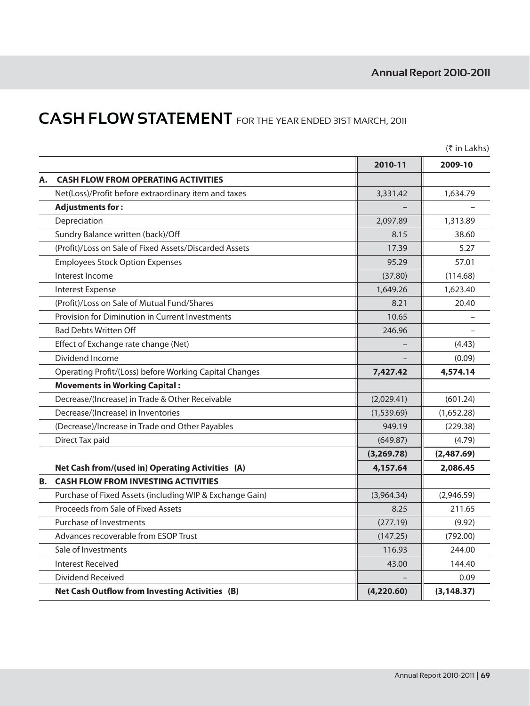# **CASH FLOW STATEMENT** FOR THE YEAR ENDED 3IST MARCH, 2011

|    |                                                          |             | $(3\overline{5})$ in Lakhs) |
|----|----------------------------------------------------------|-------------|-----------------------------|
|    |                                                          | 2010-11     | 2009-10                     |
| Α. | <b>CASH FLOW FROM OPERATING ACTIVITIES</b>               |             |                             |
|    | Net(Loss)/Profit before extraordinary item and taxes     | 3,331.42    | 1,634.79                    |
|    | <b>Adjustments for:</b>                                  |             |                             |
|    | Depreciation                                             | 2,097.89    | 1,313.89                    |
|    | Sundry Balance written (back)/Off                        | 8.15        | 38.60                       |
|    | (Profit)/Loss on Sale of Fixed Assets/Discarded Assets   | 17.39       | 5.27                        |
|    | <b>Employees Stock Option Expenses</b>                   | 95.29       | 57.01                       |
|    | Interest Income                                          | (37.80)     | (114.68)                    |
|    | Interest Expense                                         | 1,649.26    | 1,623.40                    |
|    | (Profit)/Loss on Sale of Mutual Fund/Shares              | 8.21        | 20.40                       |
|    | Provision for Diminution in Current Investments          | 10.65       |                             |
|    | <b>Bad Debts Written Off</b>                             | 246.96      |                             |
|    | Effect of Exchange rate change (Net)                     |             | (4.43)                      |
|    | Dividend Income                                          |             | (0.09)                      |
|    | Operating Profit/(Loss) before Working Capital Changes   | 7,427.42    | 4,574.14                    |
|    | <b>Movements in Working Capital:</b>                     |             |                             |
|    | Decrease/(Increase) in Trade & Other Receivable          | (2,029.41)  | (601.24)                    |
|    | Decrease/(Increase) in Inventories                       | (1,539.69)  | (1,652.28)                  |
|    | (Decrease)/Increase in Trade ond Other Payables          | 949.19      | (229.38)                    |
|    | Direct Tax paid                                          | (649.87)    | (4.79)                      |
|    |                                                          | (3, 269.78) | (2,487.69)                  |
|    | Net Cash from/(used in) Operating Activities (A)         | 4,157.64    | 2,086.45                    |
| В. | <b>CASH FLOW FROM INVESTING ACTIVITIES</b>               |             |                             |
|    | Purchase of Fixed Assets (including WIP & Exchange Gain) | (3,964.34)  | (2,946.59)                  |
|    | Proceeds from Sale of Fixed Assets                       | 8.25        | 211.65                      |
|    | Purchase of Investments                                  | (277.19)    | (9.92)                      |
|    | Advances recoverable from ESOP Trust                     | (147.25)    | (792.00)                    |
|    | Sale of Investments                                      | 116.93      | 244.00                      |
|    | <b>Interest Received</b>                                 | 43.00       | 144.40                      |
|    | Dividend Received                                        |             | 0.09                        |
|    | <b>Net Cash Outflow from Investing Activities (B)</b>    | (4,220.60)  | (3, 148.37)                 |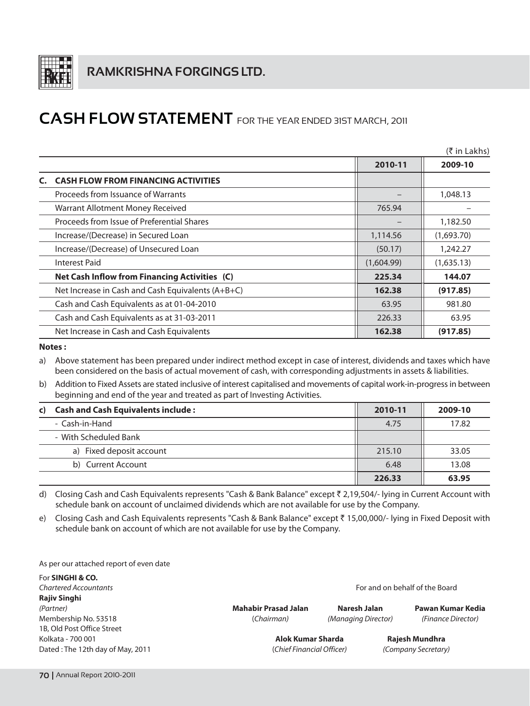

## **CASH FLOW STATEMENT** FOR THE YEAR ENDED 31ST MARCH, 2011

|                                                   |            | $(5 \in \mathsf{In}$ Lakhs) |
|---------------------------------------------------|------------|-----------------------------|
|                                                   | 2010-11    | 2009-10                     |
| <b>CASH FLOW FROM FINANCING ACTIVITIES</b>        |            |                             |
| Proceeds from Issuance of Warrants                |            | 1,048.13                    |
| Warrant Allotment Money Received                  | 765.94     |                             |
| Proceeds from Issue of Preferential Shares        |            | 1,182.50                    |
| Increase/(Decrease) in Secured Loan               | 1,114.56   | (1,693.70)                  |
| Increase/(Decrease) of Unsecured Loan             | (50.17)    | 1,242.27                    |
| Interest Paid                                     | (1,604.99) | (1,635.13)                  |
| Net Cash Inflow from Financing Activities (C)     | 225.34     | 144.07                      |
| Net Increase in Cash and Cash Equivalents (A+B+C) | 162.38     | (917.85)                    |
| Cash and Cash Equivalents as at 01-04-2010        | 63.95      | 981.80                      |
| Cash and Cash Equivalents as at 31-03-2011        | 226.33     | 63.95                       |
| Net Increase in Cash and Cash Equivalents         | 162.38     | (917.85)                    |

### Notes:

a) Above statement has been prepared under indirect method except in case of interest, dividends and taxes which have been considered on the basis of actual movement of cash, with corresponding adjustments in assets & liabilities.

b) Addition to Fixed Assets are stated inclusive of interest capitalised and movements of capital work-in-progress in between beginning and end of the year and treated as part of Investing Activities.

| c) Cash and Cash Equivalents include: | 2010-11 | 2009-10 |
|---------------------------------------|---------|---------|
| - Cash-in-Hand                        | 4.75    | 17.82   |
| - With Scheduled Bank                 |         |         |
| a) Fixed deposit account              | 215.10  | 33.05   |
| b) Current Account                    | 6.48    | 13.08   |
|                                       | 226.33  | 63.95   |

d) Closing Cash and Cash Equivalents represents "Cash & Bank Balance" except ₹ 2,19,504/- lying in Current Account with schedule bank on account of unclaimed dividends which are not available for use by the Company.

Closing Cash and Cash Equivalents represents "Cash & Bank Balance" except ₹ 15,00,000/- lying in Fixed Deposit with e) schedule bank on account of which are not available for use by the Company.

As per our attached report of even date

For SINGHI & CO. **Chartered Accountants Rajiv Singhi** (Partner) Membership No. 53518 1B. Old Post Office Street Kolkata - 700 001 Dated: The 12th day of May, 2011

**Mahabir Prasad Jalan** (Chairman)

**Naresh Jalan** (Managing Director)

Pawan Kumar Kedia (Finance Director)

**Alok Kumar Sharda** (Chief Financial Officer)

Rajesh Mundhra (Company Secretary)

For and on behalf of the Board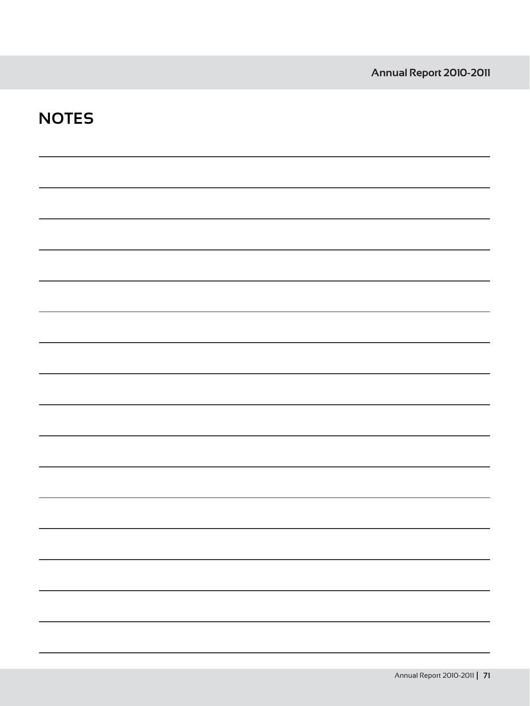| <b>NOTES</b> |  |  |
|--------------|--|--|
|              |  |  |
|              |  |  |
|              |  |  |
|              |  |  |
|              |  |  |
|              |  |  |
|              |  |  |
|              |  |  |
|              |  |  |
|              |  |  |
|              |  |  |
|              |  |  |
|              |  |  |
|              |  |  |
|              |  |  |
|              |  |  |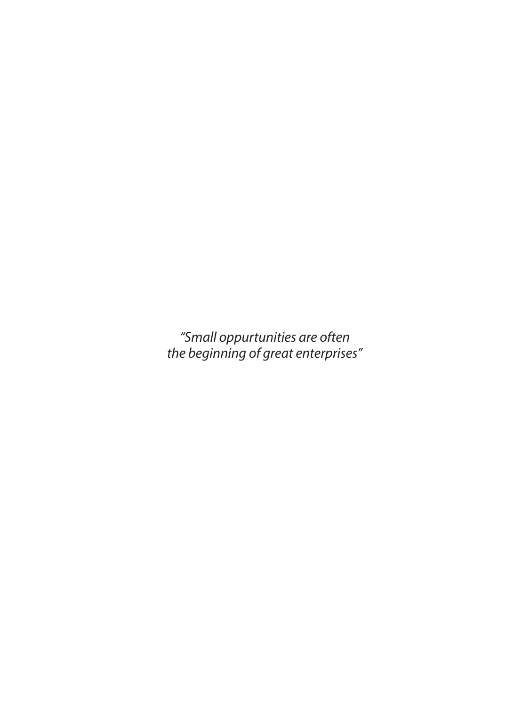"Small oppurtunities are often<br>the beginning of great enterprises"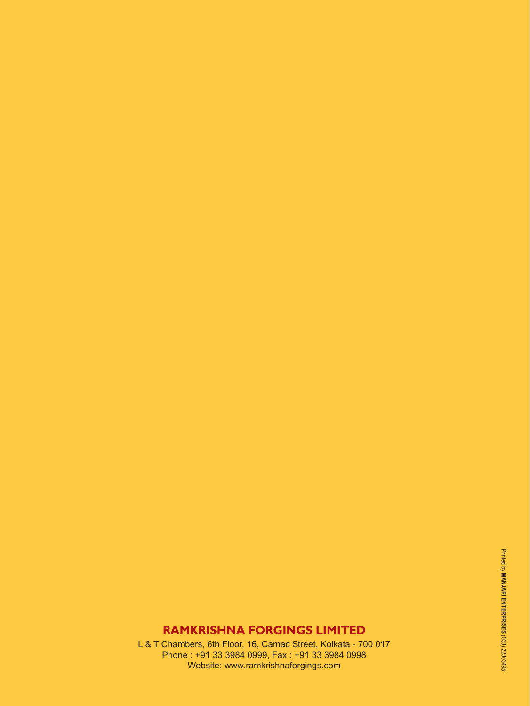# **RAMKRISHNA FORGINGS LIMITED**

L & T Chambers, 6th Floor, 16, Camac Street, Kolkata - 700 017 Phone: +91 33 3984 0999, Fax: +91 33 3984 0998 Website: www.ramkrishnaforgings.com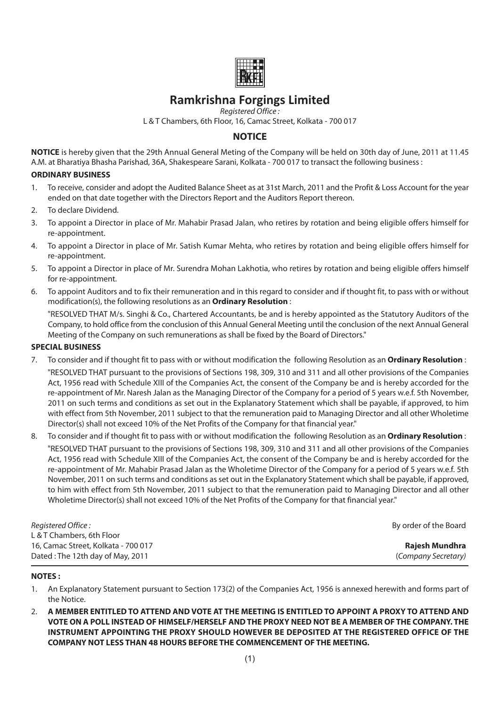# **Ramkrishna Forgings Limited**

Registered Office:

L & T Chambers, 6th Floor, 16, Camac Street, Kolkata - 700 017

## **NOTICE**

NOTICE is hereby given that the 29th Annual General Meting of the Company will be held on 30th day of June, 2011 at 11.45 A.M. at Bharatiya Bhasha Parishad, 36A, Shakespeare Sarani, Kolkata - 700 017 to transact the following business:

#### **ORDINARY BUSINESS**

- To receive, consider and adopt the Audited Balance Sheet as at 31st March, 2011 and the Profit & Loss Account for the year  $\mathbf{1}$ . ended on that date together with the Directors Report and the Auditors Report thereon.
- To declare Dividend  $\mathcal{D}$
- To appoint a Director in place of Mr. Mahabir Prasad Jalan, who retires by rotation and being eligible offers himself for  $\mathcal{E}$ re-appointment.
- To appoint a Director in place of Mr. Satish Kumar Mehta, who retires by rotation and being eligible offers himself for  $\mathbf{\Lambda}$ re-appointment.
- $5<sub>1</sub>$ To appoint a Director in place of Mr. Surendra Mohan Lakhotia, who retires by rotation and being eligible offers himself for re-appointment.
- 6 To appoint Auditors and to fix their remuneration and in this regard to consider and if thought fit, to pass with or without modification(s), the following resolutions as an **Ordinary Resolution**:

"RESOLVED THAT M/s. Singhi & Co., Chartered Accountants, be and is hereby appointed as the Statutory Auditors of the Company, to hold office from the conclusion of this Annual General Meeting until the conclusion of the next Annual General Meeting of the Company on such remunerations as shall be fixed by the Board of Directors."

#### **SPECIAL BUSINESS**

- 7. To consider and if thought fit to pass with or without modification the following Resolution as an Ordinary Resolution: "RESOLVED THAT pursuant to the provisions of Sections 198, 309, 310 and 311 and all other provisions of the Companies Act. 1956 read with Schedule XIII of the Companies Act, the consent of the Company be and is hereby accorded for the re-appointment of Mr. Naresh Jalan as the Managing Director of the Company for a period of 5 years w.e.f. 5th November, 2011 on such terms and conditions as set out in the Explanatory Statement which shall be payable, if approved, to him with effect from 5th November, 2011 subject to that the remuneration paid to Managing Director and all other Wholetime Director(s) shall not exceed 10% of the Net Profits of the Company for that financial year."
- To consider and if thought fit to pass with or without modification the following Resolution as an Ordinary Resolution:  $\mathsf{R}$

"RESOLVED THAT pursuant to the provisions of Sections 198, 309, 310 and 311 and all other provisions of the Companies Act, 1956 read with Schedule XIII of the Companies Act, the consent of the Company be and is hereby accorded for the re-appointment of Mr. Mahabir Prasad Jalan as the Wholetime Director of the Company for a period of 5 years w.e.f. 5th November, 2011 on such terms and conditions as set out in the Explanatory Statement which shall be payable, if approved, to him with effect from 5th November, 2011 subject to that the remuneration paid to Managing Director and all other Wholetime Director(s) shall not exceed 10% of the Net Profits of the Company for that financial year."

| Registered Office:                  | By order of the Board |
|-------------------------------------|-----------------------|
| L & T Chambers, 6th Floor           |                       |
| 16, Camac Street, Kolkata - 700 017 | Rajesh Mundhra        |
| Dated: The 12th day of May, 2011    | (Company Secretary)   |

#### **NOTES:**

- An Explanatory Statement pursuant to Section 173(2) of the Companies Act, 1956 is annexed herewith and forms part of  $\mathbf{1}$ the Notice.
- A MEMBER ENTITLED TO ATTEND AND VOTE AT THE MEETING IS ENTITLED TO APPOINT A PROXY TO ATTEND AND  $\mathfrak{D}$ VOTE ON A POLL INSTEAD OF HIMSELF/HERSELF AND THE PROXY NEED NOT BE A MEMBER OF THE COMPANY. THE INSTRUMENT APPOINTING THE PROXY SHOULD HOWEVER BE DEPOSITED AT THE REGISTERED OFFICE OF THE **COMPANY NOT LESS THAN 48 HOURS BEFORE THE COMMENCEMENT OF THE MEETING.**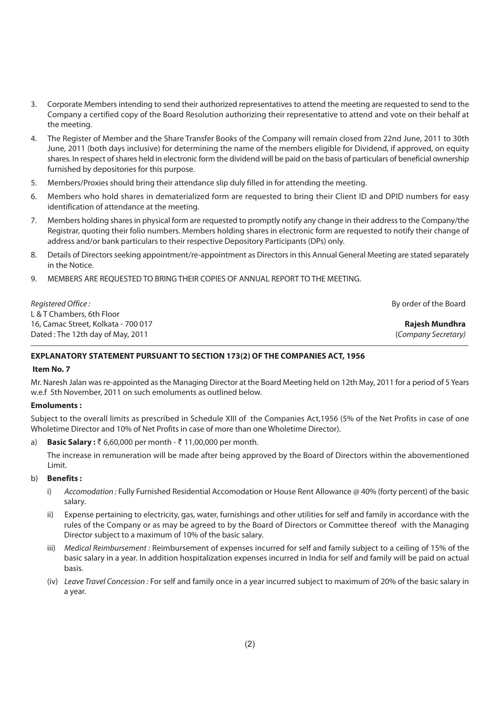- $\mathcal{R}$ Corporate Members intending to send their authorized representatives to attend the meeting are requested to send to the Company a certified copy of the Board Resolution authorizing their representative to attend and vote on their behalf at the meeting.
- The Register of Member and the Share Transfer Books of the Company will remain closed from 22nd June, 2011 to 30th  $\mathbf{4}$ . June, 2011 (both days inclusive) for determining the name of the members eligible for Dividend, if approved, on equity shares. In respect of shares held in electronic form the dividend will be paid on the basis of particulars of beneficial ownership furnished by depositories for this purpose.
- Members/Proxies should bring their attendance slip duly filled in for attending the meeting.  $5^{\circ}$
- Members who hold shares in dematerialized form are requested to bring their Client ID and DPID numbers for easy 6 identification of attendance at the meeting.
- Members holding shares in physical form are requested to promptly notify any change in their address to the Company/the  $7<sub>1</sub>$ Registrar, quoting their folio numbers. Members holding shares in electronic form are requested to notify their change of address and/or bank particulars to their respective Depository Participants (DPs) only.
- Details of Directors seeking appointment/re-appointment as Directors in this Annual General Meeting are stated separately  $\mathsf{R}$ in the Notice.
- MEMBERS ARE REQUESTED TO BRING THEIR COPIES OF ANNUAL REPORT TO THE MEETING.  $\Omega$

| Registered Office:                  | By order of the Board |
|-------------------------------------|-----------------------|
| L & T Chambers, 6th Floor           |                       |
| 16, Camac Street, Kolkata - 700 017 | Rajesh Mundhra        |
| Dated: The 12th day of May, 2011    | (Company Secretary)   |

#### EXPLANATORY STATEMENT PURSUANT TO SECTION 173(2) OF THE COMPANIES ACT, 1956

#### Item No. 7

Mr. Naresh Jalan was re-appointed as the Managing Director at the Board Meeting held on 12th May, 2011 for a period of 5 Years w.e.f 5th November, 2011 on such emoluments as outlined below.

#### **Emoluments:**

Subject to the overall limits as prescribed in Schedule XIII of the Companies Act, 1956 (5% of the Net Profits in case of one Wholetime Director and 10% of Net Profits in case of more than one Wholetime Director).

**Basic Salary:** ₹ 6,60,000 per month - ₹ 11,00,000 per month. a)

The increase in remuneration will be made after being approved by the Board of Directors within the abovementioned Limit.

#### b) **Benefits:**

- $i)$ Accomodation: Fully Furnished Residential Accomodation or House Rent Allowance @ 40% (forty percent) of the basic salary.
- ii) Expense pertaining to electricity, gas, water, furnishings and other utilities for self and family in accordance with the rules of the Company or as may be agreed to by the Board of Directors or Committee thereof with the Managing Director subject to a maximum of 10% of the basic salary.
- Medical Reimbursement: Reimbursement of expenses incurred for self and family subject to a ceiling of 15% of the iii) basic salary in a year. In addition hospitalization expenses incurred in India for self and family will be paid on actual hasis.
- (iv) Leave Travel Concession: For self and family once in a year incurred subject to maximum of 20% of the basic salary in a year.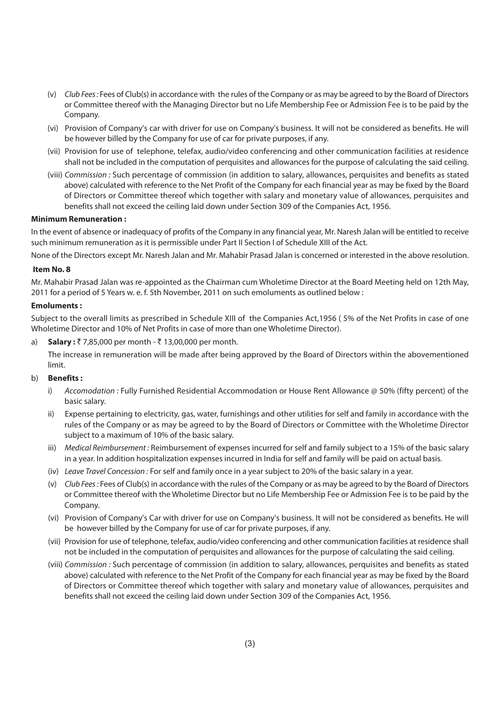- (v) Club Fees: Fees of Club(s) in accordance with the rules of the Company or as may be agreed to by the Board of Directors or Committee thereof with the Managing Director but no Life Membership Fee or Admission Fee is to be paid by the Company.
- (vi) Provision of Company's car with driver for use on Company's business. It will not be considered as benefits. He will be however billed by the Company for use of car for private purposes, if any.
- (vii) Provision for use of telephone, telefax, audio/video conferencing and other communication facilities at residence shall not be included in the computation of perquisites and allowances for the purpose of calculating the said ceiling.
- (viii) Commission : Such percentage of commission (in addition to salary, allowances, perquisites and benefits as stated above) calculated with reference to the Net Profit of the Company for each financial year as may be fixed by the Board of Directors or Committee thereof which together with salary and monetary value of allowances, perquisites and benefits shall not exceed the ceiling laid down under Section 309 of the Companies Act, 1956.

#### **Minimum Remuneration:**

In the event of absence or inadequacy of profits of the Company in any financial year, Mr. Naresh Jalan will be entitled to receive such minimum remuneration as it is permissible under Part II Section I of Schedule XIII of the Act.

None of the Directors except Mr. Naresh Jalan and Mr. Mahabir Prasad Jalan is concerned or interested in the above resolution.

#### Item No. 8

Mr. Mahabir Prasad Jalan was re-appointed as the Chairman cum Wholetime Director at the Board Meeting held on 12th May. 2011 for a period of 5 Years w. e. f. 5th November, 2011 on such emoluments as outlined below:

#### **Emoluments:**

Subject to the overall limits as prescribed in Schedule XIII of the Companies Act,1956 (5% of the Net Profits in case of one Wholetime Director and 10% of Net Profits in case of more than one Wholetime Director).

 $a)$ **Salary :** ₹7,85,000 per month - ₹13,00,000 per month.

The increase in remuneration will be made after being approved by the Board of Directors within the abovementioned limit.

#### **Benefits:** b)

- Accomodation : Fully Furnished Residential Accommodation or House Rent Allowance @ 50% (fifty percent) of the  $i)$ basic salary.
- $\mathbf{ii}$ Expense pertaining to electricity, gas, water, furnishings and other utilities for self and family in accordance with the rules of the Company or as may be agreed to by the Board of Directors or Committee with the Wholetime Director subject to a maximum of 10% of the basic salary.
- iii) Medical Reimbursement: Reimbursement of expenses incurred for self and family subject to a 15% of the basic salary in a year. In addition hospitalization expenses incurred in India for self and family will be paid on actual basis.
- (iv) Leave Travel Concession: For self and family once in a year subject to 20% of the basic salary in a year.
- (v) Club Fees: Fees of Club(s) in accordance with the rules of the Company or as may be agreed to by the Board of Directors or Committee thereof with the Wholetime Director but no Life Membership Fee or Admission Fee is to be paid by the Company.
- (vi) Provision of Company's Car with driver for use on Company's business. It will not be considered as benefits. He will be however billed by the Company for use of car for private purposes, if any.
- (vii) Provision for use of telephone, telefax, audio/video conferencing and other communication facilities at residence shall not be included in the computation of perquisites and allowances for the purpose of calculating the said ceiling.
- (viii) Commission : Such percentage of commission (in addition to salary, allowances, perquisites and benefits as stated above) calculated with reference to the Net Profit of the Company for each financial year as may be fixed by the Board of Directors or Committee thereof which together with salary and monetary value of allowances, perguisites and benefits shall not exceed the ceiling laid down under Section 309 of the Companies Act, 1956.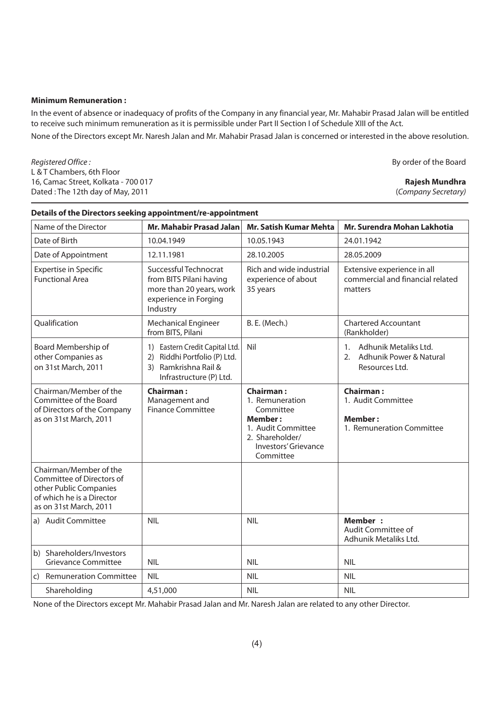#### **Minimum Remuneration:**

In the event of absence or inadequacy of profits of the Company in any financial year, Mr. Mahabir Prasad Jalan will be entitled to receive such minimum remuneration as it is permissible under Part II Section I of Schedule XIII of the Act.

None of the Directors except Mr. Naresh Jalan and Mr. Mahabir Prasad Jalan is concerned or interested in the above resolution.

Registered Office: L & T Chambers, 6th Floor 16, Camac Street, Kolkata - 700 017 Dated: The 12th day of May, 2011

| Details of the Directors seeking appointment/re-appointment                                                                          |                                                                                                                         |                                                                                                                                                  |                                                                                       |  |  |
|--------------------------------------------------------------------------------------------------------------------------------------|-------------------------------------------------------------------------------------------------------------------------|--------------------------------------------------------------------------------------------------------------------------------------------------|---------------------------------------------------------------------------------------|--|--|
| Name of the Director                                                                                                                 | Mr. Mahabir Prasad Jalan                                                                                                | <b>Mr. Satish Kumar Mehta</b>                                                                                                                    | Mr. Surendra Mohan Lakhotia                                                           |  |  |
| Date of Birth                                                                                                                        | 10.04.1949                                                                                                              | 10.05.1943                                                                                                                                       | 24.01.1942                                                                            |  |  |
| Date of Appointment                                                                                                                  | 12.11.1981                                                                                                              | 28.10.2005                                                                                                                                       | 28.05.2009                                                                            |  |  |
| <b>Expertise in Specific</b><br><b>Functional Area</b>                                                                               | Successful Technocrat<br>from BITS Pilani having<br>more than 20 years, work<br>experience in Forging<br>Industry       | Rich and wide industrial<br>experience of about<br>35 years                                                                                      | Extensive experience in all<br>commercial and financial related<br>matters            |  |  |
| Qualification                                                                                                                        | <b>Mechanical Engineer</b><br>from BITS, Pilani                                                                         | <b>B. E. (Mech.)</b>                                                                                                                             | <b>Chartered Accountant</b><br>(Rankholder)                                           |  |  |
| Board Membership of<br>other Companies as<br>on 31st March, 2011                                                                     | 1) Eastern Credit Capital Ltd.<br>Riddhi Portfolio (P) Ltd.<br>2)<br>Ramkrishna Rail &<br>3)<br>Infrastructure (P) Ltd. | Nil                                                                                                                                              | Adhunik Metaliks Ltd.<br>$1_{-}$<br>2.<br>Adhunik Power & Natural<br>Resources Ltd.   |  |  |
| Chairman/Member of the<br>Committee of the Board<br>of Directors of the Company<br>as on 31st March, 2011                            | <b>Chairman:</b><br>Management and<br><b>Finance Committee</b>                                                          | <b>Chairman:</b><br>1. Remuneration<br>Committee<br><b>Member:</b><br>1. Audit Committee<br>2. Shareholder/<br>Investors' Grievance<br>Committee | <b>Chairman:</b><br>1. Audit Committee<br><b>Member:</b><br>1. Remuneration Committee |  |  |
| Chairman/Member of the<br>Committee of Directors of<br>other Public Companies<br>of which he is a Director<br>as on 31st March, 2011 |                                                                                                                         |                                                                                                                                                  |                                                                                       |  |  |
| a) Audit Committee                                                                                                                   | <b>NIL</b>                                                                                                              | <b>NIL</b>                                                                                                                                       | <b>Member:</b><br>Audit Committee of<br>Adhunik Metaliks Ltd.                         |  |  |
| b) Shareholders/Investors<br><b>Grievance Committee</b>                                                                              | <b>NIL</b>                                                                                                              | <b>NIL</b>                                                                                                                                       | <b>NIL</b>                                                                            |  |  |
| c) Remuneration Committee                                                                                                            | <b>NIL</b>                                                                                                              | <b>NIL</b>                                                                                                                                       | <b>NIL</b>                                                                            |  |  |
| Shareholding                                                                                                                         | 4,51,000                                                                                                                | <b>NIL</b>                                                                                                                                       | <b>NIL</b>                                                                            |  |  |

Details of the Directors seeking annointment/re-annointment

None of the Directors except Mr. Mahabir Prasad Jalan and Mr. Naresh Jalan are related to any other Director.

By order of the Board

#### **Rajesh Mundhra**

(Company Secretary)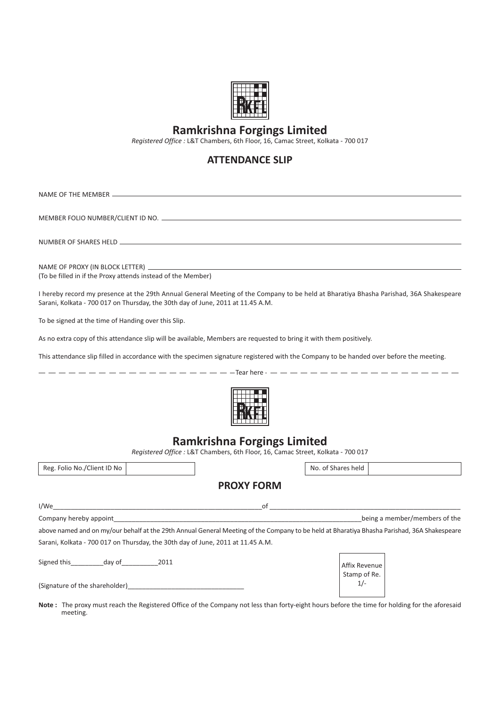

# **Ramkrishna Forgings Limited**

Registered Office : L&T Chambers, 6th Floor, 16, Camac Street, Kolkata - 700 017

## **ATTENDANCE SLIP**

NAME OF THE MEMBER MEMBER FOLIO NUMBER/CLIENT ID NO. NUMBER OF SHARES HELD NAME OF PROXY (IN BLOCK LETTER) (To be filled in if the Proxy attends instead of the Member) I hereby record my presence at the 29th Annual General Meeting of the Company to be held at Bharatiya Bhasha Parishad, 36A Shakespeare Sarani, Kolkata - 700 017 on Thursday, the 30th day of June, 2011 at 11.45 A.M. To be signed at the time of Handing over this Slip. As no extra copy of this attendance slip will be available, Members are requested to bring it with them positively. This attendance slip filled in accordance with the specimen signature registered with the Company to be handed over before the meeting.  $-$ Tear here **Ramkrishna Forgings Limited** Registered Office : L&T Chambers, 6th Floor, 16, Camac Street, Kolkata - 700 017 Reg. Folio No./Client ID  $\mathsf{No}$   $\qquad$   $\qquad$   $\mathsf{No}.$ of Shares held **PROXY FORM** \$&ABBBBBBBBBBBBBBBBBBBBBBBBBBBBBBBBBBBBBBBBBBBBBBBBBBBBBBBBBB.-BBBBBBBBBBBBBBBBBBBBBBBBBBBBBBBBBBBBBBBBBBBBBBBBBBBBB Company hereby 44/1BBBBBBBBBBBBBBBBBBBBBBBBBBBBBBBBBBBBBBBBBBBBBBBBBBBBBBBBBBBBBBBBBBBB eing a member/members of the above named and on my/our behalf at the 29th Annual General Meeting of the Company to be held at Bharatiya Bhasha Parishad, 36A Shakespeare Sarani, Kolkata - 700 017 on Thursday, the 30th day of June, 2011 at 11.45 A.M. /910-/
BBBBBBBBB03-.BBBBBBBBBB5 Affix Revenue Stamp of Re.  $1/-$ ,/917-.--0-BBBBBBBBBBBBBBBBBBBBBBBBBBBBBBBB Note: The proxy must reach the Registered Office of the Company not less than forty-eight hours before the time for holding for the aforesaid meeting.